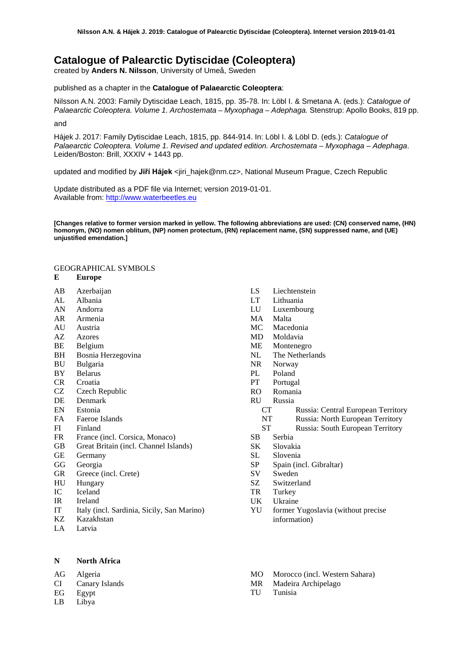# **Catalogue of Palearctic Dytiscidae (Coleoptera)**

created by **Anders N. Nilsson**, University of Umeå, Sweden

published as a chapter in the **Catalogue of Palaearctic Coleoptera**:

Nilsson A.N. 2003: Family Dytiscidae Leach, 1815, pp. 35-78. In: Löbl I. & Smetana A. (eds.): *Catalogue of Palaearctic Coleoptera. Volume 1. Archostemata – Myxophaga – Adephaga.* Stenstrup: Apollo Books, 819 pp.

and

Hájek J. 2017: Family Dytiscidae Leach, 1815, pp. 844-914. In: Löbl I. & Löbl D. (eds.): *Catalogue of Palaearctic Coleoptera. Volume 1. Revised and updated edition. Archostemata – Myxophaga – Adephaga*. Leiden/Boston: Brill, XXXIV + 1443 pp.

updated and modified by **Jiří Hájek** <jiri\_hajek@nm.cz>, National Museum Prague, Czech Republic

Update distributed as a PDF file via Internet; version 2019-01-01. Available from: [http://www.waterbeetles.eu](http://www.emg.umu.se/biginst/andersn/Cat_main.htm)

**[Changes relative to former version marked in yellow. The following abbreviations are used: (CN) conserved name, (HN) homonym, (NO) nomen oblitum, (NP) nomen protectum, (RN) replacement name, (SN) suppressed name, and (UE) unjustified emendation.]**

# GEOGRAPHICAL SYMBOLS

#### **E Europe**

- AB Azerbaijan
- AL Albania
- AN Andorra
- AR Armenia
- AU Austria<br>AZ Azores
- **Azores**
- BE Belgium<br>BH Bosnia H
- Bosnia Herzegovina
- BU Bulgaria
- BY Belarus
- CR Croatia
- CZ Czech Republic
- DE Denmark
- EN Estonia
- FA Faeroe Islands
- FI Finland
- FR France (incl. Corsica, Monaco)
- GB Great Britain (incl. Channel Islands)
- GE Germany
- GG Georgia
- GR Greece (incl. Crete)
- HU Hungary
- IC Iceland
- IR Ireland
- IT Italy (incl. Sardinia, Sicily, San Marino)
- Kazakhstan
- LA Latvia

## **N North Africa**

AG Algeria

- CI Canary Islands
- EG Egypt LB Libya
- - TU Tunisia
- LS Liechtenstein<br>LT Lithuania
- Lithuania
- LU Luxembourg
- MA Malta
- MC Macedonia
- MD Moldavia
- ME Montenegro<br>NL The Netherla
- The Netherlands
- NR Norway
- PL Poland<br>PT Portuga
- Portugal
- RO Romania
- RU Russia
	- CT Russia: Central European Territory
	- NT Russia: North European Territory
	- ST Russia: South European Territory
- SB Serbia
- SK Slovakia
- SL Slovenia
- SP Spain (incl. Gibraltar)
- SV Sweden
- SZ Switzerland
- TR Turkey
- UK Ukraine
- YU former Yugoslavia (without precise information)
- MO Morocco (incl. Western Sahara)
- MR Madeira Archipelago
-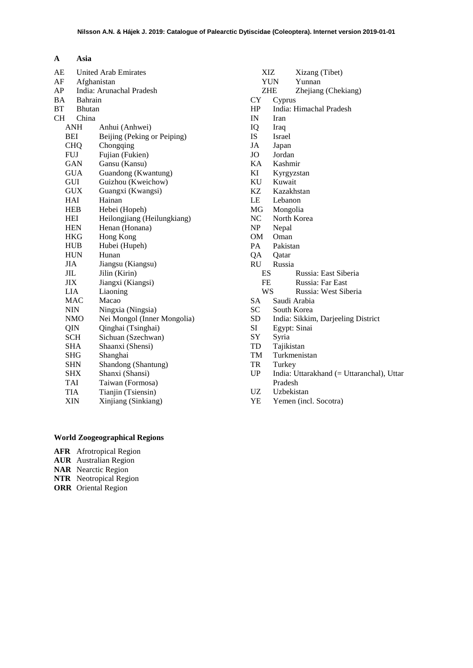| $\mathbf{A}$ | Asia            |
|--------------|-----------------|
| ΛF           | <b>I</b> Inited |

| AE         |                | <b>United Arab Emirates</b> |  |
|------------|----------------|-----------------------------|--|
| AF         |                | Afghanistan                 |  |
| AP         |                | India: Arunachal Pradesh    |  |
| BA         | <b>Bahrain</b> |                             |  |
| <b>BT</b>  | <b>Bhutan</b>  |                             |  |
| <b>CH</b>  | China          |                             |  |
|            | ANH            | Anhui (Anhwei)              |  |
|            | BEI            | Beijing (Peking or Peiping) |  |
|            | <b>CHQ</b>     | Chongqing                   |  |
|            | <b>FUJ</b>     | Fujian (Fukien)             |  |
|            | GAN            | Gansu (Kansu)               |  |
|            | <b>GUA</b>     | Guandong (Kwantung)         |  |
|            | GUI            | Guizhou (Kweichow)          |  |
|            | <b>GUX</b>     | Guangxi (Kwangsi)           |  |
|            | HAI            | Hainan                      |  |
|            | <b>HEB</b>     | Hebei (Hopeh)               |  |
|            | HEI            | Heilongjiang (Heilungkiang) |  |
|            | <b>HEN</b>     | Henan (Honana)              |  |
|            | <b>HKG</b>     | Hong Kong                   |  |
|            | <b>HUB</b>     | Hubei (Hupeh)               |  |
|            | <b>HUN</b>     | Hunan                       |  |
| <b>JIA</b> |                | Jiangsu (Kiangsu)           |  |
| JIL        |                | Jilin (Kirin)               |  |
|            | JIX            | Jiangxi (Kiangsi)           |  |
|            | <b>LIA</b>     | Liaoning                    |  |
|            | <b>MAC</b>     | Macao                       |  |
|            | NIN            | Ningxia (Ningsia)           |  |
|            | NMO            | Nei Mongol (Inner Mongolia) |  |
|            | QIN            | Qinghai (Tsinghai)          |  |
|            | SCH            | Sichuan (Szechwan)          |  |
|            | SHA            | Shaanxi (Shensi)            |  |
|            | SHG            | Shanghai                    |  |
|            | SHN            | Shandong (Shantung)         |  |
|            | SHX            | Shanxi (Shansi)             |  |
|            | TAI            | Taiwan (Formosa)            |  |
|            | TIA            | Tianjin (Tsiensin)          |  |
|            | XIN            | Xinjiang (Sinkiang)         |  |
|            |                |                             |  |

# XIZ Xizang (Tibet) YUN Yunnan<br>ZHE Zhejiang ZHE Zhejiang (Chekiang)<br>CY Cyprus **Cyprus** HP India: Himachal Pradesh IN Iran<br>IQ Iraq IQ Iraq IS Israel<br>JA Japan JA Japan JO Jordan<br>KA Kashm KA Kashmir Kyrgyzstan KU Kuwait KZ Kazakhstan LE Lebanon MG Mongolia NC North Korea<br>NP Nepal Nepal OM Oman PA Pakistan<br>QA Qatar Qatar RU Russia ES Russia: East Siberia<br>FE Russia: Far East Russia: Far East WS Russia: West Siberia SA Saudi Arabia<br>SC South Korea SC South Korea<br>SD India: Sikkin SD India: Sikkim, Darjeeling District<br>SI Egypt: Sinai Egypt: Sinai SY Syria<br>TD Tajiki TD Tajikistan<br>TM Turkmenis Turkmenistan TR Turkey<br>UP India: U India: Uttarakhand (= Uttaranchal), Uttar Pradesh UZ Uzbekistan<br>YE Yemen (inc Yemen (incl. Socotra)

# **World Zoogeographical Regions**

- **AFR** Afrotropical Region
- **AUR** Australian Region
- **NAR** Nearctic Region
- **NTR** Neotropical Region
- **ORR** Oriental Region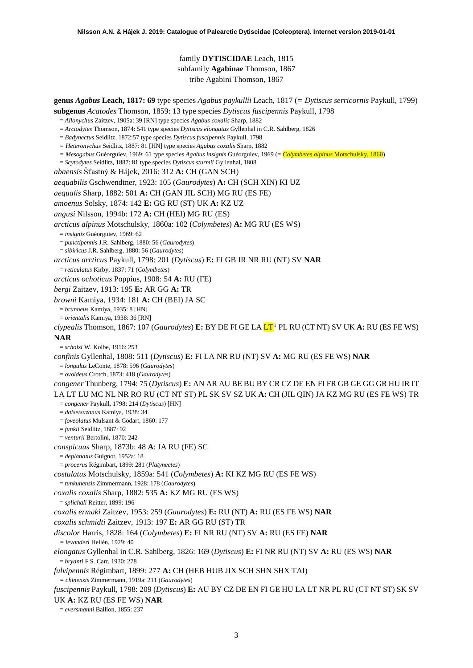family **DYTISCIDAE** Leach, 1815 subfamily **Agabinae** Thomson, 1867 tribe Agabini Thomson, 1867

**genus** *Agabus* **Leach, 1817: 69** type species *Agabus paykullii* Leach, 1817 (*= Dytiscus serricornis* Paykull, 1799)

**subgenus** *Acatodes* Thomson, 1859: 13 type species *Dytiscus fuscipennis* Paykull, 1798

- = *Allonychus* Zaitzev, 1905a: 39 [RN] type species *Agabus coxalis* Sharp, 1882
- = *Arctodytes* Thomson, 1874: 541 type species *Dytiscus elongatus* Gyllenhal in C.R. Sahlberg, 1826
- = *Badynectus* Seidlitz, 1872:57 type species *Dytiscus fuscipennis* Paykull, 1798
- *= Heteronychus* Seidlitz, 1887: 81 [HN] type species *Agabus coxalis* Sharp, 1882
- *= Mesogabus* Guéorguiev, 1969: 61 type species *Agabus insignis* Guéorguiev, 1969 (= *Colymbetes alpinus* Motschulsky, 1860)
- = *Scytodytes* Seidlitz, 1887: 81 type species *Dytiscus sturmii* Gyllenhal, 1808
- *abaensis* Šťastný & Hájek, 2016: 312 **A:** CH (GAN SCH)

*aequabilis* Gschwendtner, 1923: 105 (*Gaurodytes*) **A:** CH (SCH XIN) KI UZ

*aequalis* Sharp, 1882: 501 **A:** CH (GAN JIL SCH) MG RU (ES FE)

*amoenus* Solsky, 1874: 142 **E:** GG RU (ST) UK **A:** KZ UZ

*angusi* Nilsson, 1994b: 172 **A:** CH (HEI) MG RU (ES)

*arcticus alpinus* Motschulsky, 1860a: 102 (*Colymbetes*) **A:** MG RU (ES WS)

= *insignis* Guéorguiev, 1969: 62

= *punctipennis* J.R. Sahlberg, 1880: 56 (*Gaurodytes*)

= *sibiricus* J.R. Sahlberg, 1880: 56 (*Gaurodytes*)

*arcticus arcticus* Paykull, 1798: 201 (*Dytiscus*) **E:** FI GB IR NR RU (NT) SV **NAR**

= *reticulatus* Kirby, 1837: 71 (*Colymbetes*)

*arcticus ochoticus* Poppius, 1908: 54 **A:** RU (FE)

*bergi* Zaitzev, 1913: 195 **E:** AR GG **A:** TR

*browni* Kamiya, 1934: 181 **A:** CH (BEI) JA SC

= *brunneus* Kamiya, 1935: 8 [HN]

= *orientalis* Kamiya, 1938: 36 [RN]

*clypealis* Thomson, 1867: 107 (*Gaurodytes*) **E:** BY DE FI GE LA LT[1](#page-52-0) PL RU (CT NT) SV UK **A:** RU (ES FE WS) **NAR**

= *scholzi* W. Kolbe, 1916: 253

*confinis* Gyllenhal, 1808: 511 (*Dytiscus*) **E:** FI LA NR RU (NT) SV **A:** MG RU (ES FE WS) **NAR**

= *longulus* LeConte, 1878: 596 (*Gaurodytes*)

= *ovoideus* Crotch, 1873: 418 (*Gaurodytes*)

*congener* Thunberg, 1794: 75 (*Dytiscus*) **E:** AN AR AU BE BU BY CR CZ DE EN FI FR GB GE GG GR HU IR IT LA LT LU MC NL NR RO RU (CT NT ST) PL SK SV SZ UK **A:** CH (JIL QIN) JA KZ MG RU (ES FE WS) TR

= *congener* Paykull, 1798: 214 (*Dytiscus*) [HN]

= *daisetsuzanus* Kamiya, 1938: 34

= *foveolatus* Mulsant & Godart, 1860: 177

= *funkii* Seidlitz, 1887: 92

= *venturii* Bertolini, 1870: 242

*conspicuus* Sharp, 1873b: 48 **A**: JA RU (FE) SC

= *deplanatus* Guignot, 1952a: 18

= *procerus* Régimbart, 1899: 281 (*Platynectes*)

*costulatus* Motschulsky, 1859a: 541 (*Colymbetes*) **A:** KI KZ MG RU (ES FE WS)

= *tunkunensis* Zimmermann, 1928: 178 (*Gaurodytes*)

*coxalis coxalis* Sharp, 1882: 535 **A:** KZ MG RU (ES WS)

= *splichali* Reitter, 1899: 196

*coxalis ermaki* Zaitzev, 1953: 259 (*Gaurodytes*) **E:** RU (NT) **A:** RU (ES FE WS) **NAR**

*coxalis schmidti* Zaitzev, 1913: 197 **E:** AR GG RU (ST) TR

*discolor* Harris, 1828: 164 (*Colymbetes*) **E:** FI NR RU (NT) SV **A:** RU (ES FE) **NAR**

*= levanderi* Hellén, 1929: 40

*elongatus* Gyllenhal in C.R. Sahlberg, 1826: 169 (*Dytiscus*) **E:** FI NR RU (NT) SV **A:** RU (ES WS) **NAR** = *bryanti* F.S. Carr, 1930: 278

*fulvipennis* Régimbart, 1899: 277 **A:** CH (HEB HUB JIX SCH SHN SHX TAI)

*= chinensis* Zimmermann, 1919a: 211 (*Gaurodytes*)

*fuscipennis* Paykull, 1798: 209 (*Dytiscus*) **E:** AU BY CZ DE EN FI GE HU LA LT NR PL RU (CT NT ST) SK SV

UK **A:** KZ RU (ES FE WS) **NAR**

= *eversmanni* Ballion, 1855: 237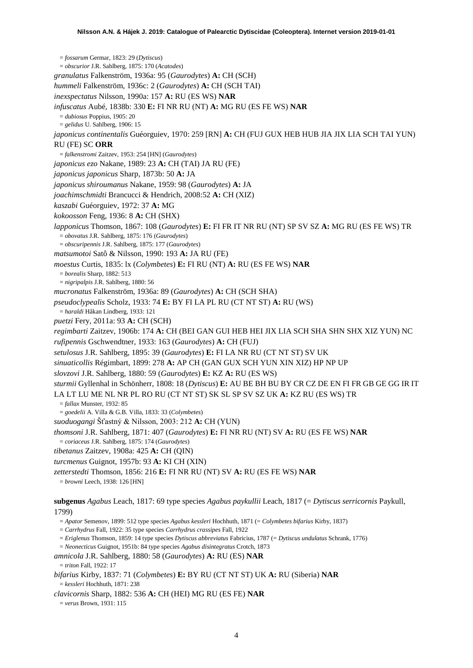= *fossarum* Germar, 1823: 29 (*Dytiscus*) = *obscurior* J.R. Sahlberg, 1875: 170 (*Acatodes*) *granulatus* Falkenström, 1936a: 95 (*Gaurodytes*) **A:** CH (SCH) *hummeli* Falkenström, 1936c: 2 (*Gaurodytes*) **A:** CH (SCH TAI) *inexspectatus* Nilsson, 1990a: 157 **A:** RU (ES WS) **NAR** *infuscatus* Aubé, 1838b: 330 **E:** FI NR RU (NT) **A:** MG RU (ES FE WS) **NAR** = *dubiosus* Poppius, 1905: 20 = *gelidus* U. Sahlberg, 1906: 15 *japonicus continentalis* Guéorguiev, 1970: 259 [RN] **A:** CH (FUJ GUX HEB HUB JIA JIX LIA SCH TAI YUN) RU (FE) SC **ORR** = *falkenstromi* Zaitzev, 1953: 254 [HN] (*Gaurodytes*) *japonicus ezo* Nakane, 1989: 23 **A:** CH (TAI) JA RU (FE) *japonicus japonicus* Sharp, 1873b: 50 **A:** JA *japonicus shiroumanus* Nakane, 1959: 98 (*Gaurodytes*) **A:** JA *joachimschmidti* Brancucci & Hendrich, 2008:52 **A:** CH (XIZ) *kaszabi* Guéorguiev, 1972: 37 **A:** MG *kokoosson* Feng, 1936: 8 **A:** CH (SHX) *lapponicus* Thomson, 1867: 108 (*Gaurodytes*) **E:** FI FR IT NR RU (NT) SP SV SZ **A:** MG RU (ES FE WS) TR = *obovatus* J.R. Sahlberg, 1875: 176 (*Gaurodytes*) = *obscuripennis* J.R. Sahlberg, 1875: 177 (*Gaurodytes*) *matsumotoi* Satô & Nilsson, 1990: 193 **A:** JA RU (FE) *moestus* Curtis, 1835: lx (*Colymbetes*) **E:** FI RU (NT) **A:** RU (ES FE WS) **NAR** = *borealis* Sharp, 1882: 513 = *nigripalpis* J.R. Sahlberg, 1880: 56 *mucronatus* Falkenström, 1936a: 89 (*Gaurodytes*) **A:** CH (SCH SHA) *pseudoclypealis* Scholz, 1933: 74 **E:** BY FI LA PL RU (CT NT ST) **A:** RU (WS) = *haraldi* Håkan Lindberg, 1933: 121 *puetzi* Fery, 2011a: 93 **A:** CH (SCH) *regimbarti* Zaitzev, 1906b: 174 **A:** CH (BEI GAN GUI HEB HEI JIX LIA SCH SHA SHN SHX XIZ YUN) NC *rufipennis* Gschwendtner, 1933: 163 (*Gaurodytes*) **A:** CH (FUJ) *setulosus* J.R. Sahlberg, 1895: 39 (*Gaurodytes*) **E:** FI LA NR RU (CT NT ST) SV UK *sinuaticollis* Régimbart, 1899: 278 **A:** AP CH (GAN GUX SCH YUN XIN XIZ) HP NP UP *slovzovi* J.R. Sahlberg, 1880: 59 (*Gaurodytes*) **E:** KZ **A:** RU (ES WS) *sturmii* Gyllenhal in Schönherr, 1808: 18 (*Dytiscus*) **E:** AU BE BH BU BY CR CZ DE EN FI FR GB GE GG IR IT LA LT LU ME NL NR PL RO RU (CT NT ST) SK SL SP SV SZ UK **A:** KZ RU (ES WS) TR = *fallax* Munster, 1932: 85 = *goedelii* A. Villa & G.B. Villa, 1833: 33 (*Colymbetes*) *suoduogangi* Šťastný & Nilsson, 2003: 212 **A:** CH (YUN) *thomsoni* J.R. Sahlberg, 1871: 407 (*Gaurodytes*) **E:** FI NR RU (NT) SV **A:** RU (ES FE WS) **NAR** = *coriaceus* J.R. Sahlberg, 1875: 174 (*Gaurodytes*) *tibetanus* Zaitzev, 1908a: 425 **A:** CH (QIN) *turcmenus* Guignot, 1957b: 93 **A:** KI CH (XIN) *zetterstedti* Thomson, 1856: 216 **E:** FI NR RU (NT) SV **A:** RU (ES FE WS) **NAR** = *browni* Leech, 1938: 126 [HN] **subgenus** *Agabus* Leach, 1817: 69 type species *Agabus paykullii* Leach, 1817 (= *Dytiscus serricornis* Paykull, 1799) = *Apator* Semenov, 1899: 512 type species *Agabus kessleri* Hochhuth, 1871 (= *Colymbetes bifarius* Kirby, 1837) = *Carrhydrus* Fall, 1922: 35 type species *Carrhydrus crassipes* Fall, 1922 = *Eriglenus* Thomson, 1859: 14 type species *Dytiscus abbreviatus* Fabricius, 1787 (= *Dytiscus undulatus* Schrank, 1776)

= *Neonecticus* Guignot, 1951b: 84 type species *Agabus disintegratus* Crotch, 1873 *amnicola* J.R. Sahlberg, 1880: 58 (*Gaurodytes*) **A:** RU (ES) **NAR**

 $=$  *triton* Fall, 1922: 17

*bifarius* Kirby, 1837: 71 (*Colymbetes*) **E:** BY RU (CT NT ST) UK **A:** RU (Siberia) **NAR** = *kessleri* Hochhuth, 1871: 238

*clavicornis* Sharp, 1882: 536 **A:** CH (HEI) MG RU (ES FE) **NAR**

= *verus* Brown, 1931: 115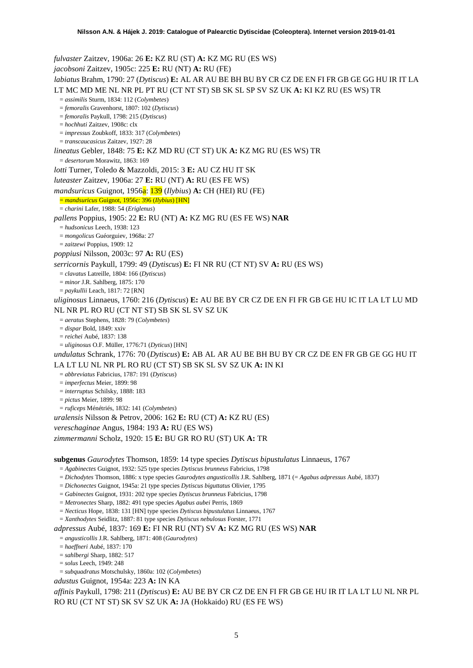*fulvaster* Zaitzev, 1906a: 26 **E:** KZ RU (ST) **A:** KZ MG RU (ES WS) *jacobsoni* Zaitzev, 1905c: 225 **E:** RU (NT) **A:** RU (FE) *labiatus* Brahm, 1790: 27 (*Dytiscus*) **E:** AL AR AU BE BH BU BY CR CZ DE EN FI FR GB GE GG HU IR IT LA LT MC MD ME NL NR PL PT RU (CT NT ST) SB SK SL SP SV SZ UK **A:** KI KZ RU (ES WS) TR = *assimilis* Sturm, 1834: 112 (*Colymbetes*) = *femoralis* Gravenhorst, 1807: 102 (*Dytiscus*) = *femoralis* Paykull, 1798: 215 (*Dytiscus*) = *hochhuti* Zaitzev, 1908c: clx = *impressus* Zoubkoff, 1833: 317 (*Colymbetes*) = *transcaucasicus* Zaitzev, 1927: 28 *lineatus* Gebler, 1848: 75 **E:** KZ MD RU (CT ST) UK **A:** KZ MG RU (ES WS) TR = *desertorum* Morawitz, 1863: 169 *lotti* Turner, Toledo & Mazzoldi, 2015: 3 **E:** AU CZ HU IT SK *luteaster* Zaitzev, 1906a: 27 **E:** RU (NT) **A:** RU (ES FE WS) *mandsuricus* Guignot, 1956a: 139 (*Ilybius*) **A:** CH (HEI) RU (FE) = *mandsuricus* Guignot, 1956c: 396 (*Ilybius*) [HN] = *charini* Lafer, 1988: 54 (*Eriglenus*) *pallens* Poppius, 1905: 22 **E:** RU (NT) **A:** KZ MG RU (ES FE WS) **NAR** = *hudsonicus* Leech, 1938: 123 = *mongolicus* Guéorguiev, 1968a: 27 = *zaitzewi* Poppius, 1909: 12 *poppiusi* Nilsson, 2003c: 97 **A:** RU (ES) *serricornis* Paykull, 1799: 49 (*Dytiscus*) **E:** FI NR RU (CT NT) SV **A:** RU (ES WS) = *clavatus* Latreille, 1804: 166 (*Dytiscus*) = *minor* J.R. Sahlberg, 1875: 170 = *paykullii* Leach, 1817: 72 [RN] *uliginosus* Linnaeus, 1760: 216 (*Dytiscus*) **E:** AU BE BY CR CZ DE EN FI FR GB GE HU IC IT LA LT LU MD NL NR PL RO RU (CT NT ST) SB SK SL SV SZ UK = *aeratus* Stephens, 1828: 79 (*Colymbetes*) = *dispar* Bold, 1849: xxiv = *reichei* Aubé, 1837: 138 = *uliginosus* O.F. Müller, 1776:71 (*Dyticus*) [HN] *undulatus* Schrank, 1776: 70 (*Dytiscus*) **E:** AB AL AR AU BE BH BU BY CR CZ DE EN FR GB GE GG HU IT LA LT LU NL NR PL RO RU (CT ST) SB SK SL SV SZ UK **A:** IN KI = *abbreviatus* Fabricius, 1787: 191 (*Dytiscus*) = *imperfectus* Meier, 1899: 98 = *interruptus* Schilsky, 1888: 183 = *pictus* Meier, 1899: 98 = *ruficeps* Ménétriés, 1832: 141 (*Colymbetes*) *uralensis* Nilsson & Petrov, 2006: 162 **E:** RU (CT) **A:** KZ RU (ES) *vereschaginae* Angus, 1984: 193 **A:** RU (ES WS) *zimmermanni* Scholz, 1920: 15 **E:** BU GR RO RU (ST) UK **A:** TR **subgenus** *Gaurodytes* Thomson, 1859: 14 type species *Dytiscus bipustulatus* Linnaeus, 1767 = *Agabinectes* Guignot, 1932: 525 type species *Dytiscus brunneus* Fabricius, 1798 = *Dichodytes* Thomson, 1886: x type species *Gaurodytes angusticollis* J.R. Sahlberg, 1871 (= *Agabus adpressus* Aubé, 1837) = *Dichonectes* Guignot, 1945a: 21 type species *Dytiscus biguttatus* Olivier, 1795 = *Gabinectes* Guignot, 1931: 202 type species *Dytiscus brunneus* Fabricius, 1798 = *Metronectes* Sharp, 1882: 491 type species *Agabus aubei* Perris, 1869 = *Necticus* Hope, 1838: 131 [HN] type species *Dytiscus bipustulatus* Linnaeus, 1767 = *Xanthodytes* Seidlitz, 1887: 81 type species *Dytiscus nebulosus* Forster, 1771 *adpressus* Aubé, 1837: 169 **E:** FI NR RU (NT) SV **A:** KZ MG RU (ES WS) **NAR** = *angusticollis* J.R. Sahlberg, 1871: 408 (*Gaurodytes*) = *haeffneri* Aubé, 1837: 170 = *sahlbergi* Sharp, 1882: 517

- = *solus* Leech, 1949: 248
- = *subquadratus* Motschulsky, 1860a: 102 (*Colymbetes*)

*adustus* Guignot, 1954a: 223 **A:** IN KA

*affinis* Paykull, 1798: 211 (*Dytiscus*) **E:** AU BE BY CR CZ DE EN FI FR GB GE HU IR IT LA LT LU NL NR PL RO RU (CT NT ST) SK SV SZ UK **A:** JA (Hokkaido) RU (ES FE WS)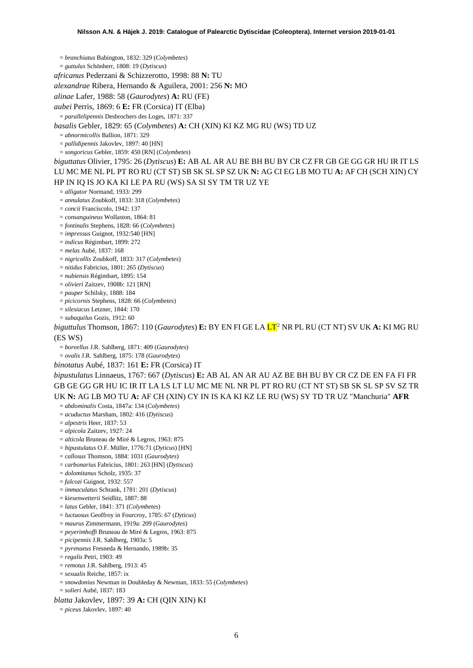= *branchiatus* Babington, 1832: 329 (*Colymbetes*)

= *guttulus* Schönherr, 1808: 19 (*Dytiscus*)

*africanus* Pederzani & Schizzerotto, 1998: 88 **N:** TU

*alexandrae* Ribera, Hernando & Aguilera, 2001: 256 **N:** MO

*alinae* Lafer, 1988: 58 (*Gaurodytes*) **A:** RU (FE)

*aubei* Perris, 1869: 6 **E:** FR (Corsica) IT (Elba)

= *parallelipennis* Desbrochers des Loges, 1871: 337

*basalis* Gebler, 1829: 65 (*Colymbetes*) **A:** CH (XIN) KI KZ MG RU (WS) TD UZ

= *abnormicollis* Ballion, 1871: 329

= *pallidipennis* Jakovlev, 1897: 40 [HN]

= *songoricus* Gebler, 1859: 450 [RN] (*Colymbetes*)

*biguttatus* Olivier, 1795: 26 (*Dytiscus*) **E:** AB AL AR AU BE BH BU BY CR CZ FR GB GE GG GR HU IR IT LS LU MC ME NL PL PT RO RU (CT ST) SB SK SL SP SZ UK **N:** AG CI EG LB MO TU **A:** AF CH (SCH XIN) CY HP IN IQ IS JO KA KI LE PA RU (WS) SA SI SY TM TR UZ YE

= *alligator* Normand, 1933: 299

= *annulatus* Zoubkoff, 1833: 318 (*Colymbetes*)

= *concii* Franciscolo, 1942: 137

= *consanguineus* Wollaston, 1864: 81

= *fontinalis* Stephens, 1828: 66 (*Colymbetes*)

= *impressus* Guignot, 1932:540 [HN]

= *indicus* Régimbart, 1899: 272

= *melas* Aubé, 1837: 168

= *nigricollis* Zoubkoff, 1833: 317 (*Colymbetes*)

= *nitidus* Fabricius, 1801: 265 (*Dytiscus*)

= *nubiensis* Régimbart, 1895: 154

= *olivieri* Zaitzev, 1908b: 121 [RN]

= *pauper* Schilsky, 1888: 184

= *picicornis* Stephens, 1828: 66 (*Colymbetes*)

= *silesiacus* Letzner, 1844: 170

= *subaquilus* Gozis, 1912: 60

*biguttulus* Thomson, 1867: 110 (*Gaurodytes*) **E:** BY EN FI GE LA LT[2](#page-52-1) NR PL RU (CT NT) SV UK **A:** KI MG RU (ES WS)

= *boreellus* J.R. Sahlberg, 1871: 409 (*Gaurodytes*)

= *ovalis* J.R. Sahlberg, 1875: 178 (*Gaurodytes*)

*binotatus* Aubé, 1837: 161 **E:** FR (Corsica) IT

*bipustulatus* Linnaeus, 1767: 667 (*Dytiscus*) **E:** AB AL AN AR AU AZ BE BH BU BY CR CZ DE EN FA FI FR GB GE GG GR HU IC IR IT LA LS LT LU MC ME NL NR PL PT RO RU (CT NT ST) SB SK SL SP SV SZ TR UK **N:** AG LB MO TU **A:** AF CH (XIN) CY IN IS KA KI KZ LE RU (WS) SY TD TR UZ "Manchuria" **AFR**

= *abdominalis* Costa, 1847a: 134 (*Colymbetes*)

= *acuductus* Marsham, 1802: 416 (*Dytiscus*)

= *alpestris* Heer, 1837: 53

= *alpicola* Zaitzev, 1927: 24

= *alticola* Bruneau de Miré & Legros, 1963: 875

= *bipustulatus* O.F. Müller, 1776:71 (*Dyticus*) [HN]

= *callosus* Thomson, 1884: 1031 (*Gaurodytes*)

= *carbonarius* Fabricius, 1801: 263 [HN] (*Dytiscus*)

= *dolomitanus* Scholz, 1935: 37

= *falcozi* Guignot, 1932: 557

= *immaculatus* Schrank, 1781: 201 (*Dytiscus*)

= *kiesenwetterii* Seidlitz, 1887: 88

= *latus* Gebler, 1841: 371 (*Colymbetes*)

= *luctuosus* Geoffroy in Fourcroy, 1785: 67 (*Dyticus*)

= *maurus* Zimmermann, 1919a: 209 (*Gaurodytes*)

= *peyerimhoffi* Bruneau de Miré & Legros, 1963: 875

= *picipennis* J.R. Sahlberg, 1903a: 5

= *pyrenaeus* Fresneda & Hernando, 1989b: 35

= *regalis* Petri, 1903: 49

= *remotus* J.R. Sahlberg, 1913: 45

= *sexualis* Reiche, 1857: ix

= *snowdonius* Newman in Doubleday & Newman, 1833: 55 (*Colymbetes*)

= *solieri* Aubé, 1837: 183

*blatta* Jakovlev, 1897: 39 **A:** CH (QIN XIN) KI

= *piceus* Jakovlev, 1897: 40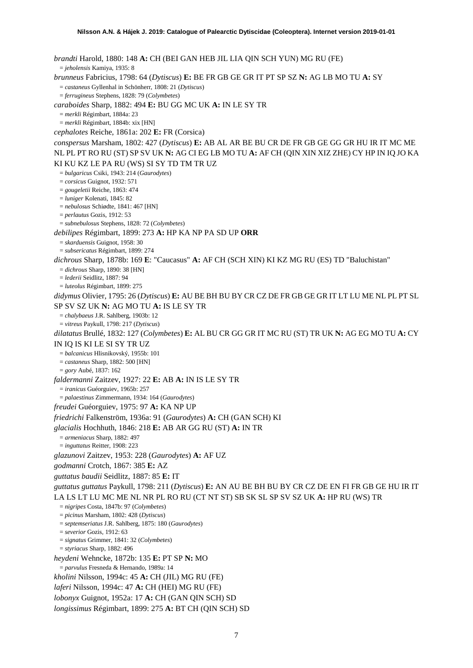*brandti* Harold, 1880: 148 **A:** CH (BEI GAN HEB JIL LIA QIN SCH YUN) MG RU (FE) = *jeholensis* Kamiya, 1935: 8 *brunneus* Fabricius, 1798: 64 (*Dytiscus*) **E:** BE FR GB GE GR IT PT SP SZ **N:** AG LB MO TU **A:** SY = *castaneus* Gyllenhal in Schönherr, 1808: 21 (*Dytiscus*) = *ferrugineus* Stephens, 1828: 79 (*Colymbetes*) *caraboides* Sharp, 1882: 494 **E:** BU GG MC UK **A:** IN LE SY TR = *merkli* Régimbart, 1884a: 23 = *merkli* Régimbart, 1884b: xix [HN] *cephalotes* Reiche, 1861a: 202 **E:** FR (Corsica) *conspersus* Marsham, 1802: 427 (*Dytiscus*) **E:** AB AL AR BE BU CR DE FR GB GE GG GR HU IR IT MC ME NL PL PT RO RU (ST) SP SV UK **N:** AG CI EG LB MO TU **A:** AF CH (QIN XIN XIZ ZHE) CY HP IN IQ JO KA KI KU KZ LE PA RU (WS) SI SY TD TM TR UZ = *bulgaricus* Csiki, 1943: 214 (*Gaurodytes*) = *corsicus* Guignot, 1932: 571 = *gougeletii* Reiche, 1863: 474 = *luniger* Kolenati, 1845: 82 = *nebulosus* Schiødte, 1841: 467 [HN] = *perlautus* Gozis, 1912: 53 = *subnebulosus* Stephens, 1828: 72 (*Colymbetes*) *debilipes* Régimbart, 1899: 273 **A:** HP KA NP PA SD UP **ORR** = *skarduensis* Guignot, 1958: 30 = *subsericatus* Régimbart, 1899: 274 *dichrous* Sharp, 1878b: 169 **E**: "Caucasus" **A:** AF CH (SCH XIN) KI KZ MG RU (ES) TD "Baluchistan" = *dichrous* Sharp, 1890: 38 [HN] = *lederii* Seidlitz, 1887: 94 = *luteolus* Régimbart, 1899: 275 *didymus* Olivier, 1795: 26 (*Dytiscus*) **E:** AU BE BH BU BY CR CZ DE FR GB GE GR IT LT LU ME NL PL PT SL SP SV SZ UK **N:** AG MO TU **A:** IS LE SY TR = *chalybaeus* J.R. Sahlberg, 1903b: 12 = *vitreus* Paykull, 1798: 217 (*Dytiscus*) *dilatatus* Brullé, 1832: 127 (*Colymbetes*) **E:** AL BU CR GG GR IT MC RU (ST) TR UK **N:** AG EG MO TU **A:** CY IN IQ IS KI LE SI SY TR UZ = *balcanicus* Hlisnikovský, 1955b: 101 = *castaneus* Sharp, 1882: 500 [HN] = *gory* Aubé, 1837: 162 *faldermanni* Zaitzev, 1927: 22 **E:** AB **A:** IN IS LE SY TR = *iranicus* Guéorguiev, 1965b: 257 = *palaestinus* Zimmermann, 1934: 164 (*Gaurodytes*) *freudei* Guéorguiev, 1975: 97 **A:** KA NP UP *friedrichi* Falkenström, 1936a: 91 (*Gaurodytes*) **A:** CH (GAN SCH) KI *glacialis* Hochhuth, 1846: 218 **E:** AB AR GG RU (ST) **A:** IN TR = *armeniacus* Sharp, 1882: 497 = *inguttatus* Reitter, 1908: 223 *glazunovi* Zaitzev, 1953: 228 (*Gaurodytes*) **A:** AF UZ *godmanni* Crotch, 1867: 385 **E:** AZ *guttatus baudii* Seidlitz, 1887: 85 **E:** IT *guttatus guttatus* Paykull, 1798: 211 (*Dytiscus*) **E:** AN AU BE BH BU BY CR CZ DE EN FI FR GB GE HU IR IT LA LS LT LU MC ME NL NR PL RO RU (CT NT ST) SB SK SL SP SV SZ UK **A:** HP RU (WS) TR = *nigripes* Costa, 1847b: 97 (*Colymbetes*) = *picinus* Marsham, 1802: 428 (*Dytiscus*) = *septemseriatus* J.R. Sahlberg, 1875: 180 (*Gaurodytes*) = *severior* Gozis, 1912: 63 = *signatus* Grimmer, 1841: 32 (*Colymbetes*) = *styriacus* Sharp, 1882: 496 *heydeni* Wehncke, 1872b: 135 **E:** PT SP **N:** MO = *parvulus* Fresneda & Hernando, 1989a: 14 *kholini* Nilsson, 1994c: 45 **A:** CH (JIL) MG RU (FE) *laferi* Nilsson, 1994c: 47 **A:** CH (HEI) MG RU (FE) *lobonyx* Guignot, 1952a: 17 **A:** CH (GAN QIN SCH) SD

*longissimus* Régimbart, 1899: 275 **A:** BT CH (QIN SCH) SD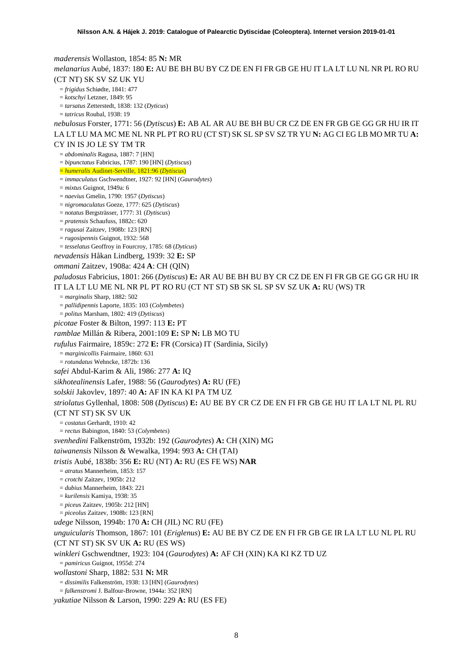*maderensis* Wollaston, 1854: 85 **N:** MR *melanarius* Aubé, 1837: 180 **E:** AU BE BH BU BY CZ DE EN FI FR GB GE HU IT LA LT LU NL NR PL RO RU (CT NT) SK SV SZ UK YU = *frigidus* Schiødte, 1841: 477 = *kotschyi* Letzner, 1849: 95 = *tarsatus* Zetterstedt, 1838: 132 (*Dyticus*) = *tatricus* Roubal, 1938: 19 *nebulosus* Forster, 1771: 56 (*Dytiscus*) **E:** AB AL AR AU BE BH BU CR CZ DE EN FR GB GE GG GR HU IR IT LA LT LU MA MC ME NL NR PL PT RO RU (CT ST) SK SL SP SV SZ TR YU **N:** AG CI EG LB MO MR TU **A:**  CY IN IS JO LE SY TM TR = *abdominalis* Ragusa, 1887: 7 [HN] = *bipunctatus* Fabricius, 1787: 190 [HN] (*Dytiscus*) = *humeralis* Audinet-Serville, 1821:96 (*Dytiscus*) = *immaculatus* Gschwendtner, 1927: 92 [HN] (*Gaurodytes*) = *mixtus* Guignot, 1949a: 6 = *naevius* Gmelin, 1790: 1957 (*Dytiscus*) = *nigromaculatus* Goeze, 1777: 625 (*Dytiscus*) = *notatus* Bergsträsser, 1777: 31 (*Dytiscus*) = *pratensis* Schaufuss, 1882c: 620 = *ragusai* Zaitzev, 1908b: 123 [RN] = *rugosipennis* Guignot, 1932: 568 = *tesselatus* Geoffroy in Fourcroy, 1785: 68 (*Dyticus*) *nevadensis* Håkan Lindberg, 1939: 32 **E:** SP *ommani* Zaitzev, 1908a: 424 **A**: CH (QIN) *paludosus* Fabricius, 1801: 266 (*Dytiscus*) **E:** AR AU BE BH BU BY CR CZ DE EN FI FR GB GE GG GR HU IR IT LA LT LU ME NL NR PL PT RO RU (CT NT ST) SB SK SL SP SV SZ UK **A:** RU (WS) TR = *marginalis* Sharp, 1882: 502 = *pallidipennis* Laporte, 1835: 103 (*Colymbetes*) = *politus* Marsham, 1802: 419 (*Dytiscus*) *picotae* Foster & Bilton, 1997: 113 **E:** PT *ramblae* Millán & Ribera, 2001:109 **E:** SP **N:** LB MO TU *rufulus* Fairmaire, 1859c: 272 **E:** FR (Corsica) IT (Sardinia, Sicily) = *marginicollis* Fairmaire, 1860: 631 = *rotundatus* Wehncke, 1872b: 136 *safei* Abdul-Karim & Ali, 1986: 277 **A:** IQ *sikhotealinensis* Lafer, 1988: 56 (*Gaurodytes*) **A:** RU (FE) *solskii* Jakovlev, 1897: 40 **A:** AF IN KA KI PA TM UZ *striolatus* Gyllenhal, 1808: 508 (*Dytiscus*) **E:** AU BE BY CR CZ DE EN FI FR GB GE HU IT LA LT NL PL RU (CT NT ST) SK SV UK = *costatus* Gerhardt, 1910: 42 = *rectus* Babington, 1840: 53 (*Colymbetes*) *svenhedini* Falkenström, 1932b: 192 (*Gaurodytes*) **A:** CH (XIN) MG *taiwanensis* Nilsson & Wewalka, 1994: 993 **A:** CH (TAI) *tristis* Aubé, 1838b: 356 **E:** RU (NT) **A:** RU (ES FE WS) **NAR** = *atratus* Mannerheim, 1853: 157 = *crotchi* Zaitzev, 1905b: 212 = *dubius* Mannerheim, 1843: 221 = *kurilensis* Kamiya, 1938: 35 = *piceu*s Zaitzev, 1905b: 212 [HN] = *piceolus* Zaitzev, 1908b: 123 [RN] *udege* Nilsson, 1994b: 170 **A:** CH (JIL) NC RU (FE) *unguicularis* Thomson, 1867: 101 (*Eriglenus*) **E:** AU BE BY CZ DE EN FI FR GB GE IR LA LT LU NL PL RU (CT NT ST) SK SV UK **A:** RU (ES WS) *winkleri* Gschwendtner, 1923: 104 (*Gaurodytes*) **A:** AF CH (XIN) KA KI KZ TD UZ = *pamiricus* Guignot, 1955d: 274 *wollastoni* Sharp, 1882: 531 **N:** MR = *dissimilis* Falkenström, 1938: 13 [HN] (*Gaurodytes*) = *falkenstromi* J. Balfour-Browne, 1944a: 352 [RN] *yakutiae* Nilsson & Larson, 1990: 229 **A:** RU (ES FE)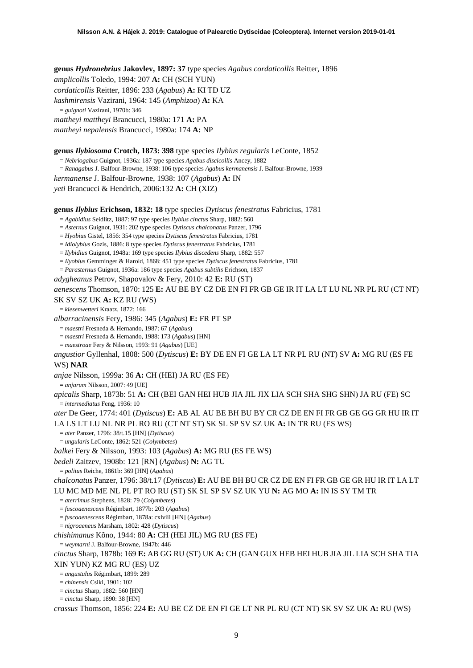**genus** *Hydronebrius* **Jakovlev, 1897: 37** type species *Agabus cordaticollis* Reitter, 1896 *amplicollis* Toledo, 1994: 207 **A:** CH (SCH YUN) *cordaticollis* Reitter, 1896: 233 (*Agabus*) **A:** KI TD UZ *kashmirensis* Vazirani, 1964: 145 (*Amphizoa*) **A:** KA = *guignoti* Vazirani, 1970b: 346 *mattheyi mattheyi* Brancucci, 1980a: 171 **A:** PA *mattheyi nepalensis* Brancucci, 1980a: 174 **A:** NP

#### **genus** *Ilybiosoma* **Crotch, 1873: 398** type species *Ilybius regularis* LeConte, 1852

= *Nebriogabus* Guignot, 1936a: 187 type species *Agabus discicollis* Ancey, 1882 = *Ranagabus* J. Balfour-Browne, 1938: 106 type species *Agabus kermanensis* J. Balfour-Browne, 1939 *kermanense* J. Balfour-Browne, 1938: 107 (*Agabus*) **A:** IN *yeti* Brancucci & Hendrich, 2006:132 **A:** CH (XIZ)

**genus** *Ilybius* **Erichson, 1832: 18** type species *Dytiscus fenestratus* Fabricius, 1781

= *Agabidius* Seidlitz, 1887: 97 type species *Ilybius cinctus* Sharp, 1882: 560

= *Asternus* Guignot, 1931: 202 type species *Dytiscus chalconatus* Panzer, 1796

= *Hyobius* Gistel, 1856: 354 type species *Dytiscus fenestratus* Fabricius, 1781

= *Idiolybius* Gozis, 1886: 8 type species *Dytiscus fenestratus* Fabricius, 1781

= *Ilybidius* Guignot, 1948a: 169 type species *Ilybius discedens* Sharp, 1882: 557

= *Ilyobius* Gemminger & Harold, 1868: 451 type species *Dytiscus fenestratus* Fabricius, 1781

= *Parasternus* Guignot, 1936a: 186 type species *Agabus subtilis* Erichson, 1837

*adygheanus* Petrov, Shapovalov & Fery, 2010: 42 **E:** RU (ST)

*aenescens* Thomson, 1870: 125 **E:** AU BE BY CZ DE EN FI FR GB GE IR IT LA LT LU NL NR PL RU (CT NT)

SK SV SZ UK **A:** KZ RU (WS)

= *kiesenwetteri* Kraatz, 1872: 166

*albarracinensis* Fery, 1986: 345 (*Agabus*) **E:** FR PT SP

= *maestri* Fresneda & Hernando, 1987: 67 (*Agabus*)

= *maestri* Fresneda & Hernando, 1988: 173 (*Agabus*) [HN]

= *maestroae* Fery & Nilsson, 1993: 91 (*Agabus*) [UE]

*angustior* Gyllenhal, 1808: 500 (*Dytiscus*) **E:** BY DE EN FI GE LA LT NR PL RU (NT) SV **A:** MG RU (ES FE WS) **NAR**

*anjae* Nilsson, 1999a: 36 **A:** CH (HEI) JA RU (ES FE)

**=** *anjarum* Nilsson, 2007: 49 [UE]

*apicalis* Sharp, 1873b: 51 **A:** CH (BEI GAN HEI HUB JIA JIL JIX LIA SCH SHA SHG SHN) JA RU (FE) SC = *intermediatus* Feng, 1936: 10

*ater* De Geer, 1774: 401 (*Dytiscus*) **E:** AB AL AU BE BH BU BY CR CZ DE EN FI FR GB GE GG GR HU IR IT LA LS LT LU NL NR PL RO RU (CT NT ST) SK SL SP SV SZ UK **A:** IN TR RU (ES WS)

= *ater* Panzer, 1796: 38/t.15 [HN] (*Dytiscus*)

= *ungularis* LeConte, 1862: 521 (*Colymbetes*)

*balkei* Fery & Nilsson, 1993: 103 (*Agabus*) **A:** MG RU (ES FE WS)

*bedeli* Zaitzev, 1908b: 121 [RN] (*Agabus*) **N:** AG TU

= *politus* Reiche, 1861b: 369 [HN] (*Agabus*)

*chalconatus* Panzer, 1796: 38/t.17 (*Dytiscus*) **E:** AU BE BH BU CR CZ DE EN FI FR GB GE GR HU IR IT LA LT LU MC MD ME NL PL PT RO RU (ST) SK SL SP SV SZ UK YU **N:** AG MO **A:** IN IS SY TM TR

= *aterrimus* Stephens, 1828: 79 (*Colymbetes*)

= *fuscoaenescens* Régimbart, 1877b: 203 (*Agabus*)

= *fuscoaenescens* Régimbart, 1878a: cxlviii [HN] (*Agabus*)

= *nigroaeneus* Marsham, 1802: 428 (*Dytiscus*)

*chishimanus* Kôno, 1944: 80 **A:** CH (HEI JIL) MG RU (ES FE)

= *weymarni* J. Balfour-Browne, 1947b: 446

*cinctus* Sharp, 1878b: 169 **E:** AB GG RU (ST) UK **A:** CH (GAN GUX HEB HEI HUB JIA JIL LIA SCH SHA TIA XIN YUN) KZ MG RU (ES) UZ

= *angustulus* Régimbart, 1899: 289

= *chinensis* Csiki, 1901: 102

= *cinctus* Sharp, 1882: 560 [HN]

= *cinctus* Sharp, 1890: 38 [HN]

*crassus* Thomson, 1856: 224 **E:** AU BE CZ DE EN FI GE LT NR PL RU (CT NT) SK SV SZ UK **A:** RU (WS)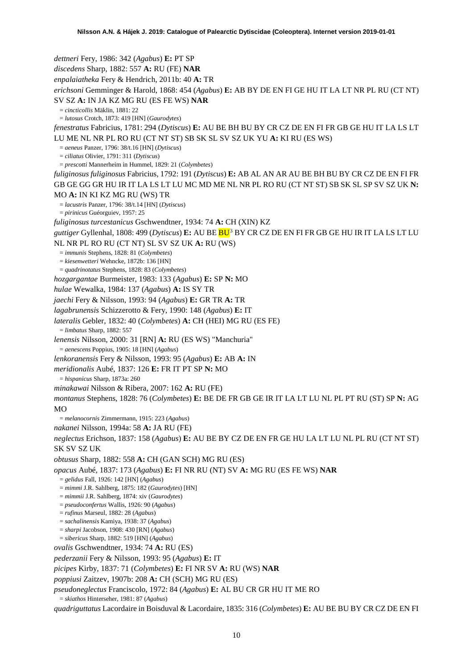<span id="page-9-0"></span>*dettneri* Fery, 1986: 342 (*Agabus*) **E:** PT SP *discedens* Sharp, 1882: 557 **A:** RU (FE) **NAR** *enpalaiatheka* Fery & Hendrich, 2011b: 40 **A:** TR *erichsoni* Gemminger & Harold, 1868: 454 (*Agabus*) **E:** AB BY DE EN FI GE HU IT LA LT NR PL RU (CT NT) SV SZ **A:** IN JA KZ MG RU (ES FE WS) **NAR** = *cincticollis* Mäklin, 1881: 22 = *lutosus* Crotch, 1873: 419 [HN] (*Gaurodytes*) *fenestratus* Fabricius, 1781: 294 (*Dytiscus*) **E:** AU BE BH BU BY CR CZ DE EN FI FR GB GE HU IT LA LS LT LU ME NL NR PL RO RU (CT NT ST) SB SK SL SV SZ UK YU **A:** KI RU (ES WS) = *aeneus* Panzer, 1796: 38/t.16 [HN] (*Dytiscus*) = *ciliatus* Olivier, 1791: 311 (*Dytiscus*) = *prescotti* Mannerheim in Hummel, 1829: 21 (*Colymbetes*) *fuliginosus fuliginosus* Fabricius, 1792: 191 (*Dytiscus*) **E:** AB AL AN AR AU BE BH BU BY CR CZ DE EN FI FR GB GE GG GR HU IR IT LA LS LT LU MC MD ME NL NR PL RO RU (CT NT ST) SB SK SL SP SV SZ UK **N:**  MO **A:** IN KI KZ MG RU (WS) TR = *lacustris* Panzer, 1796: 38/t.14 [HN] (*Dytiscus*) = *pirinicus* Guéorguiev, 1957: 25 *fuliginosus turcestanicus* Gschwendtner, 1934: 74 **A:** CH (XIN) KZ *guttiger* Gyllenhal, 1808: 499 (*Dytiscus*) **E:** AU BE BU[3](#page-52-2) BY CR CZ DE EN FI FR GB GE HU IR IT LA LS LT LU NL NR PL RO RU (CT NT) SL SV SZ UK **A:** RU (WS) = *immunis* Stephens, 1828: 81 (*Colymbetes*) = *kiesenwetteri* Wehncke, 1872b: 136 [HN] = *quadrinotatus* Stephens, 1828: 83 (*Colymbetes*) *hozgargantae* Burmeister, 1983: 133 (*Agabus*) **E:** SP **N:** MO *hulae* Wewalka, 1984: 137 (*Agabus*) **A:** IS SY TR *jaechi* Fery & Nilsson, 1993: 94 (*Agabus*) **E:** GR TR **A:** TR *lagabrunensis* Schizzerotto & Fery, 1990: 148 (*Agabus*) **E:** IT *lateralis* Gebler, 1832: 40 (*Colymbetes*) **A:** CH (HEI) MG RU (ES FE) = *limbatus* Sharp, 1882: 557 *lenensis* Nilsson, 2000: 31 [RN] **A:** RU (ES WS) "Manchuria" = *aenescens* Poppius, 1905: 18 [HN] (*Agabus*) *lenkoranensis* Fery & Nilsson, 1993: 95 (*Agabus*) **E:** AB **A:** IN *meridionalis* Aubé, 1837: 126 **E:** FR IT PT SP **N:** MO = *hispanicus* Sharp, 1873a: 260 *minakawai* Nilsson & Ribera, 2007: 162 **A:** RU (FE) *montanus* Stephens, 1828: 76 (*Colymbetes*) **E:** BE DE FR GB GE IR IT LA LT LU NL PL PT RU (ST) SP **N:** AG  $MO$ = *melanocornis* Zimmermann, 1915: 223 (*Agabus*) *nakanei* Nilsson, 1994a: 58 **A:** JA RU (FE) *neglectus* Erichson, 1837: 158 (*Agabus*) **E:** AU BE BY CZ DE EN FR GE HU LA LT LU NL PL RU (CT NT ST) SK SV SZ UK *obtusus* Sharp, 1882: 558 **A:** CH (GAN SCH) MG RU (ES) *opacus* Aubé, 1837: 173 (*Agabus*) **E:** FI NR RU (NT) SV **A:** MG RU (ES FE WS) **NAR** = *gelidus* Fall, 1926: 142 [HN] (*Agabus*) = *mimmi* J.R. Sahlberg, 1875: 182 (*Gaurodytes*) [HN] = *mimmii* J.R. Sahlberg, 1874: xiv (*Gaurodytes*) = *pseudoconfertus* Wallis, 1926: 90 (*Agabus*) = *rufinus* Marseul, 1882: 28 (*Agabus*) = *sachalinensis* Kamiya, 1938: 37 (*Agabus*) = *sharpi* Jacobson, 1908: 430 [RN] (*Agabus*) = *sibericus* Sharp, 1882: 519 [HN] (*Agabus*) *ovalis* Gschwendtner, 1934: 74 **A:** RU (ES) *pederzanii* Fery & Nilsson, 1993: 95 (*Agabus*) **E:** IT *picipes* Kirby, 1837: 71 (*Colymbetes*) **E:** FI NR SV **A:** RU (WS) **NAR** *poppiusi* Zaitzev, 1907b: 208 **A:** CH (SCH) MG RU (ES) *pseudoneglectus* Franciscolo, 1972: 84 (*Agabus*) **E:** AL BU CR GR HU IT ME RO = *skiathos* Hinterseher, 1981: 87 (*Agabus*)

*quadriguttatus* Lacordaire in Boisduval & Lacordaire, 1835: 316 (*Colymbetes*) **E:** AU BE BU BY CR CZ DE EN FI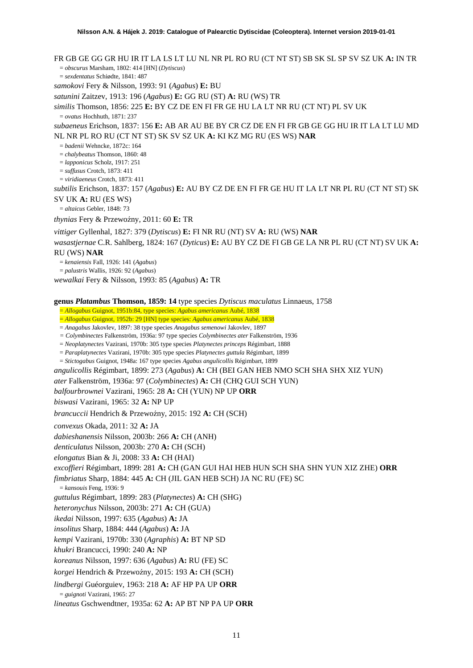FR GB GE GG GR HU IR IT LA LS LT LU NL NR PL RO RU (CT NT ST) SB SK SL SP SV SZ UK **A:** IN TR = *obscurus* Marsham, 1802: 414 [HN] (*Dytiscus*) = *sexdentatus* Schiødte, 1841: 487 *samokovi* Fery & Nilsson, 1993: 91 (*Agabus*) **E:** BU *satunini* Zaitzev, 1913: 196 (*Agabus*) **E:** GG RU (ST) **A:** RU (WS) TR *similis* Thomson, 1856: 225 **E:** BY CZ DE EN FI FR GE HU LA LT NR RU (CT NT) PL SV UK = *ovatus* Hochhuth, 1871: 237 *subaeneus* Erichson, 1837: 156 **E:** AB AR AU BE BY CR CZ DE EN FI FR GB GE GG HU IR IT LA LT LU MD NL NR PL RO RU (CT NT ST) SK SV SZ UK **A:** KI KZ MG RU (ES WS) **NAR** = *badenii* Wehncke, 1872c: 164 = *chalybeatus* Thomson, 1860: 48 = *lapponicus* Scholz, 1917: 251 = *suffusus* Crotch, 1873: 411 = *viridiaeneus* Crotch, 1873: 411 *subtilis* Erichson, 1837: 157 (*Agabus*) **E:** AU BY CZ DE EN FI FR GE HU IT LA LT NR PL RU (CT NT ST) SK SV UK **A:** RU (ES WS) = *altaicus* Gebler, 1848: 73 *thynias* Fery & Przewoźny, 2011: 60 E: TR *vittiger* Gyllenhal, 1827: 379 (*Dytiscus*) **E:** FI NR RU (NT) SV **A:** RU (WS) **NAR** *wasastjernae* C.R. Sahlberg, 1824: 167 (*Dyticus*) **E:** AU BY CZ DE FI GB GE LA NR PL RU (CT NT) SV UK **A:**  RU (WS) **NAR** = *kenaiensis* Fall, 1926: 141 (*Agabus*)

= *palustris* Wallis, 1926: 92 (*Agabus*)

*wewalkai* Fery & Nilsson, 1993: 85 (*Agabus*) **A:** TR

**genus** *Platambus* **Thomson, 1859: 14** type species *Dytiscus maculatus* Linnaeus, 1758

= *Allogabus* Guignot, 1951b:84, type species: *Agabus americanus* Aubé, 1838

= *Allogabus* Guignot, 1952b: 29 [HN] type species: *Agabus americanus* Aubé, 1838

= *Anagabus* Jakovlev, 1897: 38 type species *Anagabus semenowi* Jakovlev, 1897

*= Colymbinectes* Falkenström, 1936a: 97 type species *Colymbinectes ater* Falkenström, 1936

= *Neoplatynectes* Vazirani, 1970b: 305 type species *Platynectes princeps* Régimbart, 1888

= *Paraplatynectes* Vazirani, 1970b: 305 type species *Platynectes guttula* Régimbart, 1899

= *Stictogabus* Guignot, 1948a: 167 type species *Agabus angulicollis* Régimbart, 1899

*angulicollis* Régimbart, 1899: 273 (*Agabus*) **A:** CH (BEI GAN HEB NMO SCH SHA SHX XIZ YUN)

*ater* Falkenström, 1936a: 97 (*Colymbinectes*) **A:** CH (CHQ GUI SCH YUN)

*balfourbrownei* Vazirani, 1965: 28 **A:** CH (YUN) NP UP **ORR**

*biswasi* Vazirani, 1965: 32 **A:** NP UP

*brancuccii* Hendrich & Przewoźny, 2015: 192 A: CH (SCH)

*convexus* Okada, 2011: 32 **A:** JA

*dabieshanensis* Nilsson, 2003b: 266 **A:** CH (ANH)

*denticulatus* Nilsson, 2003b: 270 **A:** CH (SCH)

*elongatus* Bian & Ji, 2008: 33 **A:** CH (HAI)

*excoffieri* Régimbart, 1899: 281 **A:** CH (GAN GUI HAI HEB HUN SCH SHA SHN YUN XIZ ZHE) **ORR**

*fimbriatus* Sharp, 1884: 445 **A:** CH (JIL GAN HEB SCH) JA NC RU (FE) SC

= *kansouis* Feng, 1936: 9

*guttulus* Régimbart, 1899: 283 (*Platynectes*) **A:** CH (SHG)

*heteronychus* Nilsson, 2003b: 271 **A:** CH (GUA)

*ikedai* Nilsson, 1997: 635 (*Agabus*) **A:** JA

*insolitus* Sharp, 1884: 444 (*Agabus*) **A:** JA

*kempi* Vazirani, 1970b: 330 (*Agraphis*) **A:** BT NP SD

*khukri* Brancucci, 1990: 240 **A:** NP

*koreanus* Nilsson, 1997: 636 (*Agabus*) **A:** RU (FE) SC

 $koreei$  Hendrich & Przewoźny, 2015: 193 **A:** CH (SCH)

*lindbergi* Guéorguiev, 1963: 218 **A:** AF HP PA UP **ORR**

= *guignoti* Vazirani, 1965: 27

*lineatus* Gschwendtner, 1935a: 62 **A:** AP BT NP PA UP **ORR**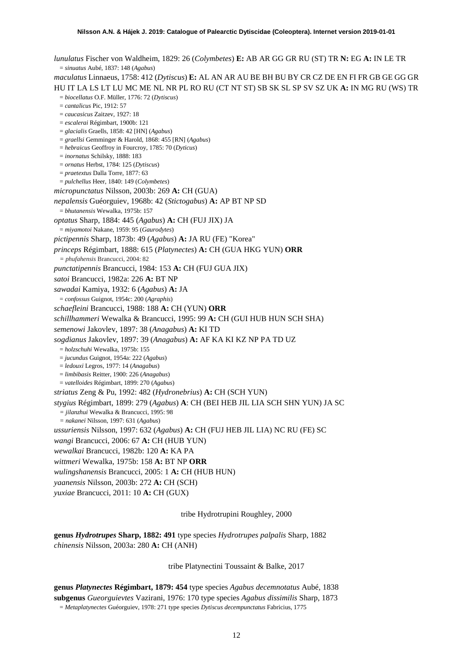*lunulatus* Fischer von Waldheim, 1829: 26 (*Colymbetes*) **E:** AB AR GG GR RU (ST) TR **N:** EG **A:** IN LE TR = *sinuatus* Aubé, 1837: 148 (*Agabus*) *maculatus* Linnaeus, 1758: 412 (*Dytiscus*) **E:** AL AN AR AU BE BH BU BY CR CZ DE EN FI FR GB GE GG GR HU IT LA LS LT LU MC ME NL NR PL RO RU (CT NT ST) SB SK SL SP SV SZ UK **A:** IN MG RU (WS) TR = *biocellatus* O.F. Müller, 1776: 72 (*Dytiscus*) = *cantalicus* Pic, 1912: 57 = *caucasicus* Zaitzev, 1927: 18 = *escalerai* Régimbart, 1900b: 121 = *glacialis* Graells, 1858: 42 [HN] (*Agabus*) = *graellsi* Gemminger & Harold, 1868: 455 [RN] (*Agabus*) = *hebraicus* Geoffroy in Fourcroy, 1785: 70 (*Dyticus*) = *inornatus* Schilsky, 1888: 183 = *ornatus* Herbst, 1784: 125 (*Dytiscus*) = *praetextus* Dalla Torre, 1877: 63 = *pulchellus* Heer, 1840: 149 (*Colymbetes*) *micropunctatus* Nilsson, 2003b: 269 **A:** CH (GUA) *nepalensis* Guéorguiev, 1968b: 42 (*Stictogabus*) **A:** AP BT NP SD = *bhutanensis* Wewalka, 1975b: 157 *optatus* Sharp, 1884: 445 (*Agabus*) **A:** CH (FUJ JIX) JA = *miyamotoi* Nakane, 1959: 95 (*Gaurodytes*) *pictipennis* Sharp, 1873b: 49 (*Agabus*) **A:** JA RU (FE) "Korea" *princeps* Régimbart, 1888: 615 (*Platynectes*) **A:** CH (GUA HKG YUN) **ORR** *= phufahensis* Brancucci, 2004: 82 *punctatipennis* Brancucci, 1984: 153 **A:** CH (FUJ GUA JIX) *satoi* Brancucci, 1982a: 226 **A:** BT NP *sawadai* Kamiya, 1932: 6 (*Agabus*) **A:** JA = *confossus* Guignot, 1954c: 200 (*Agraphis*) *schaefleini* Brancucci, 1988: 188 **A:** CH (YUN) **ORR** *schillhammeri* Wewalka & Brancucci, 1995: 99 **A:** CH (GUI HUB HUN SCH SHA) *semenowi* Jakovlev, 1897: 38 (*Anagabus*) **A:** KI TD *sogdianus* Jakovlev, 1897: 39 (*Anagabus*) **A:** AF KA KI KZ NP PA TD UZ = *holzschuhi* Wewalka, 1975b: 155 = *jucundus* Guignot, 1954a: 222 (*Agabus*) = *ledouxi* Legros, 1977: 14 (*Anagabus*) = *limbibasis* Reitter, 1900: 226 (*Anagabus*) = *vatelloides* Régimbart, 1899: 270 (*Agabus*) *striatus* Zeng & Pu, 1992: 482 (*Hydronebrius*) **A:** CH (SCH YUN) *stygius* Régimbart, 1899: 279 (*Agabus*) **A**: CH (BEI HEB JIL LIA SCH SHN YUN) JA SC *= jilanzhui* Wewalka & Brancucci, 1995: 98 *= nakanei* Nilsson, 1997: 631 (*Agabus*) *ussuriensis* Nilsson, 1997: 632 (*Agabus*) **A:** CH (FUJ HEB JIL LIA) NC RU (FE) SC *wangi* Brancucci, 2006: 67 **A:** CH (HUB YUN) *wewalkai* Brancucci, 1982b: 120 **A:** KA PA *wittmeri* Wewalka, 1975b: 158 **A:** BT NP **ORR** *wulingshanensis* Brancucci, 2005: 1 **A:** CH (HUB HUN) *yaanensis* Nilsson, 2003b: 272 **A:** CH (SCH) *yuxiae* Brancucci, 2011: 10 **A:** CH (GUX)

tribe Hydrotrupini Roughley, 2000

**genus** *Hydrotrupes* **Sharp, 1882: 491** type species *Hydrotrupes palpalis* Sharp, 1882 *chinensis* Nilsson, 2003a: 280 **A:** CH (ANH)

tribe Platynectini Toussaint & Balke, 2017

**genus** *Platynectes* **Régimbart, 1879: 454** type species *Agabus decemnotatus* Aubé, 1838 **subgenus** *Gueorguievtes* Vazirani, 1976: 170 type species *Agabus dissimilis* Sharp, 1873 = *Metaplatynectes* Guéorguiev, 1978: 271 type species *Dytiscus decempunctatus* Fabricius, 1775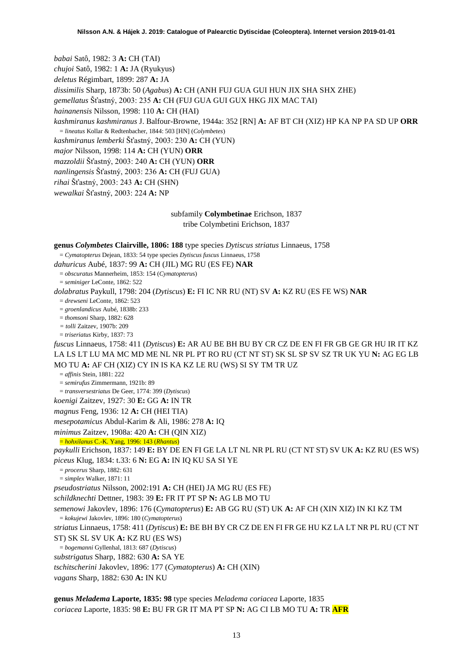*babai* Satô, 1982: 3 **A:** CH (TAI) *chujoi* Satô, 1982: 1 **A:** JA (Ryukyus) *deletus* Régimbart, 1899: 287 **A:** JA *dissimilis* Sharp, 1873b: 50 (*Agabus*) **A:** CH (ANH FUJ GUA GUI HUN JIX SHA SHX ZHE) *gemellatus* Šťastný, 2003: 235 **A:** CH (FUJ GUA GUI GUX HKG JIX MAC TAI) *hainanensis* Nilsson, 1998: 110 **A:** CH (HAI) *kashmiranus kashmiranus* J. Balfour-Browne, 1944a: 352 [RN] **A:** AF BT CH (XIZ) HP KA NP PA SD UP **ORR** = *lineatus* Kollar & Redtenbacher, 1844: 503 [HN] (*Colymbetes*) *kashmiranus lemberki* Šťastný, 2003: 230 **A:** CH (YUN) *major* Nilsson, 1998: 114 **A:** CH (YUN) **ORR**

*mazzoldii* Šťastný, 2003: 240 **A:** CH (YUN) **ORR**

*nanlingensis* Šťastný, 2003: 236 **A:** CH (FUJ GUA)

*rihai* Šťastný, 2003: 243 **A:** CH (SHN)

*wewalkai* Šťastný, 2003: 224 **A:** NP

# subfamily **Colymbetinae** Erichson, 1837

tribe Colymbetini Erichson, 1837

| genus Colymbetes Clairville, 1806: 188 type species Dytiscus striatus Linnaeus, 1758      |
|-------------------------------------------------------------------------------------------|
| $C_{\text{unirational number}}$ Decay 1922; 54 type encoded Dutianus fugges Linneaus 1759 |

= *Cymatopterus* Dejean, 1833: 54 type species *Dytiscus fuscus* Linnaeus, 1758 *dahuricus* Aubé, 1837: 99 **A:** CH (JIL) MG RU (ES FE) **NAR**

= *obscuratus* Mannerheim, 1853: 154 (*Cymatopteru*s)

= *seminiger* LeConte, 1862: 522

*dolabratus* Paykull, 1798: 204 (*Dytiscus*) **E:** FI IC NR RU (NT) SV **A:** KZ RU (ES FE WS) **NAR**

= *drewseni* LeConte, 1862: 523

= *groenlandicus* Aubé, 1838b: 233

= *thomsoni* Sharp, 1882: 628

*= tolli* Zaitzev, 1907b: 209

= *triseriatus* Kirby, 1837: 73

*fuscus* Linnaeus, 1758: 411 (*Dytiscus*) **E:** AR AU BE BH BU BY CR CZ DE EN FI FR GB GE GR HU IR IT KZ LA LS LT LU MA MC MD ME NL NR PL PT RO RU (CT NT ST) SK SL SP SV SZ TR UK YU **N:** AG EG LB MO TU **A:** AF CH (XIZ) CY IN IS KA KZ LE RU (WS) SI SY TM TR UZ

= *affinis* Stein, 1881: 222

= *semirufus* Zimmermann, 1921b: 89

= *transversestriatus* De Geer, 1774: 399 (*Dytiscus*)

*koenigi* Zaitzev, 1927: 30 **E:** GG **A:** IN TR

*magnus* Feng, 1936: 12 **A:** CH (HEI TIA)

*mesepotamicus* Abdul-Karim & Ali, 1986: 278 **A:** IQ

*minimus* Zaitzev, 1908a: 420 **A:** CH (QIN XIZ)

= *hohxilanus* C.-K. Yang, 1996: 143 (*Rhantus*)

*paykulli* Erichson, 1837: 149 **E:** BY DE EN FI GE LA LT NL NR PL RU (CT NT ST) SV UK **A:** KZ RU (ES WS) *piceus* Klug, 1834: t.33: 6 **N:** EG **A:** IN IQ KU SA SI YE

= *procerus* Sharp, 1882: 631

= *simplex* Walker, 1871: 11

*pseudostriatus* Nilsson, 2002:191 **A:** CH (HEI) JA MG RU (ES FE)

*schildknechti* Dettner, 1983: 39 **E:** FR IT PT SP **N:** AG LB MO TU

*semenowi* Jakovlev, 1896: 176 (*Cymatopterus*) **E:** AB GG RU (ST) UK **A:** AF CH (XIN XIZ) IN KI KZ TM = *kokujewi* Jakovlev, 1896: 180 (*Cymatopterus*)

*striatus* Linnaeus, 1758: 411 (*Dytiscus*) **E:** BE BH BY CR CZ DE EN FI FR GE HU KZ LA LT NR PL RU (CT NT

ST) SK SL SV UK **A:** KZ RU (ES WS)

= *bogemanni* Gyllenhal, 1813: 687 (*Dytiscus*)

*substrigatus* Sharp, 1882: 630 **A:** SA YE

*tschitscherini* Jakovlev, 1896: 177 (*Cymatopterus*) **A:** CH (XIN)

*vagans* Sharp, 1882: 630 **A:** IN KU

**genus** *Meladema* **Laporte, 1835: 98** type species *Meladema coriacea* Laporte, 1835 *coriacea* Laporte, 1835: 98 **E:** BU FR GR IT MA PT SP **N:** AG CI LB MO TU **A:** TR **AFR**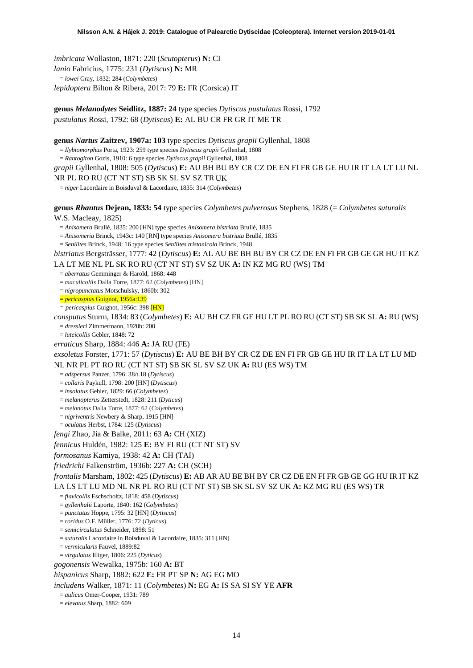*imbricata* Wollaston, 1871: 220 (*Scutopterus*) **N:** CI *lanio* Fabricius, 1775: 231 (*Dytiscus*) **N:** MR = *lowei* Gray, 1832: 284 (*Colymbetes*) *lepidoptera* Bilton & Ribera, 2017: 79 **E:** FR (Corsica) IT

**genus** *Melanodytes* **Seidlitz, 1887: 24** type species *Dytiscus pustulatus* Rossi, 1792 *pustulatus* Rossi, 1792: 68 (*Dytiscus*) **E:** AL BU CR FR GR IT ME TR

**genus** *Nartus* **Zaitzev, 1907a: 103** type species *Dytiscus grapii* Gyllenhal, 1808

= *Ilybiomorphus* Porta, 1923: 259 type species *Dytiscus grapii* Gyllenhal, 1808

= *Rantogiton* Gozis, 1910: 6 type species *Dytiscus grapii* Gyllenhal, 1808

*grapii* Gyllenhal, 1808: 505 (*Dytiscus*) **E:** AU BH BU BY CR CZ DE EN FI FR GB GE HU IR IT LA LT LU NL

NR PL RO RU (CT NT ST) SB SK SL SV SZ TR UK

= *niger* Lacordaire in Boisduval & Lacordaire, 1835: 314 (*Colymbetes*)

**genus** *Rhantus* **Dejean, 1833: 54** type species *Colymbetes pulverosus* Stephens, 1828 (= *Colymbetes suturalis*

W.S. Macleay, 1825)

= *Anisomera* Brullé, 1835: 200 [HN] type species *Anisomera bistriata* Brullé, 1835

= *Anisomeria* Brinck, 1943c: 140 [RN] type species *Anisomera bistriata* Brullé, 1835

= *Senilites* Brinck, 1948: 16 type species *Senilites tristanicola* Brinck, 1948

*bistriatus* Bergsträsser, 1777: 42 (*Dytiscus*) **E:** AL AU BE BH BU BY CR CZ DE EN FI FR GB GE GR HU IT KZ LA LT ME NL PL SK RO RU (CT NT ST) SV SZ UK **A:** IN KZ MG RU (WS) TM

= *aberratus* Gemminger & Harold, 1868: 448

= *maculicollis* Dalla Torre, 1877: 62 (*Colymbetes*) [HN]

= *nigropunctatus* Motschulsky, 1860b: 302

= *pericaspius* Guignot, 1956a:139

*= pericaspius* Guignot, 1956c: 398 [HN]

*consputus* Sturm, 1834: 83 (*Colymbetes*) **E:** AU BH CZ FR GE HU LT PL RO RU (CT ST) SB SK SL **A:** RU (WS) = *dressleri* Zimmermann, 1920b: 200

= *luteicollis* Gebler, 1848: 72

*erraticus* Sharp, 1884: 446 **A:** JA RU (FE)

*exsoletus* Forster, 1771: 57 (*Dytiscus*) **E:** AU BE BH BY CR CZ DE EN FI FR GB GE HU IR IT LA LT LU MD NL NR PL PT RO RU (CT NT ST) SB SK SL SV SZ UK **A:** RU (ES WS) TM

= *adspersus* Panzer, 1796: 38/t.18 (*Dytiscus*)

= *collaris* Paykull, 1798: 200 [HN] (*Dytiscus*)

= *insolatus* Gebler, 1829: 66 (*Colymbetes*)

= *melanopterus* Zetterstedt, 1828: 211 (*Dyticus*)

= *melanotus* Dalla Torre, 1877: 62 (*Colymbetes*)

= *nigriventris* Newbery & Sharp, 1915 [HN]

= *oculatus* Herbst, 1784: 125 (*Dytiscus*)

*fengi* Zhao, Jia & Balke, 2011: 63 **A:** CH (XIZ)

*fennicus* Huldén, 1982: 125 **E:** BY FI RU (CT NT ST) SV

*formosanus* Kamiya, 1938: 42 **A:** CH (TAI)

*friedrichi* Falkenström, 1936b: 227 **A:** CH (SCH)

*frontalis* Marsham, 1802: 425 (*Dytiscus*) **E:** AB AR AU BE BH BY CR CZ DE EN FI FR GB GE GG HU IR IT KZ LA LS LT LU MD NL NR PL RO RU (CT NT ST) SB SK SL SV SZ UK **A:** KZ MG RU (ES WS) TR

= *flavicollis* Eschscholtz, 1818: 458 (*Dytiscus*)

= *gyllenhalii* Laporte, 1840: 162 (*Colymbetes*)

= *punctatus* Hoppe, 1795: 32 [HN] (*Dytiscus*)

= *roridus* O.F. Müller, 1776: 72 (*Dyticus*)

= *semicirculatus* Schneider, 1898: 51

= *suturalis* Lacordaire in Boisduval & Lacordaire, 1835: 311 [HN]

= *vermicularis* Fauvel, 1889:82

= *virgulatus* Illiger, 1806: 225 (*Dyticus*)

*gogonensis* Wewalka, 1975b: 160 **A:** BT

*hispanicus* Sharp, 1882: 622 **E:** FR PT SP **N:** AG EG MO

*includens* Walker, 1871: 11 (*Colymbetes*) **N:** EG **A:** IS SA SI SY YE **AFR**

= *aulicus* Omer-Cooper, 1931: 789

= *elevatus* Sharp, 1882: 609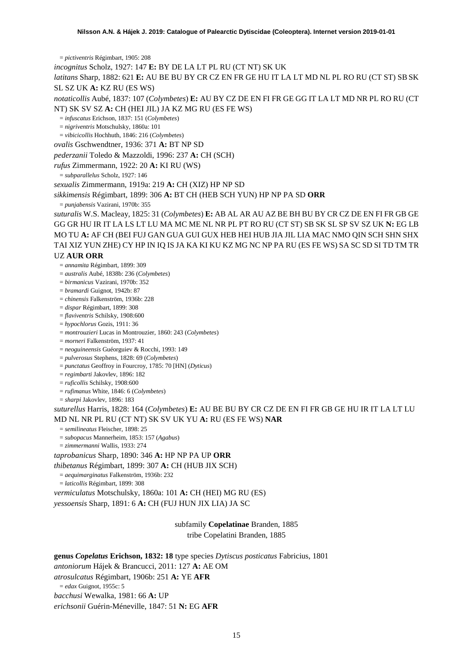= *pictiventris* Régimbart, 1905: 208

*incognitus* Scholz, 1927: 147 **E:** BY DE LA LT PL RU (CT NT) SK UK

*latitans* Sharp, 1882: 621 **E:** AU BE BU BY CR CZ EN FR GE HU IT LA LT MD NL PL RO RU (CT ST) SBSK SL SZ UK **A:** KZ RU (ES WS)

*notaticollis* Aubé, 1837: 107 (*Colymbetes*) **E:** AU BY CZ DE EN FI FR GE GG IT LA LT MD NR PL RO RU (CT NT) SK SV SZ **A:** CH (HEI JIL) JA KZ MG RU (ES FE WS)

= *infuscatus* Erichson, 1837: 151 (*Colymbetes*)

= *nigriventris* Motschulsky, 1860a: 101

= *vibicicollis* Hochhuth, 1846: 216 (*Colymbetes*)

*ovalis* Gschwendtner, 1936: 371 **A:** BT NP SD

*pederzanii* Toledo & Mazzoldi, 1996: 237 **A:** CH (SCH)

*rufus* Zimmermann, 1922: 20 **A:** KI RU (WS)

= *subparallelus* Scholz, 1927: 146

*sexualis* Zimmermann, 1919a: 219 **A:** CH (XIZ) HP NP SD

*sikkimensis* Régimbart, 1899: 306 **A:** BT CH (HEB SCH YUN) HP NP PA SD **ORR**

= *punjabensis* Vazirani, 1970b: 355

*suturalis* W.S. Macleay, 1825: 31 (*Colymbetes*) **E:** AB AL AR AU AZ BE BH BU BY CR CZ DE EN FI FR GB GE GG GR HU IR IT LA LS LT LU MA MC ME NL NR PL PT RO RU (CT ST) SB SK SL SP SV SZ UK **N:** EG LB MO TU **A:** AF CH (BEI FUJ GAN GUA GUI GUX HEB HEI HUB JIA JIL LIA MAC NMO QIN SCH SHN SHX TAI XIZ YUN ZHE) CY HP IN IQ IS JA KA KI KU KZ MG NC NP PA RU (ES FE WS) SA SC SD SI TD TM TR

#### UZ **AUR ORR**

= *annamita* Régimbart, 1899: 309

= *australis* Aubé, 1838b: 236 (*Colymbetes*)

= *birmanicus* Vazirani, 1970b: 352

= *bramardi* Guignot, 1942b: 87

= *chinensis* Falkenström, 1936b: 228

= *dispar* Régimbart, 1899: 308

= *flaviventris* Schilsky, 1908:600

= *hypochlorus* Gozis, 1911: 36

= *montrouzieri* Lucas in Montrouzier, 1860: 243 (*Colymbetes*)

= *morneri* Falkenström, 1937: 41

= *neoguineensis* Guéorguiev & Rocchi, 1993: 149

= *pulverosus* Stephens, 1828: 69 (*Colymbetes*)

= *punctatus* Geoffroy in Fourcroy, 1785: 70 [HN] (*Dyticus*)

= *regimbarti* Jakovlev, 1896: 182

= *ruficollis* Schilsky, 1908:600

= *rufimanus* White, 1846: 6 (*Colymbetes*)

= *sharpi* Jakovlev, 1896: 183

*suturellus* Harris, 1828: 164 (*Colymbetes*) **E:** AU BE BU BY CR CZ DE EN FI FR GB GE HU IR IT LA LT LU MD NL NR PL RU (CT NT) SK SV UK YU **A:** RU (ES FE WS) **NAR**

= *semilineatus* Fleischer, 1898: 25

= *subopacus* Mannerheim, 1853: 157 (*Agabus*)

= *zimmermanni* Wallis, 1933: 274

*taprobanicus* Sharp, 1890: 346 **A:** HP NP PA UP **ORR**

*thibetanus* Régimbart, 1899: 307 **A:** CH (HUB JIX SCH)

= *aequimarginatus* Falkenström, 1936b: 232

= *laticollis* Régimbart, 1899: 308

*vermiculatus* Motschulsky, 1860a: 101 **A:** CH (HEI) MG RU (ES)

*yessoensis* Sharp, 1891: 6 **A:** CH (FUJ HUN JIX LIA) JA SC

subfamily **Copelatinae** Branden, 1885 tribe Copelatini Branden, 1885

**genus** *Copelatus* **Erichson, 1832: 18** type species *Dytiscus posticatus* Fabricius, 1801 *antoniorum* Hájek & Brancucci, 2011: 127 **A:** AE OM *atrosulcatus* Régimbart, 1906b: 251 **A:** YE **AFR** = *edax* Guignot, 1955c: 5 *bacchusi* Wewalka, 1981: 66 **A:** UP *erichsonii* Guérin-Méneville, 1847: 51 **N:** EG **AFR**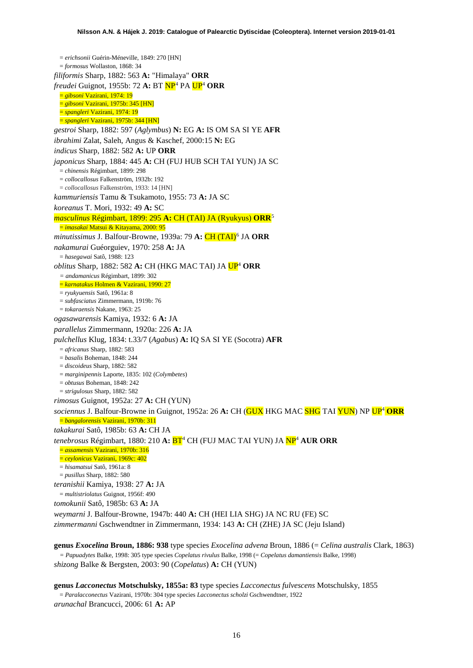<span id="page-15-0"></span>= *erichsonii* Guérin-Méneville, 1849: 270 [HN] = *formosus* Wollaston, 1868: 34 *filiformis* Sharp, 1882: 563 **A:** "Himalaya" **ORR** *freudei* Guignot, 1955b: 72 **A:** BT NP[4](#page-52-3) PA U[P4](#page-15-0) **ORR** = *gibsoni* Vazirani, 1974: 19 = *gibsoni* Vazirani, 1975b: 345 [HN] = *spangleri* Vazirani, 1974: 19 = *spangleri* Vazirani, 1975b: 344 [HN] *gestroi* Sharp, 1882: 597 (*Aglymbus*) **N:** EG **A:** IS OM SA SI YE **AFR** *ibrahimi* Zalat, Saleh, Angus & Kaschef, 2000:15 **N:** EG *indicus* Sharp, 1882: 582 **A:** UP **ORR** *japonicus* Sharp, 1884: 445 **A:** CH (FUJ HUB SCH TAI YUN) JA SC = *chinensis* Régimbart, 1899: 298 = *collocallosus* Falkenström, 1932b: 192 = *collocallosus* Falkenström, 1933: 14 [HN] *kammuriensis* Tamu & Tsukamoto, 1955: 73 **A:** JA SC *koreanus* T. Mori, 1932: 49 **A:** SC *masculinus* Régimbart, 1899: 295 **A:** CH (TAI) JA (Ryukyus) **ORR**[5](#page-52-4) = *imasakai* Matsui & Kitayama, 2000: 95 *minutissimus* J. Balfour-Browne, 1939a: 79 **A:** CH (TAI)[6](#page-52-5) JA **ORR** *nakamurai* Guéorguiev, 1970: 258 **A:** JA = *hasegawai* Satô, 1988: 123 *oblitus* Sharp, 1882: 582 **A:** CH (HKG MAC TAI) JA U[P4](#page-15-0) **ORR** *= andamanicus* Régimbart, 1899: 302 = *karnatakus* Holmen & Vazirani, 1990: 27 = *ryukyuensis* Satô, 1961a: 8 = *subfasciatus* Zimmermann, 1919b: 76 = *tokaraensis* Nakane, 1963: 25 *ogasawarensis* Kamiya, 1932: 6 **A:** JA *parallelus* Zimmermann, 1920a: 226 **A:** JA *pulchellus* Klug, 1834: t.33/7 (*Agabus*) **A:** IQ SA SI YE (Socotra) **AFR** = *africanus* Sharp, 1882: 583 = *basalis* Boheman, 1848: 244 = *discoideus* Sharp, 1882: 582 = *marginipennis* Laporte, 1835: 102 (*Colymbetes*) = *obtusus* Boheman, 1848: 242 = *strigulosus* Sharp, 1882: 582 *rimosus* Guignot, 1952a: 27 **A:** CH (YUN) *sociennus* J. Balfour-Browne in Guignot, 1952a: 26 **A:** CH (GUX HKG MAC SHG TAI YUN) NP U[P4](#page-15-0) **ORR** = *bangalorensis* Vazirani, 1970b: 311 *takakurai* Satô, 1985b: 63 **A:** CH JA *tenebrosus* Régimbart, 1880: 210 **A:** B[T4](#page-15-0) CH (FUJ MAC TAI YUN) JA N[P4](#page-15-0) **AUR ORR** = *assamensis* Vazirani, 1970b: 316 = *ceylonicus* Vazirani, 1969c: 402 = *hisamatsui* Satô, 1961a: 8 = *pusillus* Sharp, 1882: 580 *teranishii* Kamiya, 1938: 27 **A:** JA = *multistriolatus* Guignot, 1956f: 490 *tomokunii* Satô, 1985b: 63 **A:** JA *weymarni* J. Balfour-Browne, 1947b: 440 **A:** CH (HEI LIA SHG) JA NC RU (FE) SC *zimmermanni* Gschwendtner in Zimmermann, 1934: 143 **A:** CH (ZHE) JA SC (Jeju Island)

**genus** *Exocelina* **Broun, 1886: 938** type species *Exocelina advena* Broun, 1886 (= *Celina australis* Clark, 1863) *= Papuadytes* Balke, 1998: 305 type species *Copelatus rivulus* Balke, 1998 (= *Copelatus damantiensis* Balke, 1998) *shizong* Balke & Bergsten, 2003: 90 (*Copelatus*) **A:** CH (YUN)

**genus** *Lacconectus* **Motschulsky, 1855a: 83** type species *Lacconectus fulvescens* Motschulsky, 1855 = *Paralacconectus* Vazirani, 1970b: 304 type species *Lacconectus scholzi* Gschwendtner, 1922 *arunachal* Brancucci, 2006: 61 **A:** AP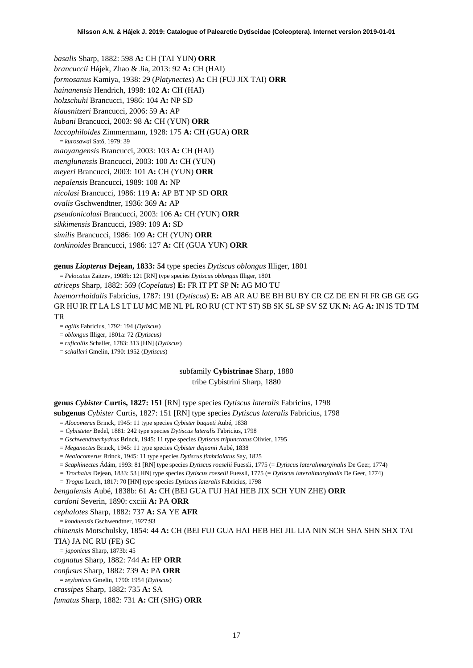*basalis* Sharp, 1882: 598 **A:** CH (TAI YUN) **ORR** *brancuccii* Hájek, Zhao & Jia, 2013: 92 **A:** CH (HAI) *formosanus* Kamiya, 1938: 29 (*Platynectes*) **A:** CH (FUJ JIX TAI) **ORR** *hainanensis* Hendrich, 1998: 102 **A:** CH (HAI) *holzschuhi* Brancucci, 1986: 104 **A:** NP SD *klausnitzeri* Brancucci, 2006: 59 **A:** AP *kubani* Brancucci, 2003: 98 **A:** CH (YUN) **ORR** *laccophiloides* Zimmermann, 1928: 175 **A:** CH (GUA) **ORR** = *kurosawai* Satô, 1979: 39 *maoyangensis* Brancucci, 2003: 103 **A:** CH (HAI) *menglunensis* Brancucci, 2003: 100 **A:** CH (YUN) *meyeri* Brancucci, 2003: 101 **A:** CH (YUN) **ORR** *nepalensis* Brancucci, 1989: 108 **A:** NP *nicolasi* Brancucci, 1986: 119 **A:** AP BT NP SD **ORR** *ovalis* Gschwendtner, 1936: 369 **A:** AP *pseudonicolasi* Brancucci, 2003: 106 **A:** CH (YUN) **ORR** *sikkimensis* Brancucci, 1989: 109 **A:** SD *similis* Brancucci, 1986: 109 **A:** CH (YUN) **ORR** *tonkinoides* Brancucci, 1986: 127 **A:** CH (GUA YUN) **ORR**

## **genus** *Liopterus* **Dejean, 1833: 54** type species *Dytiscus oblongus* Illiger, 1801

= *Pelocatus* Zaitzev, 1908b: 121 [RN] type species *Dytiscus oblongus* Illiger, 1801 *atriceps* Sharp, 1882: 569 (*Copelatus*) **E:** FR IT PT SP **N:** AG MO TU *haemorrhoidalis* Fabricius, 1787: 191 (*Dytiscus*) **E:** AB AR AU BE BH BU BY CR CZ DE EN FI FR GB GE GG GR HU IR IT LA LS LT LU MC ME NL PL RO RU (CT NT ST) SB SK SL SP SV SZ UK **N:** AG **A:** IN IS TD TM TR

- = *agilis* Fabricius, 1792: 194 (*Dytiscus*)
- = *oblongus* Illiger, 1801a: 72 *(Dytiscus)*
- = *ruficollis* Schaller, 1783: 313 [HN] (*Dytiscus*)
- = *schalleri* Gmelin, 1790: 1952 (*Dytiscus*)

subfamily **Cybistrinae** Sharp, 1880 tribe Cybistrini Sharp, 1880

**genus** *Cybister* **Curtis, 1827: 151** [RN] type species *Dytiscus lateralis* Fabricius, 1798 **subgenus** *Cybister* Curtis, 1827: 151 [RN] type species *Dytiscus lateralis* Fabricius, 1798

= *Alocomerus* Brinck, 1945: 11 type species *Cybister buqueti* Aubé, 1838

- *= Cybisteter* Bedel, 1881: 242 type species *Dytiscus lateralis* Fabricius, 1798
- = *Gschwendtnerhydrus* Brinck, 1945: 11 type species *Dytiscus tripunctatus* Olivier, 1795
- = *Meganectes* Brinck, 1945: 11 type species *Cybister dejeanii* Aubé, 1838
- = *Nealocomerus* Brinck, 1945: 11 type species *Dytiscus fimbriolatus* Say, 1825
- **=** *Scaphinectes* Ádám, 1993: 81 [RN] type species *Dytiscus roeselii* Fuessli, 1775 (= *Dytiscus lateralimarginalis* De Geer, 1774)
- *= Trochalus* Dejean, 1833: 53 [HN] type species *Dytiscus roeselii* Fuessli, 1775 (= *Dytiscus lateralimarginalis* De Geer, 1774)
- *= Trogus* Leach, 1817: 70 [HN] type species *Dytiscus lateralis* Fabricius, 1798
- *bengalensis* Aubé, 1838b: 61 **A:** CH (BEI GUA FUJ HAI HEB JIX SCH YUN ZHE) **ORR**

*cardoni* Severin, 1890: cxciii **A:** PA **ORR**

#### *cephalotes* Sharp, 1882: 737 **A:** SA YE **AFR**

= *konduensis* Gschwendtner, 1927:93

*chinensis* Motschulsky, 1854: 44 **A:** CH (BEI FUJ GUA HAI HEB HEI JIL LIA NIN SCH SHA SHN SHX TAI TIA) JA NC RU (FE) SC

*= japonicus* Sharp, 1873b: 45

- *cognatus* Sharp, 1882: 744 **A:** HP **ORR**
- *confusus* Sharp, 1882: 739 **A:** PA **ORR**
- = *zeylanicus* Gmelin, 1790: 1954 (*Dytiscus*)
- *crassipes* Sharp, 1882: 735 **A:** SA

#### *fumatus* Sharp, 1882: 731 **A:** CH (SHG) **ORR**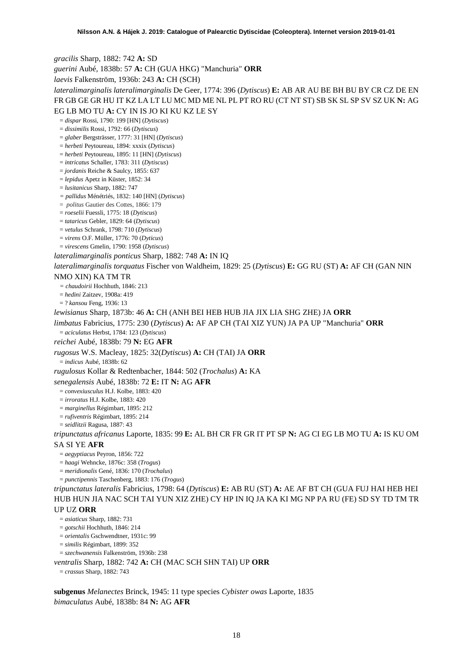*gracilis* Sharp, 1882: 742 **A:** SD

*guerini* Aubé, 1838b: 57 **A:** CH (GUA HKG) "Manchuria" **ORR**

*laevis* Falkenström, 1936b: 243 **A:** CH (SCH)

*lateralimarginalis lateralimarginalis* De Geer, 1774: 396 (*Dytiscus*) **E:** AB AR AU BE BH BU BY CR CZ DE EN FR GB GE GR HU IT KZ LA LT LU MC MD ME NL PL PT RO RU (CT NT ST) SB SK SL SP SV SZ UK **N:** AG EG LB MO TU **A:** CY IN IS JO KI KU KZ LE SY

= *dispar* Rossi, 1790: 199 [HN] (*Dytiscus*)

= *dissimilis* Rossi, 1792: 66 (*Dytiscus*)

= *glaber* Bergsträsser, 1777: 31 [HN] (*Dytiscus*)

= *herbeti* Peytoureau, 1894: xxxix (*Dytiscus*)

= *herbeti* Peytoureau, 1895: 11 [HN] (*Dytiscus*)

= *intricatus* Schaller, 1783: 311 (*Dytiscus*)

= *jordanis* Reiche & Saulcy, 1855: 637

= *lepidus* Apetz in Küster, 1852: 34

= *lusitanicus* Sharp, 1882: 747

*= pallidus* Ménétriés, 1832: 140 [HN] (*Dytiscus*)

= *politus* Gautier des Cottes, 1866: 179

= *roeselii* Fuessli, 1775: 18 (*Dytiscus*)

= *tataricus* Gebler, 1829: 64 (*Dytiscus*)

= *vetulus* Schrank, 1798: 710 (*Dytiscus*)

= *virens* O.F. Müller, 1776: 70 (*Dyticus*)

= *virescens* Gmelin, 1790: 1958 (*Dytiscus*)

*lateralimarginalis ponticus* Sharp, 1882: 748 **A:** IN IQ

*lateralimarginalis torquatus* Fischer von Waldheim, 1829: 25 (*Dytiscus*) **E:** GG RU (ST) **A:** AF CH (GAN NIN

#### NMO XIN) KA TM TR

*= chaudoirii* Hochhuth, 1846: 213

= *hedini* Zaitzev, 1908a: 419

= ? *kansou* Feng, 1936: 13

*lewisianus* Sharp, 1873b: 46 **A:** CH (ANH BEI HEB HUB JIA JIX LIA SHG ZHE) JA **ORR**

*limbatus* Fabricius, 1775: 230 (*Dytiscus*) **A:** AF AP CH (TAI XIZ YUN) JA PA UP "Manchuria" **ORR**

= *aciculatus* Herbst, 1784: 123 (*Dytiscus*)

*reichei* Aubé, 1838b: 79 **N:** EG **AFR**

*rugosus* W.S. Macleay, 1825: 32(*Dytiscus*) **A:** CH (TAI) JA **ORR**

= *indicus* Aubé, 1838b: 62

*rugulosus* Kollar & Redtenbacher, 1844: 502 (*Trochalus*) **A:** KA

*senegalensis* Aubé, 1838b: 72 **E:** IT **N:** AG **AFR**

= *convexiusculus* H.J. Kolbe, 1883: 420

= *irroratus* H.J. Kolbe, 1883: 420

= *marginellus* Régimbart, 1895: 212

= *rufiventris* Régimbart, 1895: 214

= *seidlitzii* Ragusa, 1887: 43

*tripunctatus africanus* Laporte, 1835: 99 **E:** AL BH CR FR GR IT PT SP **N:** AG CI EG LB MO TU **A:** IS KU OM SA SI YE **AFR**

= *aegyptiacus* Peyron, 1856: 722

= *haagi* Wehncke, 1876c: 358 (*Trogus*)

= *meridionalis* Gené, 1836: 170 (*Trochalus*)

= *punctipennis* Taschenberg, 1883: 176 (*Trogus*)

*tripunctatus lateralis* Fabricius, 1798: 64 (*Dytiscus*) **E:** AB RU (ST) **A:** AE AF BT CH (GUA FUJ HAI HEB HEI HUB HUN JIA NAC SCH TAI YUN XIZ ZHE) CY HP IN IQ JA KA KI MG NP PA RU (FE) SD SY TD TM TR

# UP UZ **ORR**

= *asiaticus* Sharp, 1882: 731

= *gotschii* Hochhuth, 1846: 214

= *orientalis* Gschwendtner, 1931c: 99

= *similis* Régimbart, 1899: 352

= *szechwanensis* Falkenström, 1936b: 238

*ventralis* Sharp, 1882: 742 **A:** CH (MAC SCH SHN TAI) UP **ORR**

= *crassus* Sharp, 1882: 743

**subgenus** *Melanectes* Brinck, 1945: 11 type species *Cybister owas* Laporte, 1835 *bimaculatus* Aubé, 1838b: 84 **N:** AG **AFR**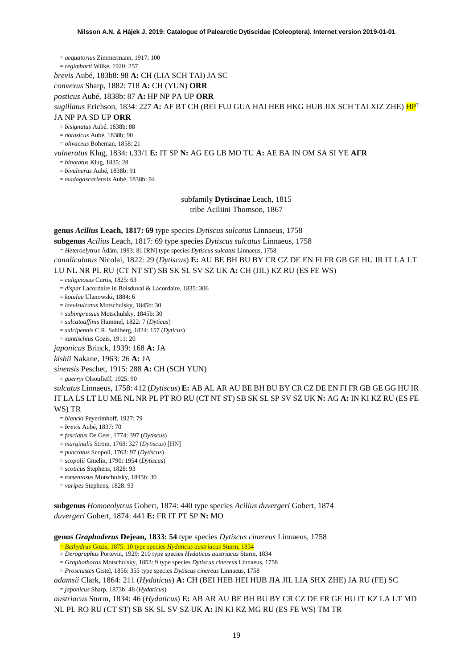= *aequatorius* Zimmermann, 1917: 100

= *regimbarti* Wilke, 1920: 257

*brevis* Aubé, 183b8: 98 **A:** CH (LIA SCH TAI) JA SC

*convexus* Sharp, 1882: 718 **A:** CH (YUN) **ORR**

*posticus* Aubé, 1838b: 87 **A:** HP NP PA UP **ORR**

#### *sugillatus* Erichson, 1834: 227 **A:** AF BT CH (BEI FUJ GUA HAI HEB HKG HUB JIX SCH TAI XIZ ZHE) H[P7](#page-19-0)

#### JA NP PA SD UP **ORR**

= *bisignatus* Aubé, 1838b: 88

= *notasicus* Aubé, 1838b: 90

= *olivaceus* Boheman, 1858: 21

#### *vulneratus* Klug, 1834: t.33/1 **E:** IT SP **N:** AG EG LB MO TU **A:** AE BA IN OM SA SI YE **AFR**

= *binotatus* Klug, 1835: 28

= *bivulnerus* Aubé, 1838b: 91

= *madagascariensis* Aubé, 1838b: 94

subfamily **Dytiscinae** Leach, 1815 tribe Aciliini Thomson, 1867

**genus** *Acilius* **Leach, 1817: 69** type species *Dytiscus sulcatus* Linnaeus, 1758

**subgenus** *Acilius* Leach, 1817: 69 type species *Dytiscus sulcatus* Linnaeus, 1758

= *Heteroelytrus* Ádám, 1993: 81 [RN] type species *Dytiscus sulcatus* Linnaeus, 1758

*canaliculatus* Nicolai, 1822: 29 (*Dytiscus*) **E:** AU BE BH BU BY CR CZ DE EN FI FR GB GE HU IR IT LA LT LU NL NR PL RU (CT NT ST) SB SK SL SV SZ UK **A:** CH (JIL) KZ RU (ES FE WS)

= *caliginosus* Curtis, 1825: 63

= *dispar* Lacordaire in Boisduval & Lacordaire, 1835: 306

= *kotulae* Ulanowski, 1884: 6

= *laevisulcatus* Motschulsky, 1845b: 30

= *subimpressus* Motschulsky, 1845b: 30

= *sulcatoaffinis* Hummel, 1822: 7 (*Dyticus*)

= *sulcipennis* C.R. Sahlberg, 1824: 157 (*Dyticus*)

= *xantischius* Gozis, 1911: 20

*japonicus* Brinck, 1939: 168 **A:** JA

# *kishii* Nakane, 1963: 26 **A:** JA

*sinensis* Peschet, 1915: 288 **A:** CH (SCH YUN)

= *guerryi* Olsoufieff, 1925: 90

*sulcatus* Linnaeus, 1758: 412 (*Dytiscus*) **E:** AB AL AR AU BE BH BU BY CR CZ DE EN FI FR GB GE GG HU IR IT LA LS LT LU ME NL NR PL PT RO RU (CT NT ST) SB SK SL SP SV SZ UK **N:** AG **A:** IN KI KZ RU (ES FE

WS) TR

= *blancki* Peyerimhoff, 1927: 79

= *brevis* Aubé, 1837: 70

= *fasciatus* De Geer, 1774: 397 (*Dytiscus*)

= *marginalis* Ström, 1768: 327 (*Dytiscus*) [HN]

= *punctatus* Scopoli, 1763: 97 (*Dytiscus*)

= *scopolii* Gmelin, 1790: 1954 (*Dytiscus*)

= *scoticus* Stephens, 1828: 93

= *tomentosus* Motschulsky, 1845b: 30

= *varipes* Stephens, 1828: 93

**subgenus** *Homoeolytrus* Gobert, 1874: 440 type species *Acilius duvergeri* Gobert, 1874 *duvergeri* Gobert, 1874: 441 **E:** FR IT PT SP **N:** MO

**genus** *Graphoderus* **Dejean, 1833: 54** type species *Dytiscus cinereus* Linnaeus, 1758

= *Bathydrus* Gozis, 1875: 10 type species *Hydaticus austriacus* Sturm, 1834

= *Derographus* Portevin, 1929: 210 type species *Hydaticus austriacus* Sturm, 1834

= *Graphothorax* Motschulsky, 1853: 9 type species *Dytiscus cinereus* Linnaeus, 1758

= *Prosciastes* Gistel, 1856: 355 type species *Dytiscus cinereus* Linnaeus, 1758

*adamsii* Clark, 1864: 211 (*Hydaticus*) **A:** CH (BEI HEB HEI HUB JIA JIL LIA SHX ZHE) JA RU (FE) SC = *japonicus* Sharp, 1873b: 48 (*Hydaticus*)

*austriacus* Sturm, 1834: 46 (*Hydaticus*) **E:** AB AR AU BE BH BU BY CR CZ DE FR GE HU IT KZ LA LT MD NL PL RO RU (CT ST) SB SK SL SV SZ UK **A:** IN KI KZ MG RU (ES FE WS) TM TR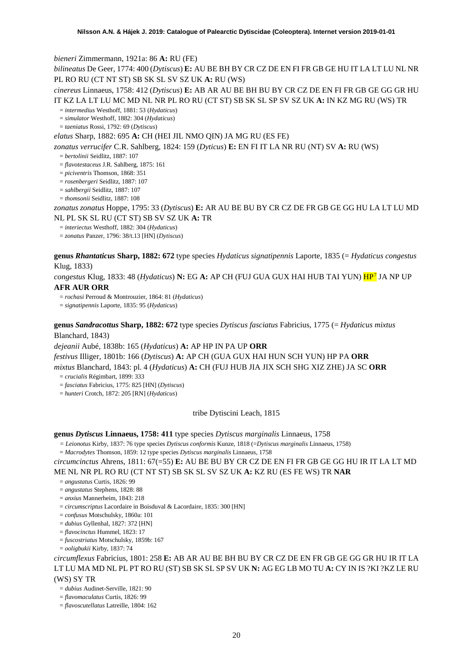*bieneri* Zimmermann, 1921a: 86 **A:** RU (FE)

*bilineatus* De Geer, 1774: 400 (*Dytiscus*) **E:** AU BE BH BY CR CZ DE EN FI FR GB GE HU IT LA LT LU NL NR PL RO RU (CT NT ST) SB SK SL SV SZ UK **A:** RU (WS)

*cinereus* Linnaeus, 1758: 412 (*Dytiscus*) **E:** AB AR AU BE BH BU BY CR CZ DE EN FI FR GB GE GG GR HU IT KZ LA LT LU MC MD NL NR PL RO RU (CT ST) SB SK SL SP SV SZ UK **A:** IN KZ MG RU (WS) TR

= *intermedius* Westhoff, 1881: 53 (*Hydaticus*)

= *simulator* Westhoff, 1882: 304 (*Hydaticus*)

= *taeniatus* Rossi, 1792: 69 (*Dytiscus*)

*elatus* Sharp, 1882: 695 **A:** CH (HEI JIL NMO QIN) JA MG RU (ES FE)

*zonatus verrucifer* C.R. Sahlberg, 1824: 159 (*Dyticus*) **E:** EN FI IT LA NR RU (NT) SV **A:** RU (WS)

= *bertolinii* Seidlitz, 1887: 107

= *flavotestaceus* J.R. Sahlberg, 1875: 161

- = *piciventris* Thomson, 1868: 351
- = *rosenbergeri* Seidlitz, 1887: 107
- = *sahlbergii* Seidlitz, 1887: 107
- = *thomsonii* Seidlitz, 1887: 108

*zonatus zonatus* Hoppe, 1795: 33 (*Dytiscus*) **E:** AR AU BE BU BY CR CZ DE FR GB GE GG HU LA LT LU MD NL PL SK SL RU (CT ST) SB SV SZ UK **A:** TR

= *interiectus* Westhoff, 1882: 304 (*Hydaticus*)

= *zonatus* Panzer, 1796: 38/t.13 [HN] (*Dytiscus*)

**genus** *Rhantaticus* **Sharp, 1882: 672** type species *Hydaticus signatipennis* Laporte, 1835 (= *Hydaticus congestus*  Klug, 1833)

*congestus* Klug, 1833: 48 (*Hydaticus*) **N:** EG A: AP CH (FUJ GUA GUX HAI HUB TAI YUN) **HP**<sup>[7](#page-52-6)</sup> JA NP UP **AFR AUR ORR**

= *rochasi* Perroud & Montrouzier, 1864: 81 (*Hydaticus*)

= *signatipennis* Laporte, 1835: 95 (*Hydaticus*)

**genus** *Sandracottus* **Sharp, 1882: 672** type species *Dytiscus fasciatus* Fabricius, 1775 (= *Hydaticus mixtus* Blanchard, 1843)

*dejeanii* Aubé, 1838b: 165 (*Hydaticus*) **A:** AP HP IN PA UP **ORR**

*festivus* Illiger, 1801b: 166 (*Dytiscus*) **A:** AP CH (GUA GUX HAI HUN SCH YUN) HP PA **ORR**

*mixtus* Blanchard, 1843: pl. 4 (*Hydaticus*) **A:** CH (FUJ HUB JIA JIX SCH SHG XIZ ZHE) JA SC **ORR**

= *crucialis* Régimbart, 1899: 333

= *fasciatus* Fabricius, 1775: 825 [HN] (*Dytiscus*)

= *hunteri* Crotch, 1872: 205 [RN] (*Hydaticus*)

<span id="page-19-0"></span>tribe Dytiscini Leach, 1815

#### **genus** *Dytiscus* **Linnaeus, 1758: 411** type species *Dytiscus marginalis* Linnaeus, 1758

*= Leionotus* Kirby, 1837: 76 type species *Dytiscus conformis* Kunze, 1818 (=*Dytiscus marginalis* Linnaeus, 1758)

= *Macrodytes* Thomson, 1859: 12 type species *Dytiscus marginalis* Linnaeus, 1758

*circumcinctus* Ahrens, 1811: 67(=55) **E:** AU BE BU BY CR CZ DE EN FI FR GB GE GG HU IR IT LA LT MD ME NL NR PL RO RU (CT NT ST) SB SK SL SV SZ UK **A:** KZ RU (ES FE WS) TR **NAR**

= *angustatus* Curtis, 1826: 99

= *angustatus* Stephens, 1828: 88

= *anxius* Mannerheim, 1843: 218

= *circumscriptus* Lacordaire in Boisduval & Lacordaire, 1835: 300 [HN]

= *confusus* Motschulsky, 1860a: 101

= *dubius* Gyllenhal, 1827: 372 [HN]

= *flavocinctus* Hummel, 1823: 17

= *fuscostriatus* Motschulsky, 1859b: 167

= *ooligbukii* Kirby, 1837: 74

*circumflexus* Fabricius, 1801: 258 **E:** AB AR AU BE BH BU BY CR CZ DE EN FR GB GE GG GR HU IR IT LA LT LU MA MD NL PL PT RO RU (ST) SB SK SL SP SV UK **N:** AG EG LB MO TU **A:** CY IN IS ?KI ?KZ LE RU (WS) SY TR

= *dubius* Audinet-Serville, 1821: 90

= *flavomaculatus* Curtis, 1826: 99

= *flavoscutellatus* Latreille, 1804: 162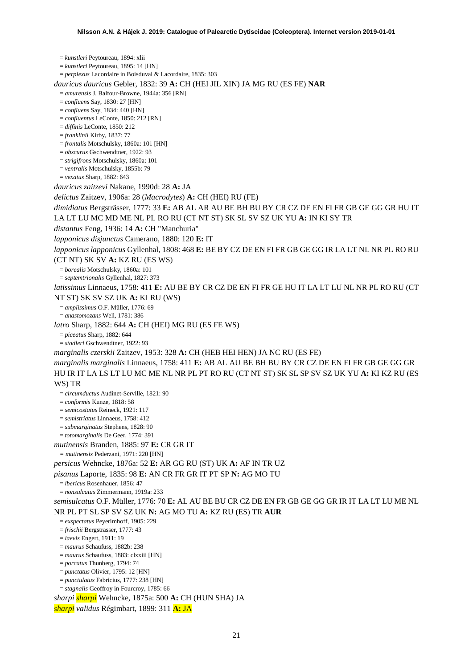= *kunstleri* Peytoureau, 1894: xlii = *kunstleri* Peytoureau, 1895: 14 [HN] = *perplexus* Lacordaire in Boisduval & Lacordaire, 1835: 303 *dauricus dauricus* Gebler, 1832: 39 **A:** CH (HEI JIL XIN) JA MG RU (ES FE) **NAR** = *amurensis* J. Balfour-Browne, 1944a: 356 [RN] = *confluens* Say, 1830: 27 [HN] = *confluens* Say, 1834: 440 [HN] = *confluentus* LeConte, 1850: 212 [RN] = *diffinis* LeConte, 1850: 212 = *franklinii* Kirby, 1837: 77 = *frontalis* Motschulsky, 1860a: 101 [HN] = *obscurus* Gschwendtner, 1922: 93 = *strigifrons* Motschulsky, 1860a: 101 = *ventralis* Motschulsky, 1855b: 79 = *vexatus* Sharp, 1882: 643 *dauricus zaitzevi* Nakane, 1990d: 28 **A:** JA *delictus* Zaitzev, 1906a: 28 (*Macrodytes*) **A:** CH (HEI) RU (FE) *dimidiatus* Bergsträsser, 1777: 33 **E:** AB AL AR AU BE BH BU BY CR CZ DE EN FI FR GB GE GG GR HU IT LA LT LU MC MD ME NL PL RO RU (CT NT ST) SK SL SV SZ UK YU **A:** IN KI SY TR *distantus* Feng, 1936: 14 **A:** CH "Manchuria" *lapponicus disjunctus* Camerano, 1880: 120 **E:** IT *lapponicus lapponicus* Gyllenhal, 1808: 468 **E:** BE BY CZ DE EN FI FR GB GE GG IR LA LT NL NR PL RO RU (CT NT) SK SV **A:** KZ RU (ES WS) = *borealis* Motschulsky, 1860a: 101 = *septemtrionalis* Gyllenhal, 1827: 373 *latissimus* Linnaeus, 1758: 411 **E:** AU BE BY CR CZ DE EN FI FR GE HU IT LA LT LU NL NR PL RO RU (CT NT ST) SK SV SZ UK **A:** KI RU (WS) = *amplissimus* O.F. Müller, 1776: 69 = *anastomozans* Well, 1781: 386 *latro* Sharp, 1882: 644 **A:** CH (HEI) MG RU (ES FE WS) = *piceatus* Sharp, 1882: 644 = *stadleri* Gschwendtner, 1922: 93 *marginalis czerskii* Zaitzev, 1953: 328 **A:** CH (HEB HEI HEN) JA NC RU (ES FE) *marginalis marginalis* Linnaeus, 1758: 411 **E:** AB AL AU BE BH BU BY CR CZ DE EN FI FR GB GE GG GR HU IR IT LA LS LT LU MC ME NL NR PL PT RO RU (CT NT ST) SK SL SP SV SZ UK YU **A:** KI KZ RU (ES WS) TR = *circumductus* Audinet-Serville, 1821: 90 = *conformis* Kunze, 1818: 58 = *semicostatus* Reineck, 1921: 117 = *semistriatus* Linnaeus, 1758: 412 = *submarginatus* Stephens, 1828: 90 = *totomarginalis* De Geer, 1774: 391 *mutinensis* Branden, 1885: 97 **E:** CR GR IT *= mutinensis* Pederzani, 1971: 220 [HN] *persicus* Wehncke, 1876a: 52 **E:** AR GG RU (ST) UK **A:** AF IN TR UZ *pisanus* Laporte, 1835: 98 **E:** AN CR FR GR IT PT SP **N:** AG MO TU = *ibericus* Rosenhauer, 1856: 47 = *nonsulcatus* Zimmermann, 1919a: 233 *semisulcatus* O.F. Müller, 1776: 70 **E:** AL AU BE BU CR CZ DE EN FR GB GE GG GR IR IT LA LT LU ME NL NR PL PT SL SP SV SZ UK **N:** AG MO TU **A:** KZ RU (ES) TR **AUR** = *exspectatus* Peyerimhoff, 1905: 229 = *frischii* Bergsträsser, 1777: 43 = *laevis* Engert, 1911: 19 = *maurus* Schaufuss, 1882b: 238 = *maurus* Schaufuss, 1883: clxxiii [HN] = *porcatus* Thunberg, 1794: 74 = *punctatus* Olivier, 1795: 12 [HN] = *punctulatus* Fabricius, 1777: 238 [HN] = *stagnalis* Geoffroy in Fourcroy, 1785: 66 *sharpi sharpi* Wehncke, 1875a: 500 **A:** CH (HUN SHA) JA

*sharpi validus* Régimbart, 1899: 311 **A:** JA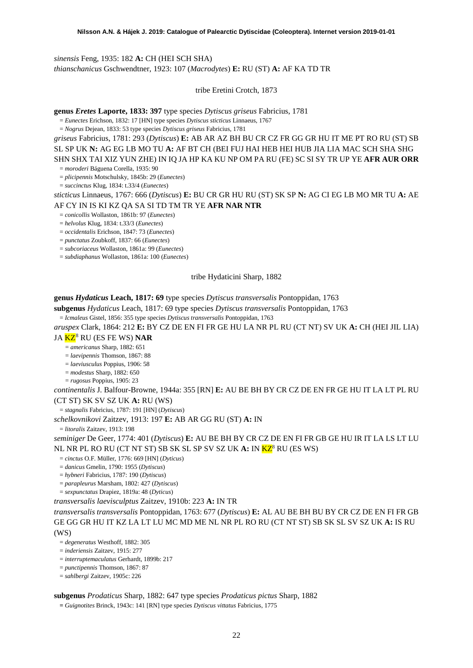*sinensis* Feng, 1935: 182 **A:** CH (HEI SCH SHA) *thianschanicus* Gschwendtner, 1923: 107 (*Macrodytes*) **E:** RU (ST) **A:** AF KA TD TR

tribe Eretini Crotch, 1873

**genus** *Eretes* **Laporte, 1833: 397** type species *Dytiscus griseus* Fabricius, 1781

= *Eunectes* Erichson, 1832: 17 [HN] type species *Dytiscus sticticus* Linnaeus, 1767

= *Nogrus* Dejean, 1833: 53 type species *Dytiscus griseus* Fabricius, 1781

*griseus* Fabricius, 1781: 293 (*Dytiscus*) **E:** AB AR AZ BH BU CR CZ FR GG GR HU IT ME PT RO RU (ST) SB SL SP UK **N:** AG EG LB MO TU **A:** AF BT CH (BEI FUJ HAI HEB HEI HUB JIA LIA MAC SCH SHA SHG SHN SHX TAI XIZ YUN ZHE) IN IQ JA HP KA KU NP OM PA RU (FE) SC SI SY TR UP YE **AFR AUR ORR**

= *moroderi* Báguena Corella, 1935: 90

= *plicipennis* Motschulsky, 1845b: 29 (*Eunectes*)

= *succinctus* Klug, 1834: t.33/4 (*Eunectes*)

*sticticus* Linnaeus, 1767: 666 (*Dytiscus*) **E:** BU CR GR HU RU (ST) SK SP **N:** AG CI EG LB MO MR TU **A:** AE AF CY IN IS KI KZ QA SA SI TD TM TR YE **AFR NAR NTR**

= *conicollis* Wollaston, 1861b: 97 (*Eunectes*)

= *helvolus* Klug, 1834: t.33/3 (*Eunectes*)

= *occidentalis* Erichson, 1847: 73 (*Eunectes*)

= *punctatus* Zoubkoff, 1837: 66 (*Eunectes*)

= *subcoriaceus* Wollaston, 1861a: 99 (*Eunectes*)

= *subdiaphanus* Wollaston, 1861a: 100 (*Eunectes*)

#### tribe Hydaticini Sharp, 1882

**genus** *Hydaticus* **Leach, 1817: 69** type species *Dytiscus transversalis* Pontoppidan, 1763

**subgenus** *Hydaticus* Leach, 1817: 69 type species *Dytiscus transversalis* Pontoppidan, 1763

= *Icmaleus* Gistel, 1856: 355 type species *Dytiscus transversalis* Pontoppidan, 1763

*aruspex* Clark, 1864: 212 **E:** BY CZ DE EN FI FR GE HU LA NR PL RU (CT NT) SV UK **A:** CH (HEI JIL LIA)

JA KZ[8](#page-52-7) RU (ES FE WS) **NAR**

<span id="page-21-0"></span>= *americanus* Sharp, 1882: 651

= *laevipennis* Thomson, 1867: 88 = *laeviusculus* Poppius, 1906: 58

= *modestus* Sharp, 1882: 650

= *rugosus* Poppius, 1905: 23

*continentalis* J. Balfour-Browne, 1944a: 355 [RN] **E:** AU BE BH BY CR CZ DE EN FR GE HU IT LA LT PL RU (CT ST) SK SV SZ UK **A:** RU (WS)

= *stagnalis* Fabricius, 1787: 191 [HN] (*Dytiscus*)

*schelkovnikovi* Zaitzev, 1913: 197 **E:** AB AR GG RU (ST) **A:** IN

= *litoralis* Zaitzev, 1913: 198

*seminiger* De Geer, 1774: 401 (*Dytiscus*) **E:** AU BE BH BY CR CZ DE EN FI FR GB GE HU IR IT LA LS LT LU NL NR PL RO RU (CT NT ST) SB SK SL SP SV SZ UK **A:** IN K[Z8](#page-21-0) RU (ES WS)

= *cinctus* O.F. Müller, 1776: 669 [HN] (*Dyticus*)

= *danicus* Gmelin, 1790: 1955 (*Dytiscus*)

= *hybneri* Fabricius, 1787: 190 (*Dytiscus*)

= *parapleurus* Marsham, 1802: 427 (*Dytiscus*)

= *sexpunctatus* Drapiez, 1819a: 48 (*Dyticus*)

*transversalis laevisculptus* Zaitzev, 1910b: 223 **A:** IN TR

*transversalis transversalis* Pontoppidan, 1763: 677 (*Dytiscus*) **E:** AL AU BE BH BU BY CR CZ DE EN FI FR GB GE GG GR HU IT KZ LA LT LU MC MD ME NL NR PL RO RU (CT NT ST) SB SK SL SV SZ UK **A:** IS RU (WS)

= *degeneratus* Westhoff, 1882: 305

= *inderiensis* Zaitzev, 1915: 277

= *interruptemaculatus* Gerhardt, 1899b: 217

= *punctipennis* Thomson, 1867: 87

= *sahlbergi* Zaitzev, 1905c: 226

**subgenus** *Prodaticus* Sharp, 1882: 647 type species *Prodaticus pictus* Sharp, 1882

**=** *Guignotites* Brinck, 1943c: 141 [RN] type species *Dytiscus vittatus* Fabricius, 1775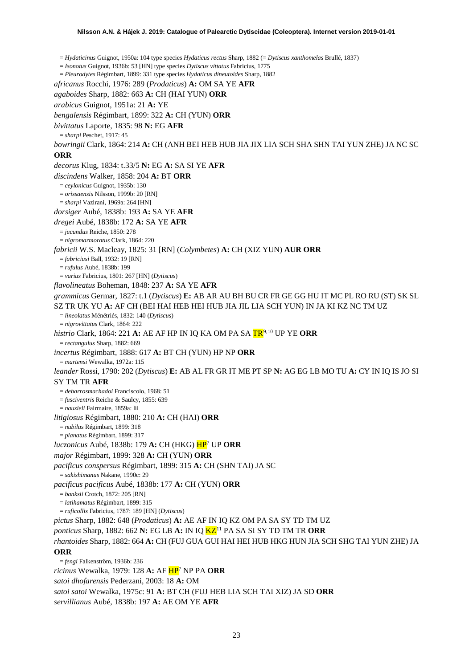= *Hydaticinus* Guignot, 1950a: 104 type species *Hydaticus rectus* Sharp, 1882 (= *Dytiscus xanthomelas* Brullé, 1837) = *Isonotus* Guignot, 1936b: 53 [HN] type species *Dytiscus vittatus* Fabricius, 1775 = *Pleurodytes* Régimbart, 1899: 331 type species *Hydaticus dineutoides* Sharp, 1882 *africanus* Rocchi, 1976: 289 (*Prodaticus*) **A:** OM SA YE **AFR** *agaboides* Sharp, 1882: 663 **A:** CH (HAI YUN) **ORR** *arabicus* Guignot, 1951a: 21 **A:** YE *bengalensis* Régimbart, 1899: 322 **A:** CH (YUN) **ORR** *bivittatus* Laporte, 1835: 98 **N:** EG **AFR** = *sharpi* Peschet, 1917: 45 *bowringii* Clark, 1864: 214 **A:** CH (ANH BEI HEB HUB JIA JIX LIA SCH SHA SHN TAI YUN ZHE) JA NC SC **ORR** *decorus* Klug, 1834: t.33/5 **N:** EG **A:** SA SI YE **AFR** *discindens* Walker, 1858: 204 **A:** BT **ORR** = *ceylonicus* Guignot, 1935b: 130 = *orissaensis* Nilsson, 1999b: 20 [RN] = *sharpi* Vazirani, 1969a: 264 [HN] *dorsiger* Aubé, 1838b: 193 **A:** SA YE **AFR** *dregei* Aubé, 1838b: 172 **A:** SA YE **AFR** = *jucundus* Reiche, 1850: 278 = *nigromarmoratus* Clark, 1864: 220 *fabricii* W.S. Macleay, 1825: 31 [RN] (*Colymbetes*) **A:** CH (XIZ YUN) **AUR ORR** = *fabriciusi* Ball, 1932: 19 [RN] = *rufulus* Aubé, 1838b: 199 = *varius* Fabricius, 1801: 267 [HN] (*Dytiscus*) *flavolineatus* Boheman, 1848: 237 **A:** SA YE **AFR** *grammicus* Germar, 1827: t.1 (*Dytiscus*) **E:** AB AR AU BH BU CR FR GE GG HU IT MC PL RO RU (ST) SK SL SZ TR UK YU **A:** AF CH (BEI HAI HEB HEI HUB JIA JIL LIA SCH YUN) IN JA KI KZ NC TM UZ = *lineolatus* Ménétriés, 1832: 140 (*Dytiscus*) = *nigrovittatus* Clark, 1864: 222 *histrio* Clark, 1864: 221 **A:** AE AF HP IN IQ KA OM PA SA TR[9,](#page-52-8)[10](#page-52-9) UP YE **ORR** = *rectangulus* Sharp, 1882: 669 *incertus* Régimbart, 1888: 617 **A:** BT CH (YUN) HP NP **ORR** = *martensi* Wewalka, 1972a: 115 *leander* Rossi, 1790: 202 (*Dytiscus*) **E:** AB AL FR GR IT ME PT SP **N:** AG EG LB MO TU **A:** CY IN IQ IS JO SI SY TM TR **AFR** = *debarrosmachadoi* Franciscolo, 1968: 51 = *fusciventris* Reiche & Saulcy, 1855: 639 = *nauzieli* Fairmaire, 1859a: lii *litigiosus* Régimbart, 1880: 210 **A:** CH (HAI) **ORR** = *nubilus* Régimbart, 1899: 318 = *planatus* Régimbart, 1899: 317 *luczonicus* Aubé, 1838b: 179 **A:** CH (HKG) H[P7](#page-19-0) UP **ORR** *major* Régimbart, 1899: 328 **A:** CH (YUN) **ORR** *pacificus conspersus* Régimbart, 1899: 315 **A:** CH (SHN TAI) JA SC = *sakishimanus* Nakane, 1990c: 29 *pacificus pacificus* Aubé, 1838b: 177 **A:** CH (YUN) **ORR** = *banksii* Crotch, 1872: 205 [RN] = *latihamatus* Régimbart, 1899: 315 = *ruficollis* Fabricius, 1787: 189 [HN] (*Dytiscus*) *pictus* Sharp, 1882: 648 (*Prodaticus*) **A:** AE AF IN IQ KZ OM PA SA SY TD TM UZ *ponticus* Sharp, 1882: 662 **N:** EG LB **A:** IN IQ KZ[11](#page-52-10) PA SA SI SY TD TM TR **ORR** *rhantoides* Sharp, 1882: 664 **A:** CH (FUJ GUA GUI HAI HEI HUB HKG HUN JIA SCH SHG TAI YUN ZHE) JA **ORR** = *fengi* Falkenström, 1936b: 236 *ricinus* Wewalka, 1979: 128 **A:** AF H[P7](#page-19-0) NP PA **ORR** *satoi dhofarensis* Pederzani, 2003: 18 **A:** OM *satoi satoi* Wewalka, 1975c: 91 **A:** BT CH (FUJ HEB LIA SCH TAI XIZ) JA SD **ORR**

*servillianus* Aubé, 1838b: 197 **A:** AE OM YE **AFR**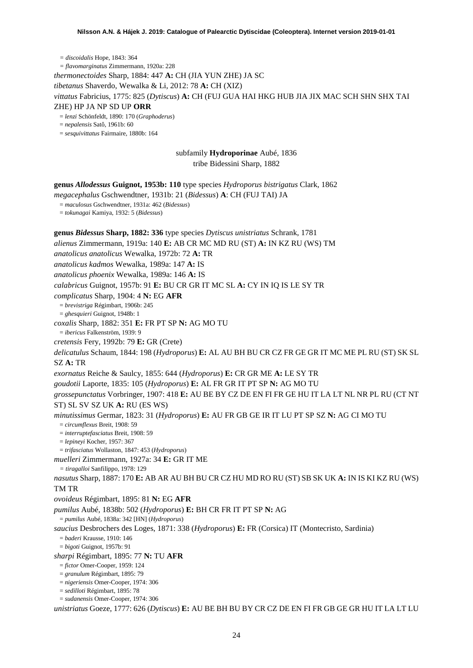*= discoidalis* Hope, 1843: 364 *= flavomarginatus* Zimmermann, 1920a: 228 *thermonectoides* Sharp, 1884: 447 **A:** CH (JIA YUN ZHE) JA SC *tibetanus* Shaverdo, Wewalka & Li, 2012: 78 **A:** CH (XIZ) *vittatus* Fabricius, 1775: 825 (*Dytiscus*) **A:** CH (FUJ GUA HAI HKG HUB JIA JIX MAC SCH SHN SHX TAI ZHE) HP JA NP SD UP **ORR**

= *lenzi* Schönfeldt, 1890: 170 (*Graphoderus*)

= *nepalensis* Satô, 1961b: 60

= *sesquivittatus* Fairmaire, 1880b: 164

subfamily **Hydroporinae** Aubé, 1836 tribe Bidessini Sharp, 1882

**genus** *Allodessus* **Guignot, 1953b: 110** type species *Hydroporus bistrigatus* Clark, 1862

*megacephalus* Gschwendtner, 1931b: 21 (*Bidessus*) **A**: CH (FUJ TAI) JA

= *maculosus* Gschwendtner, 1931a: 462 (*Bidessus*)

= *tokunagai* Kamiya, 1932: 5 (*Bidessus*)

**genus** *Bidessus* **Sharp, 1882: 336** type species *Dytiscus unistriatus* Schrank, 1781

*alienus* Zimmermann, 1919a: 140 **E:** AB CR MC MD RU (ST) **A:** IN KZ RU (WS) TM

*anatolicus anatolicus* Wewalka, 1972b: 72 **A:** TR

*anatolicus kadmos* Wewalka, 1989a: 147 **A:** IS

*anatolicus phoenix* Wewalka, 1989a: 146 **A:** IS

*calabricus* Guignot, 1957b: 91 **E:** BU CR GR IT MC SL **A:** CY IN IQ IS LE SY TR

*complicatus* Sharp, 1904: 4 **N:** EG **AFR**

= *brevistriga* Régimbart, 1906b: 245

= *ghesquieri* Guignot, 1948b: 1

*coxalis* Sharp, 1882: 351 **E:** FR PT SP **N:** AG MO TU

= *ibericus* Falkenström, 1939: 9

*cretensis* Fery, 1992b: 79 **E:** GR (Crete)

*delicatulus* Schaum, 1844: 198 (*Hydroporus*) **E:** AL AU BH BU CR CZ FR GE GR IT MC ME PL RU (ST) SK SL SZ **A:** TR

*exornatus* Reiche & Saulcy, 1855: 644 (*Hydroporus*) **E:** CR GR ME **A:** LE SY TR

*goudotii* Laporte, 1835: 105 (*Hydroporus*) **E:** AL FR GR IT PT SP **N:** AG MO TU

*grossepunctatus* Vorbringer, 1907: 418 **E:** AU BE BY CZ DE EN FI FR GE HU IT LA LT NL NR PL RU (CT NT ST) SL SV SZ UK **A:** RU (ES WS)

*minutissimus* Germar, 1823: 31 (*Hydroporus*) **E:** AU FR GB GE IR IT LU PT SP SZ **N:** AG CI MO TU

= *circumflexus* Breit, 1908: 59

= *interruptefasciatus* Breit, 1908: 59

= *lepineyi* Kocher, 1957: 367

= *trifasciatus* Wollaston, 1847: 453 (*Hydroporus*)

*muelleri* Zimmermann, 1927a: 34 **E:** GR IT ME

*= tiragalloi* Sanfilippo, 1978: 129

*nasutus* Sharp, 1887: 170 **E:** AB AR AU BH BU CR CZ HU MD RO RU (ST) SB SK UK **A:** IN IS KI KZ RU (WS) TM TR

*ovoideus* Régimbart, 1895: 81 **N:** EG **AFR**

*pumilus* Aubé, 1838b: 502 (*Hydroporus*) **E:** BH CR FR IT PT SP **N:** AG

= *pumilus* Aubé, 1838a: 342 [HN] (*Hydroporus*)

*saucius* Desbrochers des Loges, 1871: 338 (*Hydroporus*) **E:** FR (Corsica) IT (Montecristo, Sardinia)

= *baderi* Krausse, 1910: 146

= *bigoti* Guignot, 1957b: 91

*sharpi* Régimbart, 1895: 77 **N:** TU **AFR**

= *fictor* Omer-Cooper, 1959: 124

= *granulum* Régimbart, 1895: 79

= *nigeriensis* Omer-Cooper, 1974: 306

= *sedilloti* Régimbart, 1895: 78

= *sudanensis* Omer-Cooper, 1974: 306

*unistriatus* Goeze, 1777: 626 (*Dytiscus*) **E:** AU BE BH BU BY CR CZ DE EN FI FR GB GE GR HU IT LA LT LU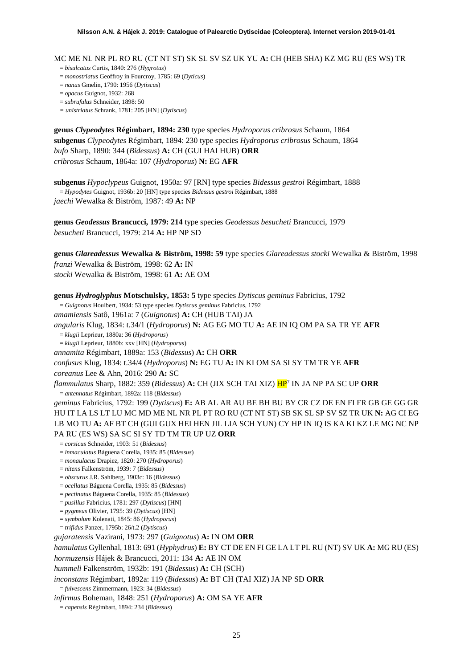MC ME NL NR PL RO RU (CT NT ST) SK SL SV SZ UK YU **A:** CH (HEB SHA) KZ MG RU (ES WS) TR

- = *bisulcatus* Curtis, 1840: 276 (*Hygrotus*)
- = *monostriatus* Geoffroy in Fourcroy, 1785: 69 (*Dyticus*)
- = *nanus* Gmelin, 1790: 1956 (*Dytiscus*)
- = *opacus* Guignot, 1932: 268
- = *subrufulus* Schneider, 1898: 50

*= unistriatus* Schrank, 1781: 205 [HN] (*Dytiscus*)

**genus** *Clypeodytes* **Régimbart, 1894: 230** type species *Hydroporus cribrosus* Schaum, 1864 **subgenus** *Clypeodytes* Régimbart, 1894: 230 type species *Hydroporus cribrosus* Schaum, 1864 *bufo* Sharp, 1890: 344 (*Bidessus*) **A:** CH (GUI HAI HUB) **ORR** *cribrosus* Schaum, 1864a: 107 (*Hydroporus*) **N:** EG **AFR**

**subgenus** *Hypoclypeus* Guignot, 1950a: 97 [RN] type species *Bidessus gestroi* Régimbart, 1888 = *Hypodytes* Guignot, 1936b: 20 [HN] type species *Bidessus gestroi* Régimbart, 1888 *jaechi* Wewalka & Biström, 1987: 49 **A:** NP

**genus** *Geodessus* **Brancucci, 1979: 214** type species *Geodessus besucheti* Brancucci, 1979 *besucheti* Brancucci, 1979: 214 **A:** HP NP SD

**genus** *Glareadessus* **Wewalka & Biström, 1998: 59** type species *Glareadessus stocki* Wewalka & Biström, 1998 *franzi* Wewalka & Biström, 1998: 62 **A:** IN *stocki* Wewalka & Biström, 1998: 61 **A:** AE OM

**genus** *Hydroglyphus* **Motschulsky, 1853: 5** type species *Dytiscus geminus* Fabricius, 1792 = *Guignotus* Houlbert, 1934: 53 type species *Dytiscus geminus* Fabricius, 1792 *amamiensis* Satô, 1961a: 7 (*Guignotus*) **A:** CH (HUB TAI) JA *angularis* Klug, 1834: t.34/1 (*Hydroporus*) **N:** AG EG MO TU **A:** AE IN IQ OM PA SA TR YE **AFR** = *klugii* Leprieur, 1880a: 36 (*Hydroporus*) = *klugii* Leprieur, 1880b: xxv [HN] (*Hydroporus*) *annamita* Régimbart, 1889a: 153 (*Bidessus*) **A:** CH **ORR** *confusus* Klug, 1834: t.34/4 (*Hydroporus*) **N:** EG TU **A:** IN KI OM SA SI SY TM TR YE **AFR** *coreanus* Lee & Ahn, 2016: 290 **A:** SC *flammulatus* Sharp, 1882: 359 (*Bidessus*) **A:** CH (JIX SCH TAI XIZ) H[P7](#page-19-0) IN JA NP PA SC UP **ORR** = *antennatus* Régimbart, 1892a: 118 (*Bidessus*) *geminus* Fabricius, 1792: 199 (*Dytiscus*) **E:** AB AL AR AU BE BH BU BY CR CZ DE EN FI FR GB GE GG GR HU IT LA LS LT LU MC MD ME NL NR PL PT RO RU (CT NT ST) SB SK SL SP SV SZ TR UK **N:** AG CI EG LB MO TU **A:** AF BT CH (GUI GUX HEI HEN JIL LIA SCH YUN) CY HP IN IQ IS KA KI KZ LE MG NC NP PA RU (ES WS) SA SC SI SY TD TM TR UP UZ **ORR** = *corsicus* Schneider, 1903: 51 (*Bidessus*) = *inmaculatus* Báguena Corella, 1935: 85 (*Bidessus*) = *monaulacus* Drapiez, 1820: 270 (*Hydroporus*) = *nitens* Falkenström, 1939: 7 (*Bidessus*) = *obscurus* J.R. Sahlberg, 1903c: 16 (*Bidessus*) = *ocellatus* Báguena Corella, 1935: 85 (*Bidessus*) = *pectinatus* Báguena Corella, 1935: 85 (*Bidessus*) = *pusillus* Fabricius, 1781: 297 (*Dytiscus*) [HN] = *pygmeus* Olivier, 1795: 39 (*Dytiscus*) [HN] = *symbolum* Kolenati, 1845: 86 (*Hydroporus*) = *trifidus* Panzer, 1795b: 26/t.2 (*Dytiscus*) *gujaratensis* Vazirani, 1973: 297 (*Guignotus*) **A:** IN OM **ORR** *hamulatus* Gyllenhal, 1813: 691 (*Hyphydrus*) **E:** BY CT DE EN FI GE LA LT PL RU (NT) SV UK **A:** MG RU (ES) *hormuzensis* Hájek & Brancucci, 2011: 134 **A:** AE IN OM

*hummeli* Falkenström, 1932b: 191 (*Bidessus*) **A:** CH (SCH)

*inconstans* Régimbart, 1892a: 119 (*Bidessus*) **A:** BT CH (TAI XIZ) JA NP SD **ORR**

= *fulvescens* Zimmermann, 1923: 34 (*Bidessus*)

*infirmus* Boheman, 1848: 251 (*Hydroporus*) **A:** OM SA YE **AFR**

= *capensis* Régimbart, 1894: 234 (*Bidessus*)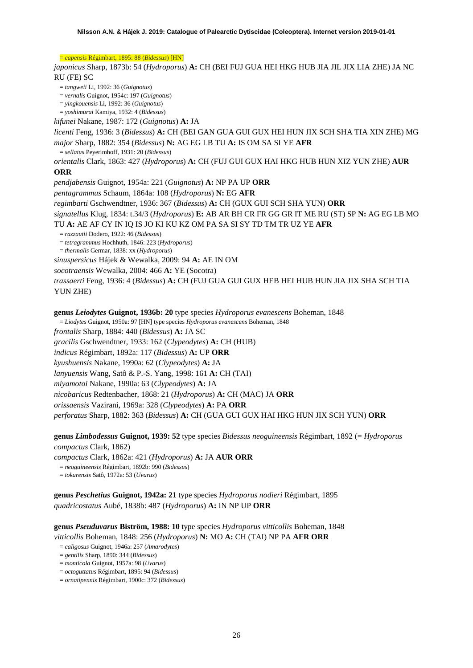= *capensis* Régimbart, 1895: 88 (*Bidessus*) [HN]

*japonicus* Sharp, 1873b: 54 (*Hydroporus*) **A:** CH (BEI FUJ GUA HEI HKG HUB JIA JIL JIX LIA ZHE) JA NC RU (FE) SC

= *tangweii* Li, 1992: 36 (*Guignotus*)

= *vernalis* Guignot, 1954c: 197 (*Guignotus*)

- = *yingkouensis* Li, 1992: 36 (*Guignotus*)
- = *yoshimurai* Kamiya, 1932: 4 (*Bidessus*)

*kifunei* Nakane, 1987: 172 (*Guignotus*) **A:** JA

*licenti* Feng, 1936: 3 (*Bidessus*) **A:** CH (BEI GAN GUA GUI GUX HEI HUN JIX SCH SHA TIA XIN ZHE) MG *major* Sharp, 1882: 354 (*Bidessus*) **N:** AG EG LB TU **A:** IS OM SA SI YE **AFR**

= *sellatus* Peyerimhoff, 1931: 20 (*Bidessus*)

*orientalis* Clark, 1863: 427 (*Hydroporus*) **A:** CH (FUJ GUI GUX HAI HKG HUB HUN XIZ YUN ZHE) **AUR**

## **ORR**

*pendjabensis* Guignot, 1954a: 221 (*Guignotus*) **A:** NP PA UP **ORR**

*pentagrammus* Schaum, 1864a: 108 (*Hydroporus*) **N:** EG **AFR**

*regimbarti* Gschwendtner, 1936: 367 (*Bidessus*) **A:** CH (GUX GUI SCH SHA YUN) **ORR**

*signatellus* Klug, 1834: t.34/3 (*Hydroporus*) **E:** AB AR BH CR FR GG GR IT ME RU (ST) SP **N:** AG EG LB MO TU **A:** AE AF CY IN IQ IS JO KI KU KZ OM PA SA SI SY TD TM TR UZ YE **AFR** 

= *razzautii* Dodero, 1922: 46 (*Bidessus*)

= *tetragrammus* Hochhuth, 1846: 223 (*Hydroporus*)

= *thermalis* Germar, 1838: xx (*Hydroporus*)

*sinuspersicus* Hájek & Wewalka, 2009: 94 **A:** AE IN OM

*socotraensis* Wewalka, 2004: 466 **A:** YE (Socotra)

*trassaerti* Feng, 1936: 4 (*Bidessus*) **A:** CH (FUJ GUA GUI GUX HEB HEI HUB HUN JIA JIX SHA SCH TIA YUN ZHE)

**genus** *Leiodytes* **Guignot, 1936b: 20** type species *Hydroporus evanescens* Boheman, 1848

= *Liodytes* Guignot, 1950a: 97 [HN] type species *Hydroporus evanescens* Boheman, 1848

*frontalis* Sharp, 1884: 440 (*Bidessus*) **A:** JA SC

*gracilis* Gschwendtner, 1933: 162 (*Clypeodytes*) **A:** CH (HUB)

*indicus* Régimbart, 1892a: 117 (*Bidessus*) **A:** UP **ORR**

*kyushuensis* Nakane, 1990a: 62 (*Clypeodytes*) **A:** JA

*lanyuensis* Wang, Satô & P.-S. Yang, 1998: 161 **A:** CH (TAI)

*miyamotoi* Nakane, 1990a: 63 (*Clypeodytes*) **A:** JA

*nicobaricus* Redtenbacher, 1868: 21 (*Hydroporus*) **A:** CH (MAC) JA **ORR**

*orissaensis* Vazirani, 1969a: 328 (*Clypeodytes*) **A:** PA **ORR**

*perforatus* Sharp, 1882: 363 (*Bidessus*) **A:** CH (GUA GUI GUX HAI HKG HUN JIX SCH YUN) **ORR**

**genus** *Limbodessus* **Guignot, 1939: 52** type species *Bidessus neoguineensis* Régimbart, 1892 (= *Hydroporus compactus* Clark, 1862)

*compactus* Clark, 1862a: 421 (*Hydroporus*) **A:** JA **AUR ORR**

= *neoguineensis* Régimbart, 1892b: 990 (*Bidessus*)

= *tokarensis* Satô, 1972a: 53 (*Uvarus*)

**genus** *Peschetius* **Guignot, 1942a: 21** type species *Hydroporus nodieri* Régimbart, 1895 *quadricostatus* Aubé, 1838b: 487 (*Hydroporus*) **A:** IN NP UP **ORR**

**genus** *Pseuduvarus* **Biström, 1988: 10** type species *Hydroporus vitticollis* Boheman, 1848 *vitticollis* Boheman, 1848: 256 (*Hydroporus*) **N:** MO **A:** CH (TAI) NP PA **AFR ORR**

- = *caligosus* Guignot, 1946a: 257 (*Amarodytes*)
- = *gentilis* Sharp, 1890: 344 (*Bidessus*)
- = *monticola* Guignot, 1957a: 98 (*Uvarus*)
- = *octoguttatus* Régimbart, 1895: 94 (*Bidessus*)
- = *ornatipennis* Régimbart, 1900c: 372 (*Bidessus*)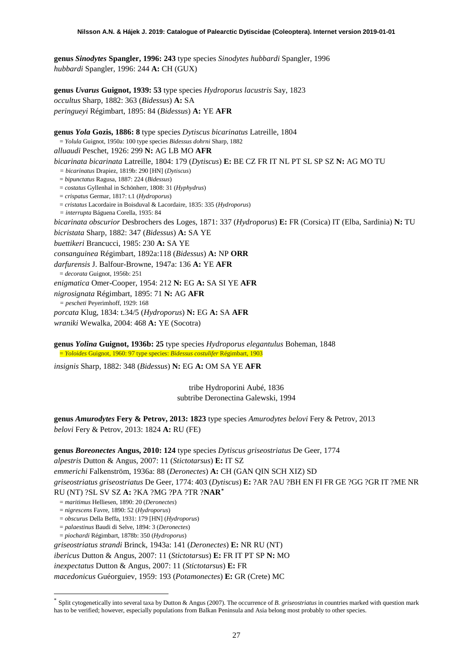**genus** *Sinodytes* **Spangler, 1996: 243** type species *Sinodytes hubbardi* Spangler, 1996 *hubbardi* Spangler, 1996: 244 **A:** CH (GUX)

**genus** *Uvarus* **Guignot, 1939: 53** type species *Hydroporus lacustris* Say, 1823 *occultus* Sharp, 1882: 363 (*Bidessus*) **A:** SA *peringueyi* Régimbart, 1895: 84 (*Bidessus*) **A:** YE **AFR**

**genus** *Yola* **Gozis, 1886: 8** type species *Dytiscus bicarinatus* Latreille, 1804 = *Yolula* Guignot, 1950a: 100 type species *Bidessus dohrni* Sharp, 1882 *alluaudi* Peschet, 1926: 299 **N:** AG LB MO **AFR** *bicarinata bicarinata* Latreille, 1804: 179 (*Dytiscus*) **E:** BE CZ FR IT NL PT SL SP SZ **N:** AG MO TU *= bicarinatus* Drapiez, 1819b: 290 [HN] (*Dytiscus*) = *bipunctatus* Ragusa, 1887: 224 (*Bidessus*) = *costatus* Gyllenhal in Schönherr, 1808: 31 (*Hyphydrus*) = *crispatus* Germar, 1817: t.1 (*Hydroporus*) = *cristatus* Lacordaire in Boisduval & Lacordaire, 1835: 335 (*Hydroporus*) *= interrupta* Báguena Corella, 1935: 84 *bicarinata obscurior* Desbrochers des Loges, 1871: 337 (*Hydroporus*) **E:** FR (Corsica) IT (Elba, Sardinia) **N:** TU *bicristata* Sharp, 1882: 347 (*Bidessus*) **A:** SA YE *buettikeri* Brancucci, 1985: 230 **A:** SA YE *consanguinea* Régimbart, 1892a:118 (*Bidessus*) **A:** NP **ORR** *darfurensis* J. Balfour-Browne, 1947a: 136 **A:** YE **AFR** = *decorata* Guignot, 1956b: 251 *enigmatica* Omer-Cooper, 1954: 212 **N:** EG **A:** SA SI YE **AFR** *nigrosignata* Régimbart, 1895: 71 **N:** AG **AFR** *= pescheti* Peyerimhoff, 1929: 168 *porcata* Klug, 1834: t.34/5 (*Hydroporus*) **N:** EG **A:** SA **AFR** *wraniki* Wewalka, 2004: 468 **A:** YE (Socotra)

**genus** *Yolina* **Guignot, 1936b: 25** type species *Hydroporus elegantulus* Boheman, 1848 = *Yoloides* Guignot, 1960: 97 type species: *Bidessus costulifer* Régimbart, 1903

*insignis* Sharp, 1882: 348 (*Bidessus*) **N:** EG **A:** OM SA YE **AFR**

tribe Hydroporini Aubé, 1836 subtribe Deronectina Galewski, 1994

**genus** *Amurodytes* **Fery & Petrov, 2013: 1823** type species *Amurodytes belovi* Fery & Petrov, 2013 *belovi* Fery & Petrov, 2013: 1824 **A:** RU (FE)

**genus** *Boreonectes* **Angus, 2010: 124** type species *Dytiscus griseostriatus* De Geer, 1774 *alpestris* Dutton & Angus, 2007: 11 (*Stictotarsus*) **E:** IT SZ *emmerichi* Falkenström, 1936a: 88 (*Deronectes*) **A:** CH (GAN QIN SCH XIZ) SD *griseostriatus griseostriatus* De Geer, 1774: 403 (*Dytiscus*) **E:** ?AR ?AU ?BH EN FI FR GE ?GG ?GR IT ?ME NR RU (NT) ?SL SV SZ **A:** ?KA ?MG ?PA ?TR ?**NAR[\\*](#page-26-0)**

= *maritimus* Helliesen, 1890: 20 (*Deronectes*)

= *nigrescens* Favre, 1890: 52 (*Hydroporus*)

= *obscurus* Della Beffa, 1931: 179 [HN] (*Hydroporus*)

= *palaestinus* Baudi di Selve, 1894: 3 (*Deronectes*) = *piochardi* Régimbart, 1878b: 350 (*Hydroporus*)

*griseostriatus strandi* Brinck, 1943a: 141 (*Deronectes*) **E:** NR RU (NT) *ibericus* Dutton & Angus, 2007: 11 (*Stictotarsus*) **E:** FR IT PT SP **N:** MO

*inexpectatus* Dutton & Angus, 2007: 11 (*Stictotarsus*) **E:** FR

*macedonicus* Guéorguiev, 1959: 193 (*Potamonectes*) **E:** GR (Crete) MC

<span id="page-26-0"></span>Split cytogenetically into several taxa by Dutton & Angus (2007). The occurrence of *B. griseostriatus* in countries marked with question mark has to be verified; however, especially populations from Balkan Peninsula and Asia belong most probably to other species.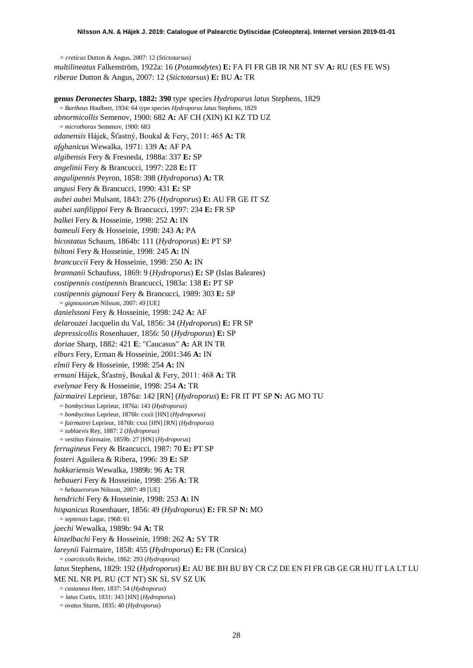*= creticus* Dutton & Angus, 2007: 12 (*Stictotarsus*) *multilineatus* Falkenström, 1922a: 16 (*Potamodytes*) **E:** FA FI FR GB IR NR NT SV **A:** RU (ES FE WS) *riberae* Dutton & Angus, 2007: 12 (*Stictotarsus*) **E:** BU **A:** TR

**genus** *Deronectes* **Sharp, 1882: 390** type species *Hydroporus latus* Stephens, 1829 = *Bartheus* Houlbert, 1934: 64 type species *Hydroporus latus* Stephens, 1829 *abnormicollis* Semenov, 1900: 682 **A:** AF CH (XIN) KI KZ TD UZ = *microthorax* Semenov, 1900: 683 *adanensis* Hájek, Šťastný, Boukal & Fery, 2011: 465 **A:** TR *afghanicus* Wewalka, 1971: 139 **A:** AF PA *algibensis* Fery & Fresneda, 1988a: 337 **E:** SP *angelinii* Fery & Brancucci, 1997: 228 **E:** IT *angulipennis* Peyron, 1858: 398 (*Hydroporus*) **A:** TR *angusi* Fery & Brancucci, 1990: 431 **E:** SP *aubei aubei* Mulsant, 1843: 276 (*Hydroporus*) **E:** AU FR GE IT SZ *aubei sanfilippoi* Fery & Brancucci, 1997: 234 **E:** FR SP *balkei* Fery & Hosseinie, 1998: 252 **A:** IN *bameuli* Fery & Hosseinie, 1998: 243 **A:** PA *bicostatus* Schaum, 1864b: 111 (*Hydroporus*) **E:** PT SP *biltoni* Fery & Hosseinie, 1998: 245 **A:** IN *brancuccii* Fery & Hosseinie, 1998: 250 **A:** IN *brannanii* Schaufuss, 1869: 9 (*Hydroporus*) **E:** SP (Islas Baleares) *costipennis costipennis* Brancucci, 1983a: 138 **E:** PT SP *costipennis gignouxi* Fery & Brancucci, 1989: 303 **E:** SP = *gignouxorum* Nilsson, 2007: 49 [UE] *danielssoni* Fery & Hosseinie, 1998: 242 **A:** AF *delarouzei* Jacquelin du Val, 1856: 34 (*Hydroporus*) **E:** FR SP *depressicollis* Rosenhauer, 1856: 50 (*Hydroporus*) **E:** SP *doriae* Sharp, 1882: 421 **E**: "Caucasus" **A:** AR IN TR *elburs* Fery, Erman & Hosseinie, 2001:346 **A:** IN *elmii* Fery & Hosseinie, 1998: 254 **A:** IN *ermani* Hájek, Šťastný, Boukal & Fery, 2011: 468 **A:** TR *evelynae* Fery & Hosseinie, 1998: 254 **A:** TR *fairmairei* Leprieur, 1876a: 142 [RN] (*Hydroporus*) **E:** FR IT PT SP **N:** AG MO TU = *bombycinus* Leprieur, 1876a: 143 (*Hydroporus*) = *bombycinus* Leprieur, 1876b: cxxii [HN] (*Hydroporus*) = *fairmairei* Leprieur, 1876b: cxxi [HN] [RN] (*Hydroporus*) = *sublaevis* Rey, 1887: 2 (*Hydroporus*) = *vestitus* Fairmaire, 1859b: 27 [HN] (*Hydroporus*) *ferrugineus* Fery & Brancucci, 1987: 70 **E:** PT SP *fosteri* Aguilera & Ribera, 1996: 39 **E:** SP *hakkariensis* Wewalka, 1989b: 96 **A:** TR *hebaueri* Fery & Hosseinie, 1998: 256 **A:** TR = *hebauerorum* Nilsson, 2007: 49 [UE] *hendrichi* Fery & Hosseinie, 1998: 253 **A:** IN *hispanicus* Rosenhauer, 1856: 49 (*Hydroporus*) **E:** FR SP **N:** MO = *septensis* Lagar, 1968: 61 *jaechi* Wewalka, 1989b: 94 **A:** TR *kinzelbachi* Fery & Hosseinie, 1998: 262 **A:** SY TR *lareynii* Fairmaire, 1858: 455 (*Hydroporus*) **E:** FR (Corsica) = *coarcticolis* Reiche, 1862: 293 (*Hydroporus*) *latus* Stephens, 1829: 192 (*Hydroporus*) **E:** AU BE BH BU BY CR CZ DE EN FI FR GB GE GR HU IT LA LT LU ME NL NR PL RU (CT NT) SK SL SV SZ UK = *castaneus* Heer, 1837: 54 (*Hydroporus*) *= latus* Curtis, 1831: 343 [HN] (*Hydroporus*) = *ovatus* Sturm, 1835: 40 (*Hydroporus*)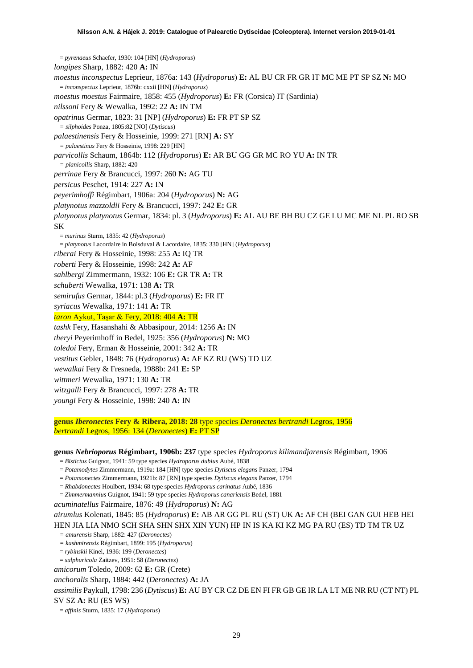= *pyrenaeus* Schaefer, 1930: 104 [HN] (*Hydroporus*) *longipes* Sharp, 1882: 420 **A:** IN *moestus inconspectus* Leprieur, 1876a: 143 (*Hydroporus*) **E:** AL BU CR FR GR IT MC ME PT SP SZ **N:** MO = *inconspectus* Leprieur, 1876b: cxxii [HN] (*Hydroporus*) *moestus moestus* Fairmaire, 1858: 455 (*Hydroporus*) **E:** FR (Corsica) IT (Sardinia) *nilssoni* Fery & Wewalka, 1992: 22 **A:** IN TM *opatrinus* Germar, 1823: 31 [NP] (*Hydroporus*) **E:** FR PT SP SZ *= silphoides* Ponza, 1805:82 [NO] (*Dytiscus*) *palaestinensis* Fery & Hosseinie, 1999: 271 [RN] **A:** SY *= palaestinus* Fery & Hosseinie, 1998: 229 [HN] *parvicollis* Schaum, 1864b: 112 (*Hydroporus*) **E:** AR BU GG GR MC RO YU **A:** IN TR *= planicollis* Sharp, 1882: 420 *perrinae* Fery & Brancucci, 1997: 260 **N:** AG TU *persicus* Peschet, 1914: 227 **A:** IN *peyerimhoffi* Régimbart, 1906a: 204 (*Hydroporus*) **N:** AG *platynotus mazzoldii* Fery & Brancucci, 1997: 242 **E:** GR *platynotus platynotus* Germar, 1834: pl. 3 (*Hydroporus*) **E:** AL AU BE BH BU CZ GE LU MC ME NL PL RO SB SK = *murinus* Sturm, 1835: 42 (*Hydroporus*) = *platynotus* Lacordaire in Boisduval & Lacordaire, 1835: 330 [HN] (*Hydroporus*) *riberai* Fery & Hosseinie, 1998: 255 **A:** IQ TR *roberti* Fery & Hosseinie, 1998: 242 **A:** AF *sahlbergi* Zimmermann, 1932: 106 **E:** GR TR **A:** TR *schuberti* Wewalka, 1971: 138 **A:** TR *semirufus* Germar, 1844: pl.3 (*Hydroporus*) **E:** FR IT *syriacus* Wewalka, 1971: 141 **A:** TR *taron* Aykut, Taşar & Fery, 2018: 404 **A:** TR *tashk* Fery, Hasanshahi & Abbasipour, 2014: 1256 **A:** IN *theryi* Peyerimhoff in Bedel, 1925: 356 (*Hydroporus*) **N:** MO *toledoi* Fery, Erman & Hosseinie, 2001: 342 **A:** TR *vestitus* Gebler, 1848: 76 (*Hydroporus*) **A:** AF KZ RU (WS) TD UZ *wewalkai* Fery & Fresneda, 1988b: 241 **E:** SP *wittmeri* Wewalka, 1971: 130 **A:** TR *witzgalli* Fery & Brancucci, 1997: 278 **A:** TR *youngi* Fery & Hosseinie, 1998: 240 **A:** IN

**genus** *Iberonectes* **Fery & Ribera, 2018: 28** type species *Deronectes bertrandi* Legros, 1956 *bertrandi* Legros, 1956: 134 (*Deronectes*) **E:** PT SP

#### **genus** *Nebrioporus* **Régimbart, 1906b: 237** type species *Hydroporus kilimandjarensis* Régimbart, 1906

= *Bistictus* Guignot, 1941: 59 type species *Hydroporus dubius* Aubé, 1838

- = *Potamodytes* Zimmermann, 1919a: 184 [HN] type species *Dytiscus elegans* Panzer, 1794
- = *Potamonectes* Zimmermann, 1921b: 87 [RN] type species *Dytiscus elegans* Panzer, 1794
- = *Rhabdonectes* Houlbert, 1934: 68 type species *Hydroporus carinatus* Aubé, 1836
- = *Zimmermannius* Guignot, 1941: 59 type species *Hydroporus canariensis* Bedel, 1881

*acuminatellus* Fairmaire, 1876: 49 (*Hydroporus*) **N:** AG

*airumlus* Kolenati, 1845: 85 (*Hydroporus*) **E:** AB AR GG PL RU (ST) UK **A:** AF CH (BEI GAN GUI HEB HEI HEN JIA LIA NMO SCH SHA SHN SHX XIN YUN) HP IN IS KA KI KZ MG PA RU (ES) TD TM TR UZ

*= amurensis* Sharp, 1882: 427 (*Deronectes*)

- *= kashmirensis* Régimbart, 1899: 195 (*Hydroporus*)
- = *rybinskii* Kinel, 1936: 199 (*Deronectes*)
- = *sulphuricola* Zaitzev, 1951: 58 (*Deronectes*)

*amicorum* Toledo, 2009: 62 **E:** GR (Crete)

*anchoralis* Sharp, 1884: 442 (*Deronectes*) **A:** JA

*assimilis* Paykull, 1798: 236 (*Dytiscus*) **E:** AU BY CR CZ DE EN FI FR GB GE IR LA LT ME NR RU (CT NT) PL SV SZ **A:** RU (ES WS)

= *affinis* Sturm, 1835: 17 (*Hydroporus*)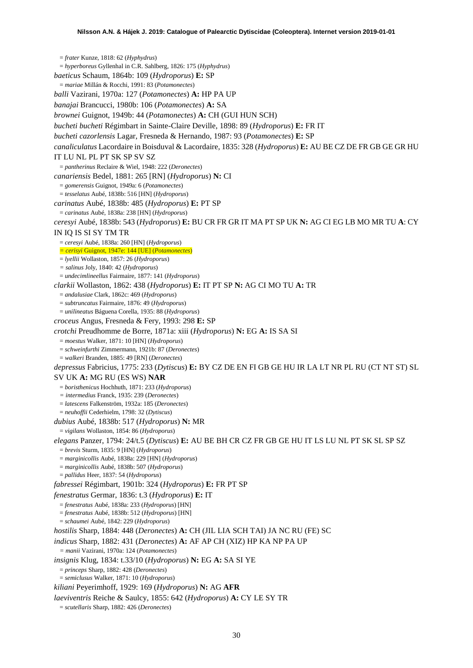= *frater* Kunze, 1818: 62 (*Hyphydrus*) = *hyperboreus* Gyllenhal in C.R. Sahlberg, 1826: 175 (*Hyphydrus*) *baeticus* Schaum, 1864b: 109 (*Hydroporus*) **E:** SP = *mariae* Millán & Rocchi, 1991: 83 (*Potamonectes*) *balli* Vazirani, 1970a: 127 (*Potamonectes*) **A:** HP PA UP *banajai* Brancucci, 1980b: 106 (*Potamonectes*) **A:** SA *brownei* Guignot, 1949b: 44 (*Potamonectes*) **A:** CH (GUI HUN SCH) *bucheti bucheti* Régimbart in Sainte-Claire Deville, 1898: 89 (*Hydroporus*) **E:** FR IT *bucheti cazorlensis* Lagar, Fresneda & Hernando, 1987: 93 (*Potamonectes*) **E:** SP *canaliculatus* Lacordaire in Boisduval & Lacordaire, 1835: 328 (*Hydroporus*) **E:** AU BE CZ DE FR GB GE GR HU IT LU NL PL PT SK SP SV SZ = *pantherinus* Reclaire & Wiel, 1948: 222 (*Deronectes*) *canariensis* Bedel, 1881: 265 [RN] (*Hydroporus*) **N:** CI = *gomerensis* Guignot, 1949a: 6 (*Potamonectes*) = *tesselatus* Aubé, 1838b: 516 [HN] (*Hydroporus*) *carinatus* Aubé, 1838b: 485 (*Hydroporus*) **E:** PT SP = *carinatus* Aubé, 1838a: 238 [HN] (*Hydroporus*) *ceresyi* Aubé, 1838b: 543 (*Hydroporus*) **E:** BU CR FR GR IT MA PT SP UK **N:** AG CI EG LB MO MR TU **A**: CY IN IQ IS SI SY TM TR = *ceresyi* Aubé, 1838a: 260 [HN] (*Hydroporus*) *= cerisyi* Guignot, 1947e: 144 [UE] (*Potamonectes*) = *lyellii* Wollaston, 1857: 26 (*Hydroporus*) *= salinus* Joly, 1840: 42 (*Hydroporus*) = *undecimlineellus* Fairmaire, 1877: 141 (*Hydroporus*) *clarkii* Wollaston, 1862: 438 (*Hydroporus*) **E:** IT PT SP **N:** AG CI MO TU **A:** TR = *andalusiae* Clark, 1862c: 469 (*Hydroporus*) = *subtruncatus* Fairmaire, 1876: 49 (*Hydroporus*) = *unilineatus* Báguena Corella, 1935: 88 (*Hydroporus*) *croceus* Angus, Fresneda & Fery, 1993: 298 **E:** SP *crotchi* Preudhomme de Borre, 1871a: xiii (*Hydroporus*) **N:** EG **A:** IS SA SI = *moestus* Walker, 1871: 10 [HN] (*Hydroporus*) = *schweinfurthi* Zimmermann, 1921b: 87 (*Deronectes*) = *walkeri* Branden, 1885: 49 [RN] (*Deronectes*) *depressus* Fabricius, 1775: 233 (*Dytiscus*) **E:** BY CZ DE EN FI GB GE HU IR LA LT NR PL RU (CT NT ST) SL SV UK **A:** MG RU (ES WS) **NAR** = *boristhenicus* Hochhuth, 1871: 233 (*Hydroporus*) *= intermedius* Franck, 1935: 239 (*Deronectes*) = *latescens* Falkenström, 1932a: 185 (*Deronectes*) = *neuhoffii* Cederhielm, 1798: 32 (*Dytiscus*) *dubius* Aubé, 1838b: 517 (*Hydroporus*) **N:** MR = *vigilans* Wollaston, 1854: 86 (*Hydroporus*) *elegans* Panzer, 1794: 24/t.5 (*Dytiscus*) **E:** AU BE BH CR CZ FR GB GE HU IT LS LU NL PT SK SL SP SZ = *brevis* Sturm, 1835: 9 [HN] (*Hydroporus*) = *marginicollis* Aubé, 1838a: 229 [HN] (*Hydroporus*) = *marginicollis* Aubé, 1838b: 507 (*Hydroporus*) = *pallidus* Heer, 1837: 54 (*Hydroporus*) *fabressei* Régimbart, 1901b: 324 (*Hydroporus*) **E:** FR PT SP *fenestratus* Germar, 1836: t.3 (*Hydroporus*) **E:** IT = *fenestratus* Aubé, 1838a: 233 (*Hydroporus*) [HN] = *fenestratus* Aubé, 1838b: 512 (*Hydroporus*) [HN] = *schaumei* Aubé, 1842: 229 (*Hydroporus*) *hostilis* Sharp, 1884: 448 (*Deronectes*) **A:** CH (JIL LIA SCH TAI) JA NC RU (FE) SC *indicus* Sharp, 1882: 431 (*Deronectes*) **A:** AF AP CH (XIZ) HP KA NP PA UP *= manii* Vazirani, 1970a: 124 (*Potamonectes*) *insignis* Klug, 1834: t.33/10 (*Hydroporus*) **N:** EG **A:** SA SI YE = *princeps* Sharp, 1882: 428 (*Deronectes*) = *semiclusus* Walker, 1871: 10 (*Hydroporus*) *kiliani* Peyerimhoff, 1929: 169 (*Hydroporus*) **N:** AG **AFR** *laeviventris* Reiche & Saulcy, 1855: 642 (*Hydroporus*) **A:** CY LE SY TR = *scutellaris* Sharp, 1882: 426 (*Deronectes*)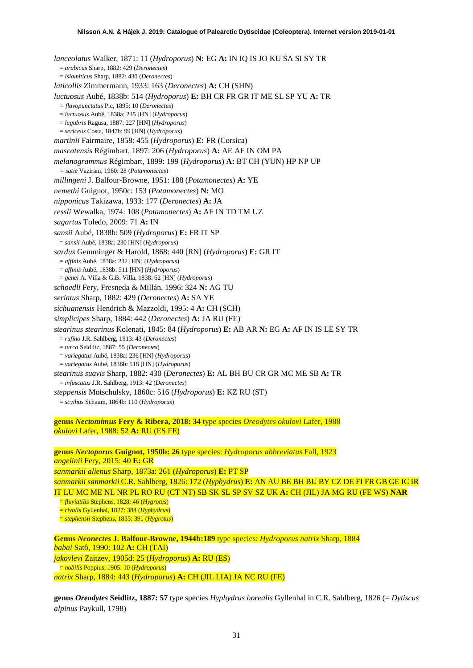*lanceolatus* Walker, 1871: 11 (*Hydroporus*) **N:** EG **A:** IN IQ IS JO KU SA SI SY TR = *arabicus* Sharp, 1882: 429 (*Deronectes*) = *islamiticus* Sharp, 1882: 430 (*Deronectes*) *laticollis* Zimmermann, 1933: 163 (*Deronectes*) **A:** CH (SHN) *luctuosus* Aubé, 1838b: 514 (*Hydroporus*) **E:** BH CR FR GR IT ME SL SP YU **A:** TR *= flavopunctatus* Pic, 1895: 10 (*Deronectes*) = *luctuosus* Aubé, 1838a: 235 [HN] (*Hydroporus*) = *lugubris* Ragusa, 1887: 227 [HN] (*Hydroporus*) = *sericeus* Costa, 1847b: 99 [HN] (*Hydroporus*) *martinii* Fairmaire, 1858: 455 (*Hydroporus*) **E:** FR (Corsica) *mascatensis* Régimbart, 1897: 206 (*Hydroporus*) **A:** AE AF IN OM PA *melanogrammus* Régimbart, 1899: 199 (*Hydroporus*) **A:** BT CH (YUN) HP NP UP *= satie* Vazirani, 1980: 28 (*Potamonectes*) *millingeni* J. Balfour-Browne, 1951: 188 (*Potamonectes*) **A:** YE *nemethi* Guignot, 1950c: 153 (*Potamonectes*) **N:** MO *nipponicus* Takizawa, 1933: 177 (*Deronectes*) **A:** JA *ressli* Wewalka, 1974: 108 (*Potamonectes*) **A:** AF IN TD TM UZ *sagartus* Toledo, 2009: 71 **A:** IN *sansii* Aubé, 1838b: 509 (*Hydroporus*) **E:** FR IT SP = *sansii* Aubé, 1838a: 230 [HN] (*Hydroporus*) *sardus* Gemminger & Harold, 1868: 440 [RN] (*Hydroporus*) **E:** GR IT = *affinis* Aubé, 1838a: 232 [HN] (*Hydroporus*) = *affinis* Aubé, 1838b: 511 [HN] (*Hydroporus*) = *genei* A. Villa & G.B. Villa, 1838: 62 [HN] (*Hydroporus*) *schoedli* Fery, Fresneda & Millán, 1996: 324 **N:** AG TU *seriatus* Sharp, 1882: 429 (*Deronectes*) **A:** SA YE *sichuanensis* Hendrich & Mazzoldi, 1995: 4 **A:** CH (SCH) *simplicipes* Sharp, 1884: 442 (*Deronectes*) **A:** JA RU (FE) *stearinus stearinus* Kolenati, 1845: 84 (*Hydroporus*) **E:** AB AR **N:** EG **A:** AF IN IS LE SY TR = *rufino* J.R. Sahlberg, 1913: 43 (*Deronectes*) = *turca* Seidlitz, 1887: 55 (*Deronectes*) = *variegatus* Aubé, 1838a: 236 [HN] (*Hydroporus*) = *variegatus* Aubé, 1838b: 518 [HN] (*Hydroporus*) *stearinus suavis* Sharp, 1882: 430 (*Deronectes*) **E:** AL BH BU CR GR MC ME SB **A:** TR = *infuscatus* J.R. Sahlberg, 1913: 42 (*Deronectes*) *steppensis* Motschulsky, 1860c: 516 (*Hydroporus*) **E:** KZ RU (ST) = *scythus* Schaum, 1864b: 110 (*Hydroporus*)

**genus** *Nectomimus* **Fery & Ribera, 2018: 34** type species *Oreodytes okulovi* Lafer, 1988 *okulovi* Lafer, 1988: 52 **A:** RU (ES FE)

**genus** *Nectoporus* **Guignot, 1950b: 26** type species: *Hydroporus abbreviatus* Fall, 1923 *angelinii* Fery, 2015: 40 **E:** GR *sanmarkii alienus* Sharp, 1873a: 261 (*Hydroporus*) **E:** PT SP *sanmarkii sanmarkii* C.R. Sahlberg, 1826: 172 (*Hyphydrus*) **E:** AN AU BE BH BU BY CZ DE FI FR GB GE IC IR IT LU MC ME NL NR PL RO RU (CT NT) SB SK SL SP SV SZ UK **A:** CH (JIL) JA MG RU (FE WS) **NAR** = *fluviatilis* Stephens, 1828: 46 (*Hygrotus*) = *rivalis* Gyllenhal, 1827: 384 (*Hyphydrus*) = *stephensii* Stephens, 1835: 391 (*Hygrotus*)

**Genus** *Neonectes* **J. Balfour-Browne, 1944b:189** type species: *Hydroporus natrix* Sharp, 1884 *babai* Satô, 1990: 102 **A:** CH (TAI) *jakovlevi* Zaitzev, 1905d: 25 (*Hydroporus*) **A:** RU (ES) = *nobilis* Poppius, 1905: 10 (*Hydroporus*) *natrix* Sharp, 1884: 443 (*Hydroporus*) **A:** CH (JIL LIA) JA NC RU (FE)

**genus** *Oreodytes* **Seidlitz, 1887: 57** type species *Hyphydrus borealis* Gyllenhal in C.R. Sahlberg, 1826 (= *Dytiscus alpinus* Paykull, 1798)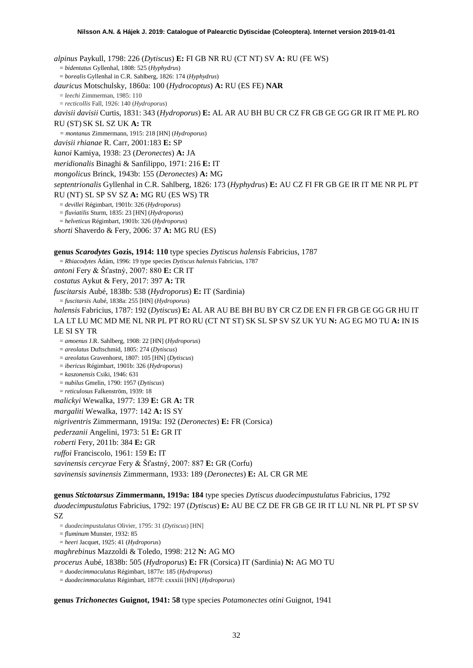*alpinus* Paykull, 1798: 226 (*Dytiscus*) **E:** FI GB NR RU (CT NT) SV **A:** RU (FE WS) = *bidentatus* Gyllenhal, 1808: 525 (*Hyphydrus*) = *borealis* Gyllenhal in C.R. Sahlberg, 1826: 174 (*Hyphydrus*) *dauricus* Motschulsky, 1860a: 100 (*Hydrocoptus*) **A:** RU (ES FE) **NAR** = *leechi* Zimmerman, 1985: 110 = *recticollis* Fall, 1926: 140 (*Hydroporus*) *davisii davisii* Curtis, 1831: 343 (*Hydroporus*) **E:** AL AR AU BH BU CR CZ FR GB GE GG GR IR IT ME PL RO RU (ST) SK SL SZ UK **A:** TR *= montanus* Zimmermann, 1915: 218 [HN] (*Hydroporus*) *davisii rhianae* R. Carr, 2001:183 **E:** SP *kanoi* Kamiya, 1938: 23 (*Deronectes*) **A:** JA *meridionalis* Binaghi & Sanfilippo, 1971: 216 **E:** IT *mongolicus* Brinck, 1943b: 155 (*Deronectes*) **A:** MG *septentrionalis* Gyllenhal in C.R. Sahlberg, 1826: 173 (*Hyphydrus*) **E:** AU CZ FI FR GB GE IR IT ME NR PL PT RU (NT) SL SP SV SZ **A:** MG RU (ES WS) TR = *devillei* Régimbart, 1901b: 326 (*Hydroporus*) = *fluviatilis* Sturm, 1835: 23 [HN] (*Hydroporus*) = *helveticus* Régimbart, 1901b: 326 (*Hydroporus*) *shorti* Shaverdo & Fery, 2006: 37 **A:** MG RU (ES) **genus** *Scarodytes* **Gozis, 1914: 110** type species *Dytiscus halensis* Fabricius, 1787 = *Rhiacodytes* Ádám, 1996: 19 type species *Dytiscus halensis* Fabricius, 1787 *antoni* Fery & Šťastný, 2007: 880 **E:** CR IT *costatus* Aykut & Fery, 2017: 397 **A:** TR *fuscitarsis* Aubé, 1838b: 538 (*Hydroporus*) **E:** IT (Sardinia) = *fuscitarsis* Aubé, 1838a: 255 [HN] (*Hydroporus*) *halensis* Fabricius, 1787: 192 (*Dytiscus*) **E:** AL AR AU BE BH BU BY CR CZ DE EN FI FR GB GE GG GR HU IT LA LT LU MC MD ME NL NR PL PT RO RU (CT NT ST) SK SL SP SV SZ UK YU **N:** AG EG MO TU **A:** IN IS LE SI SY TR = *amoenus* J.R. Sahlberg, 1908: 22 [HN] (*Hydroporus*) = *areolatus* Duftschmid, 1805: 274 (*Dytiscus*) = *areolatus* Gravenhorst, 1807: 105 [HN] (*Dytiscus*) = *ibericus* Régimbart, 1901b: 326 (*Hydroporus*) = *kaszonensis* Csiki, 1946: 631 = *nubilus* Gmelin, 1790: 1957 (*Dytiscus*) = *reticulosus* Falkenström, 1939: 18 *malickyi* Wewalka, 1977: 139 **E:** GR **A:** TR *margaliti* Wewalka, 1977: 142 **A:** IS SY *nigriventris* Zimmermann, 1919a: 192 (*Deronectes*) **E:** FR (Corsica) *pederzanii* Angelini, 1973: 51 **E:** GR IT *roberti* Fery, 2011b: 384 **E:** GR *ruffoi* Franciscolo, 1961: 159 **E:** IT *savinensis cercyrae* Fery & Šťastný, 2007: 887 **E:** GR (Corfu)

*savinensis savinensis* Zimmermann, 1933: 189 (*Deronectes*) **E:** AL CR GR ME

**genus** *Stictotarsus* **Zimmermann, 1919a: 184** type species *Dytiscus duodecimpustulatus* Fabricius, 1792 *duodecimpustulatus* Fabricius, 1792: 197 (*Dytiscus*) **E:** AU BE CZ DE FR GB GE IR IT LU NL NR PL PT SP SV SZ

= *duodecimpustulatus* Olivier, 1795: 31 (*Dytiscus*) [HN]

= *fluminum* Munster, 1932: 85

= *heeri* Jacquet, 1925: 41 (*Hydroporus*)

*maghrebinus* Mazzoldi & Toledo, 1998: 212 **N:** AG MO

*procerus* Aubé, 1838b: 505 (*Hydroporus*) **E:** FR (Corsica) IT (Sardinia) **N:** AG MO TU

= *duodecimmaculatus* Régimbart, 1877e: 185 (*Hydroporus*)

= *duodecimmaculatus* Régimbart, 1877f: cxxxiii [HN] (*Hydroporus*)

**genus** *Trichonectes* **Guignot, 1941: 58** type species *Potamonectes otini* Guignot, 1941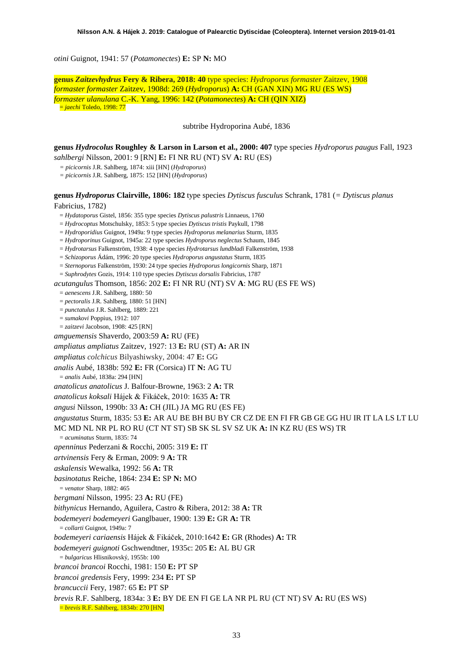*otini* Guignot, 1941: 57 (*Potamonectes*) **E:** SP **N:** MO

**genus** *Zaitzevhydrus* **Fery & Ribera, 2018: 40** type species: *Hydroporus formaster* Zaitzev, 1908 *formaster formaster* Zaitzev, 1908d: 269 (*Hydroporus*) **A:** CH (GAN XIN) MG RU (ES WS) *formaster ulanulana* C.-K. Yang, 1996: 142 (*Potamonectes*) **A:** CH (QIN XIZ) = *jaechi* Toledo, 1998: 77

subtribe Hydroporina Aubé, 1836

**genus** *Hydrocolus* **Roughley & Larson in Larson et al., 2000: 407** type species *Hydroporus paugus* Fall, 1923 *sahlbergi* Nilsson, 2001: 9 [RN] **E:** FI NR RU (NT) SV **A:** RU (ES)

*= picicornis* J.R. Sahlberg, 1874: xiii [HN] (*Hydroporus*)

*= picicornis* J.R. Sahlberg, 1875: 152 [HN] (*Hydroporus*)

**genus** *Hydroporus* **Clairville, 1806: 182** type species *Dytiscus fusculus* Schrank, 1781 (*= Dytiscus planus*

# Fabricius, 1782)

- = *Hydatoporus* Gistel, 1856: 355 type species *Dytiscus palustris* Linnaeus, 1760
- = *Hydrocoptus* Motschulsky, 1853: 5 type species *Dytiscus tristis* Paykull, 1798
- = *Hydroporidius* Guignot, 1949a: 9 type species *Hydroporus melanarius* Sturm, 1835
- = *Hydroporinus* Guignot, 1945a: 22 type species *Hydroporus neglectus* Schaum, 1845
- = *Hydrotarsus* Falkenström, 1938: 4 type species *Hydrotarsus lundbladi* Falkenström, 1938
- = *Schizoporus* Ádám, 1996: 20 type species *Hydroporus angustatus* Sturm, 1835
- = *Sternoporus* Falkenström, 1930: 24 type species *Hydroporus longicornis* Sharp, 1871
- = *Suphrodytes* Gozis, 1914: 110 type species *Dytiscus dorsalis* Fabricius, 1787

*acutangulus* Thomson, 1856: 202 **E:** FI NR RU (NT) SV **A**: MG RU (ES FE WS)

- = *aenescens* J.R. Sahlberg, 1880: 50
- = *pectoralis* J.R. Sahlberg, 1880: 51 [HN]
- = *punctatulus* J.R. Sahlberg, 1889: 221
- = *sumakovi* Poppius, 1912: 107
- = *zaitzevi* Jacobson, 1908: 425 [RN]
- *amguemensis* Shaverdo, 2003:59 **A:** RU (FE)
- *ampliatus ampliatus* Zaitzev, 1927: 13 **E:** RU (ST) **A:** AR IN
- *ampliatus colchicus* Bilyashiwsky, 2004: 47 **E:** GG
- *analis* Aubé, 1838b: 592 **E:** FR (Corsica) IT **N:** AG TU
- = *analis* Aubé, 1838a: 294 [HN]
- *anatolicus anatolicus* J. Balfour-Browne, 1963: 2 **A:** TR
- *anatolicus koksali* Hájek & Fikáček, 2010: 1635 **A:** TR
- *angusi* Nilsson, 1990b: 33 **A:** CH (JIL) JA MG RU (ES FE)
- *angustatus* Sturm, 1835: 53 **E:** AR AU BE BH BU BY CR CZ DE EN FI FR GB GE GG HU IR IT LA LS LT LU
- MC MD NL NR PL RO RU (CT NT ST) SB SK SL SV SZ UK **A:** IN KZ RU (ES WS) TR
	- = *acuminatus* Sturm, 1835: 74
- *apenninus* Pederzani & Rocchi, 2005: 319 **E:** IT
- *artvinensis* Fery & Erman, 2009: 9 **A:** TR
- *askalensis* Wewalka, 1992: 56 **A:** TR
- *basinotatus* Reiche, 1864: 234 **E:** SP **N:** MO
- = *venator* Sharp, 1882: 465
- *bergmani* Nilsson, 1995: 23 **A:** RU (FE)
- *bithynicus* Hernando, Aguilera, Castro & Ribera, 2012: 38 **A:** TR
- *bodemeyeri bodemeyeri* Ganglbauer, 1900: 139 **E:** GR **A:** TR
- = *collarti* Guignot, 1949a: 7
- *bodemeyeri cariaensis* Hájek & Fikáček, 2010:1642 **E:** GR (Rhodes) **A:** TR
- *bodemeyeri guignoti* Gschwendtner, 1935c: 205 **E:** AL BU GR
- = *bulgaricus* Hlisnikovský, 1955b: 100
- *brancoi brancoi* Rocchi, 1981: 150 **E:** PT SP
- *brancoi gredensis* Fery, 1999: 234 **E:** PT SP
- *brancuccii* Fery, 1987: 65 **E:** PT SP
- *brevis* R.F. Sahlberg, 1834a: 3 **E:** BY DE EN FI GE LA NR PL RU (CT NT) SV **A:** RU (ES WS)
- = *brevis* R.F. Sahlberg, 1834b: 270 [HN]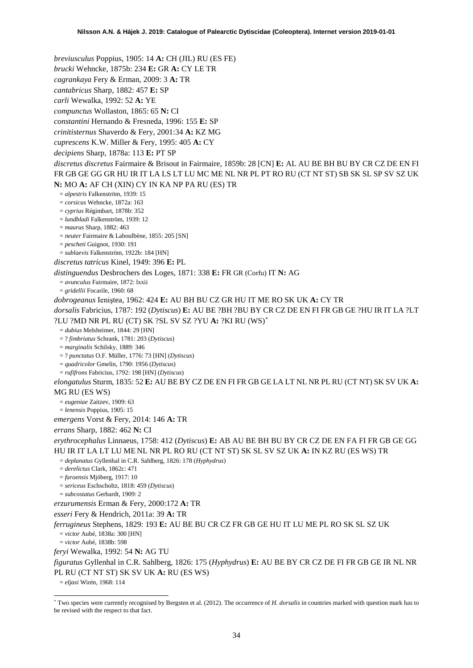*breviusculus* Poppius, 1905: 14 **A:** CH (JIL) RU (ES FE)

*brucki* Wehncke, 1875b: 234 **E:** GR **A:** CY LE TR

*cagrankaya* Fery & Erman, 2009: 3 **A:** TR

*cantabricus* Sharp, 1882: 457 **E:** SP

*carli* Wewalka, 1992: 52 **A:** YE

*compunctus* Wollaston, 1865: 65 **N:** CI

*constantini* Hernando & Fresneda, 1996: 155 **E:** SP

*crinitisternus* Shaverdo & Fery, 2001:34 **A:** KZ MG

*cuprescens* K.W. Miller & Fery, 1995: 405 **A:** CY

*decipiens* Sharp, 1878a: 113 **E:** PT SP

*discretus discretus* Fairmaire & Brisout in Fairmaire, 1859b: 28 [CN] **E:** AL AU BE BH BU BY CR CZ DE EN FI FR GB GE GG GR HU IR IT LA LS LT LU MC ME NL NR PL PT RO RU (CT NT ST) SB SK SL SP SV SZ UK **N:** MO **A:** AF CH (XIN) CY IN KA NP PA RU (ES) TR

= *alpestris* Falkenström, 1939: 15

= *corsicus* Wehncke, 1872a: 163

= *cyprius* Régimbart, 1878b: 352

= *lundbladi* Falkenström, 1939: 12

= *maurus* Sharp, 1882: 463

- = *neuter* Fairmaire & Laboulbène, 1855: 205 [SN]
- = *pescheti* Guignot, 1930: 191
- = *sublaevis* Falkenström, 1922b: 184 [HN]

*discretus tatricus* Kinel, 1949: 396 **E:** PL

*distinguendus* Desbrochers des Loges, 1871: 338 **E:** FR GR (Corfu) IT **N:** AG

= *avunculus* Fairmaire, 1872: lxxii

= *gridellii* Focarile, 1960: 68

*dobrogeanus* Ieniştea, 1962: 424 **E:** AU BH BU CZ GR HU IT ME RO SK UK **A:** CY TR

*dorsalis* Fabricius, 1787: 192 (*Dytiscus*) **E:** AU BE ?BH ?BU BY CR CZ DE EN FI FR GB GE ?HU IR IT LA ?LT ?LU ?MD NR PL RU (CT) SK ?SL SV SZ ?YU **A:** ?KI RU (WS)[\\*](#page-33-0)

= *dubius* Melsheimer, 1844: 29 [HN]

= ? *fimbriatus* Schrank, 1781: 203 (*Dytiscus*)

= *marginalis* Schilsky, 1889: 346

= ? *punctatus* O.F. Müller, 1776: 73 [HN] (*Dytiscus*)

= *quadricolor* Gmelin, 1790: 1956 (*Dytiscus*)

= *rufifrons* Fabricius, 1792: 198 [HN] (*Dytiscus*)

*elongatulus* Sturm, 1835: 52 **E:** AU BE BY CZ DE EN FI FR GB GE LA LT NL NR PL RU (CT NT) SK SV UK **A:**  MG RU (ES WS)

= *eugeniae* Zaitzev, 1909: 63

= *lenensis* Poppius, 1905: 15

*emergens* Vorst & Fery, 2014: 146 **A:** TR

*errans* Sharp, 1882: 462 **N:** CI

*erythrocephalus* Linnaeus, 1758: 412 (*Dytiscus*) **E:** AB AU BE BH BU BY CR CZ DE EN FA FI FR GB GE GG HU IR IT LA LT LU ME NL NR PL RO RU (CT NT ST) SK SL SV SZ UK **A:** IN KZ RU (ES WS) TR

= *deplanatus* Gyllenhal in C.R. Sahlberg, 1826: 178 (*Hyphydrus*)

- = *derelictus* Clark, 1862c: 471
- = *faroensis* Mjöberg, 1917: 10

= *sericeus* Eschscholtz, 1818: 459 (*Dytiscus*)

= *subcostatus* Gerhardt, 1909: 2

*erzurumensis* Erman & Fery, 2000:172 **A:** TR

*esseri* Fery & Hendrich, 2011a: 39 **A:** TR

*ferrugineus* Stephens, 1829: 193 **E:** AU BE BU CR CZ FR GB GE HU IT LU ME PL RO SK SL SZ UK = *victor* Aubé, 1838a: 300 [HN]

= *victor* Aubé, 1838b: 598

*feryi* Wewalka, 1992: 54 **N:** AG TU

*figuratus* Gyllenhal in C.R. Sahlberg, 1826: 175 (*Hyphydrus*) **E:** AU BE BY CR CZ DE FI FR GB GE IR NL NR PL RU (CT NT ST) SK SV UK **A:** RU (ES WS)

= *eljasi* Wirén, 1968: 114

<span id="page-33-0"></span> <sup>\*</sup> Two species were currently recognised by Bergsten et al. (2012). The occurrence of *H. dorsalis* in countries marked with question mark has to be revised with the respect to that fact.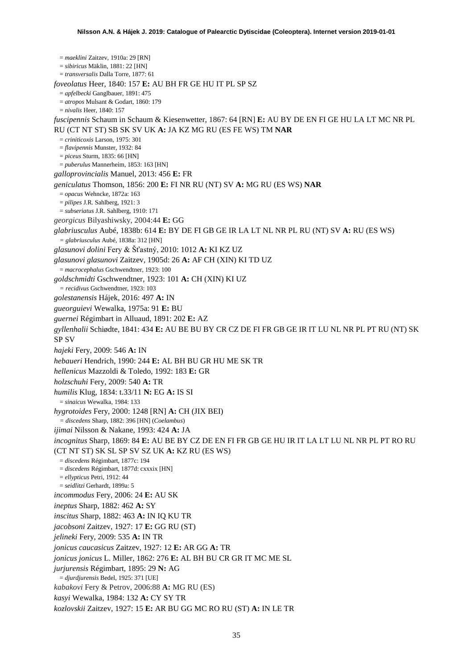= *maeklini* Zaitzev, 1910a: 29 [RN] = *sibiricus* Mäklin, 1881: 22 [HN] = *transversalis* Dalla Torre, 1877: 61 *foveolatus* Heer, 1840: 157 **E:** AU BH FR GE HU IT PL SP SZ = *apfelbecki* Ganglbauer, 1891: 475 = *atropos* Mulsant & Godart, 1860: 179 = *nivalis* Heer, 1840: 157 *fuscipennis* Schaum in Schaum & Kiesenwetter, 1867: 64 [RN] **E:** AU BY DE EN FI GE HU LA LT MC NR PL RU (CT NT ST) SB SK SV UK **A:** JA KZ MG RU (ES FE WS) TM **NAR** = *criniticoxis* Larson, 1975: 301 = *flavipennis* Munster, 1932: 84 = *piceus* Sturm, 1835: 66 [HN] = *puberulus* Mannerheim, 1853: 163 [HN] *galloprovincialis* Manuel, 2013: 456 **E:** FR *geniculatus* Thomson, 1856: 200 **E:** FI NR RU (NT) SV **A:** MG RU (ES WS) **NAR** = *opacus* Wehncke, 1872a: 163 = *pilipes* J.R. Sahlberg, 1921: 3 = *subseriatus* J.R. Sahlberg, 1910: 171 *georgicus* Bilyashiwsky, 2004:44 **E:** GG *glabriusculus* Aubé, 1838b: 614 **E:** BY DE FI GB GE IR LA LT NL NR PL RU (NT) SV **A:** RU (ES WS) *= glabriusculus* Aubé, 1838a: 312 [HN] *glasunovi dolini* Fery & Šťastný, 2010: 1012 **A:** KI KZ UZ *glasunovi glasunovi* Zaitzev, 1905d: 26 **A:** AF CH (XIN) KI TD UZ = *macrocephalus* Gschwendtner, 1923: 100 *goldschmidti* Gschwendtner, 1923: 101 **A:** CH (XIN) KI UZ *= recidivus* Gschwendtner, 1923: 103 *golestanensis* Hájek, 2016: 497 **A:** IN *gueorguievi* Wewalka, 1975a: 91 **E:** BU *guernei* Régimbart in Alluaud, 1891: 202 **E:** AZ *gyllenhalii* Schiødte, 1841: 434 **E:** AU BE BU BY CR CZ DE FI FR GB GE IR IT LU NL NR PL PT RU (NT) SK SP SV *hajeki* Fery, 2009: 546 **A:** IN *hebaueri* Hendrich, 1990: 244 **E:** AL BH BU GR HU ME SK TR *hellenicus* Mazzoldi & Toledo, 1992: 183 **E:** GR *holzschuhi* Fery, 2009: 540 **A:** TR *humilis* Klug, 1834: t.33/11 **N:** EG **A:** IS SI = *sinaicus* Wewalka, 1984: 133 *hygrotoides* Fery, 2000: 1248 [RN] **A:** CH (JIX BEI) *= discedens* Sharp, 1882: 396 [HN] (*Coelambus*) *ijimai* Nilsson & Nakane, 1993: 424 **A:** JA *incognitus* Sharp, 1869: 84 **E:** AU BE BY CZ DE EN FI FR GB GE HU IR IT LA LT LU NL NR PL PT RO RU (CT NT ST) SK SL SP SV SZ UK **A:** KZ RU (ES WS) = *discedens* Régimbart, 1877c: 194 = *discedens* Régimbart, 1877d: cxxxix [HN] = *ellypticus* Petri, 1912: 44 = *seidlitzi* Gerhardt, 1899a: 5 *incommodus* Fery, 2006: 24 **E:** AU SK *ineptus* Sharp, 1882: 462 **A:** SY *inscitus* Sharp, 1882: 463 **A:** IN IQ KU TR *jacobsoni* Zaitzev, 1927: 17 **E:** GG RU (ST) *jelineki* Fery, 2009: 535 **A:** IN TR *jonicus caucasicus* Zaitzev, 1927: 12 **E:** AR GG **A:** TR *jonicus jonicus* L. Miller, 1862: 276 **E:** AL BH BU CR GR IT MC ME SL *jurjurensis* Régimbart, 1895: 29 **N:** AG = *djurdjurensis* Bedel, 1925: 371 [UE] *kabakovi* Fery & Petrov, 2006:88 **A:** MG RU (ES) *kasyi* Wewalka, 1984: 132 **A:** CY SY TR *kozlovskii* Zaitzev, 1927: 15 **E:** AR BU GG MC RO RU (ST) **A:** IN LE TR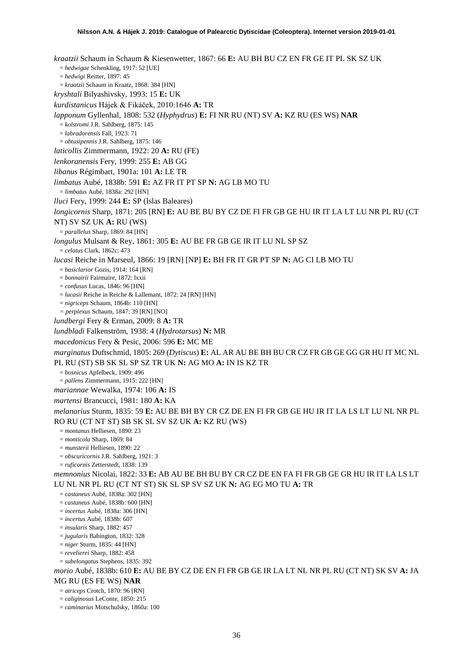*kraatzii* Schaum in Schaum & Kiesenwetter, 1867: 66 **E:** AU BH BU CZ EN FR GE IT PL SK SZ UK = *hedwigae* Schenkling, 1917: 52 [UE] = *hedwigi* Reitter, 1897: 45 = *kraatzii* Schaum in Kraatz, 1868: 384 [HN] *kryshtali* Bilyashivsky, 1993: 15 **E:** UK *kurdistanicus* Hájek & Fikáček, 2010:1646 **A:** TR *lapponum* Gyllenhal, 1808: 532 (*Hyphydrus*) **E:** FI NR RU (NT) SV **A:** KZ RU (ES WS) **NAR** = *kolstromi* J.R. Sahlberg, 1875: 145 = *labradorensis* Fall, 1923: 71 = *obtusipennis* J.R. Sahlberg, 1875: 146 *laticollis* Zimmermann, 1922: 20 **A:** RU (FE) *lenkoranensis* Fery, 1999: 255 **E:** AB GG *libanus* Régimbart, 1901a: 101 **A:** LE TR *limbatus* Aubé, 1838b: 591 **E:** AZ FR IT PT SP **N:** AG LB MO TU = *limbatus* Aubé, 1838a: 292 [HN] *lluci* Fery, 1999: 244 **E:** SP (Islas Baleares) *longicornis* Sharp, 1871: 205 [RN] **E:** AU BE BU BY CZ DE FI FR GB GE HU IR IT LA LT LU NR PL RU (CT NT) SV SZ UK **A:** RU (WS) = *parallelus* Sharp, 1869: 84 [HN] *longulus* Mulsant & Rey, 1861: 305 **E:** AU BE FR GB GE IR IT LU NL SP SZ = *celatus* Clark, 1862c: 473 *lucasi* Reiche in Marseul, 1866: 19 [RN] [NP] **E:** BH FR IT GR PT SP **N:** AG CI LB MO TU = *basiclarior* Gozis, 1914: 164 [RN] = *bonnairii* Fairmaire, 1872: lxxii = *confusus* Lucas, 1846: 96 [HN] = *lucasii* Reiche in Reiche & Lallemant, 1872: 24 [RN] [HN] = *nigriceps* Schaum, 1864b: 110 [HN] *= perplexus* Schaum, 1847: 39 [RN] [NO] *lundbergi* Fery & Erman, 2009: 8 **A:** TR *lundbladi* Falkenström, 1938: 4 (*Hydrotarsus*) **N:** MR *macedonicus* Fery & Pesic, 2006: 596 **E:** MC ME *marginatus* Duftschmid, 1805: 269 (*Dytiscus*) **E:** AL AR AU BE BH BU CR CZ FR GB GE GG GR HU IT MC NL PL RU (ST) SB SK SL SP SZ TR UK **N:** AG MO **A:** IN IS KZ TR = *bosnicus* Apfelbeck, 1909: 496 = *pallens* Zimmermann, 1915: 222 [HN] *mariannae* Wewalka, 1974: 106 **A:** IS *martensi* Brancucci, 1981: 180 **A:** KA *melanarius* Sturm, 1835: 59 **E:** AU BE BH BY CR CZ DE EN FI FR GB GE HU IR IT LA LS LT LU NL NR PL RO RU (CT NT ST) SB SK SL SV SZ UK **A:** KZ RU (WS) = *montanus* Helliesen, 1890: 23 = *monticola* Sharp, 1869: 84 = *munsterii* Helliesen, 1890: 22 = *obscuricornis* J.R. Sahlberg, 1921: 3 = *ruficornis* Zetterstedt, 1838: 139 *memnonius* Nicolai, 1822: 33 **E:** AB AU BE BH BU BY CR CZ DE EN FA FI FR GB GE GR HU IR IT LA LS LT LU NL NR PL RU (CT NT ST) SK SL SP SV SZ UK **N:** AG EG MO TU **A:** TR = *castaneus* Aubé, 1838a: 302 [HN] = *castaneus* Aubé, 1838b: 600 [HN] = *incertus* Aubé, 1838a: 306 [HN] = *incertus* Aubé, 1838b: 607 = *insularis* Sharp, 1882: 457 = *jugularis* Babington, 1832: 328 = *niger* Sturm, 1835: 44 [HN] = *revelierei* Sharp, 1882: 458 = *subelongatus* Stephens, 1835: 392 *morio* Aubé, 1838b: 610 **E:** AU BE BY CZ DE EN FI FR GB GE IR LA LT NL NR PL RU (CT NT) SK SV **A:** JA MG RU (ES FE WS) **NAR** = *atriceps* Crotch, 1870: 96 [RN] = *caliginosus* LeConte, 1850: 215

= *caminarius* Motschulsky, 1860a: 100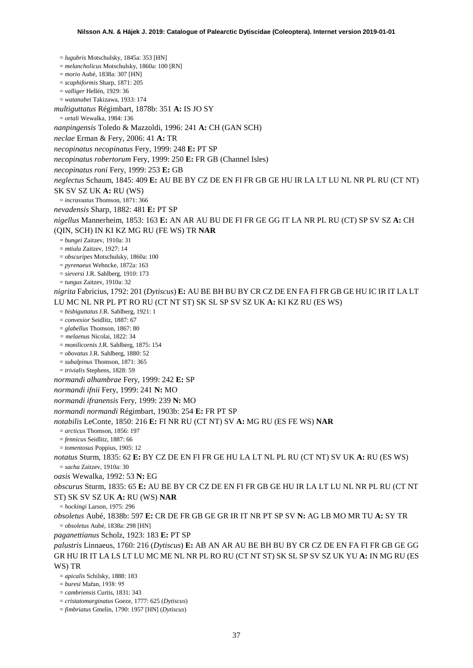= *lugubris* Motschulsky, 1845a: 353 [HN] = *melancholicus* Motschulsky, 1860a: 100 [RN] = *morio* Aubé, 1838a: 307 [HN] = *scaphiformis* Sharp, 1871: 205 = *valliger* Hellén, 1929: 36 = *watanabei* Takizawa, 1933: 174 *multiguttatus* Régimbart, 1878b: 351 **A:** IS JO SY = *ortali* Wewalka, 1984: 136 *nanpingensis* Toledo & Mazzoldi, 1996: 241 **A:** CH (GAN SCH) *neclae* Erman & Fery, 2006: 41 **A:** TR *necopinatus necopinatus* Fery, 1999: 248 **E:** PT SP *necopinatus robertorum* Fery, 1999: 250 **E:** FR GB (Channel Isles) *necopinatus roni* Fery, 1999: 253 **E:** GB *neglectus* Schaum, 1845: 409 **E:** AU BE BY CZ DE EN FI FR GB GE HU IR LA LT LU NL NR PL RU (CT NT) SK SV SZ UK **A:** RU (WS) = *incrassatus* Thomson, 1871: 366 *nevadensis* Sharp, 1882: 481 **E:** PT SP *nigellus* Mannerheim, 1853: 163 **E:** AN AR AU BU DE FI FR GE GG IT LA NR PL RU (CT) SP SV SZ **A:** CH (QIN, SCH) IN KI KZ MG RU (FE WS) TR **NAR** = *bungei* Zaitzev, 1910a: 31 = *mtiula* Zaitzev, 1927: 14 = *obscuripes* Motschulsky, 1860a: 100 = *pyrenaeus* Wehncke, 1872a: 163 = *sieversi* J.R. Sahlberg, 1910: 173 = *tungus* Zaitzev, 1910a: 32 *nigrita* Fabricius, 1792: 201 (*Dytiscus*) **E:** AU BE BH BU BY CR CZ DE EN FA FI FR GB GE HU IC IR IT LA LT LU MC NL NR PL PT RO RU (CT NT ST) SK SL SP SV SZ UK **A:** KI KZ RU (ES WS) = *bisbiguttatus* J.R. Sahlberg, 1921: 1 = *convexior* Seidlitz, 1887: 67 = *glabellus* Thomson, 1867: 80 *= melaenus* Nicolai, 1822: 34 = *monilicornis* J.R. Sahlberg, 1875: 154 = *obovatus* J.R. Sahlberg, 1880: 52 = *subalpinus* Thomson, 1871: 365 = *trivialis* Stephens, 1828: 59 *normandi alhambrae* Fery, 1999: 242 **E:** SP *normandi ifnii* Fery, 1999: 241 **N:** MO *normandi ifranensis* Fery, 1999: 239 **N:** MO *normandi normandi* Régimbart, 1903b: 254 **E:** FR PT SP *notabilis* LeConte, 1850: 216 **E:** FI NR RU (CT NT) SV **A:** MG RU (ES FE WS) **NAR** = *arcticus* Thomson, 1856: 197 = *fennicus* Seidlitz, 1887: 66 = *tomentosus* Poppius, 1905: 12 *notatus* Sturm, 1835: 62 **E:** BY CZ DE EN FI FR GE HU LA LT NL PL RU (CT NT) SV UK **A:** RU (ES WS) = *sacha* Zaitzev, 1910a: 30 *oasis* Wewalka, 1992: 53 **N:** EG *obscurus* Sturm, 1835: 65 **E:** AU BE BY CR CZ DE EN FI FR GB GE HU IR LA LT LU NL NR PL RU (CT NT ST) SK SV SZ UK **A:** RU (WS) **NAR** = *hockingi* Larson, 1975: 296 *obsoletus* Aubé, 1838b: 597 **E:** CR DE FR GB GE GR IR IT NR PT SP SV **N:** AG LB MO MR TU **A:** SY TR = *obsoletus* Aubé, 1838a: 298 [HN] *paganettianus* Scholz, 1923: 183 **E:** PT SP *palustris* Linnaeus, 1760: 216 (*Dytiscus*) **E:** AB AN AR AU BE BH BU BY CR CZ DE EN FA FI FR GB GE GG GR HU IR IT LA LS LT LU MC ME NL NR PL RO RU (CT NT ST) SK SL SP SV SZ UK YU **A:** IN MG RU (ES WS) TR = *apicalis* Schilsky, 1888: 183 = *buresi* Mařan, 1938: 95

= *cambriensis* Curtis, 1831: 343

= *cristatomarginatus* Goeze, 1777: 625 (*Dytiscus*)

= *fimbriatus* Gmelin, 1790: 1957 [HN] (*Dytiscus*)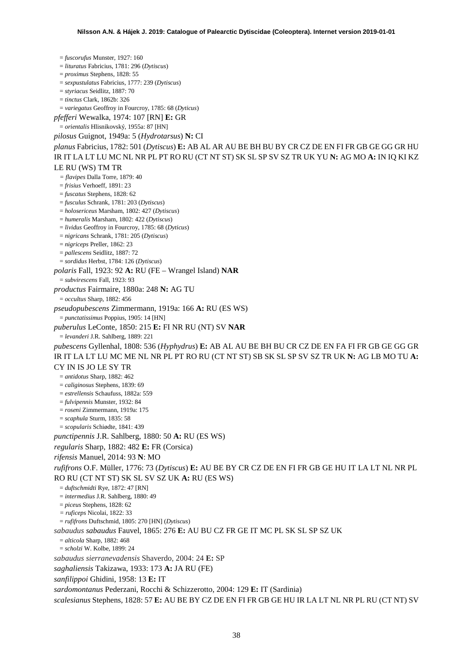= *fuscorufus* Munster, 1927: 160 = *lituratus* Fabricius, 1781: 296 (*Dytiscus*) = *proximus* Stephens, 1828: 55 = *sexpustulatus* Fabricius, 1777: 239 (*Dytiscus*) = *styriacus* Seidlitz, 1887: 70 = *tinctus* Clark, 1862b: 326 = *variegatus* Geoffroy in Fourcroy, 1785: 68 (*Dyticus*) *pfefferi* Wewalka, 1974: 107 [RN] **E:** GR = *orientalis* Hlisnikovský, 1955a: 87 [HN] *pilosus* Guignot, 1949a: 5 (*Hydrotarsus*) **N:** CI *planus* Fabricius, 1782: 501 (*Dytiscus*) **E:** AB AL AR AU BE BH BU BY CR CZ DE EN FI FR GB GE GG GR HU IR IT LA LT LU MC NL NR PL PT RO RU (CT NT ST) SK SL SP SV SZ TR UK YU **N:** AG MO **A:** IN IQ KI KZ LE RU (WS) TM TR *= flavipes* Dalla Torre, 1879: 40 = *frisius* Verhoeff, 1891: 23 = *fuscatus* Stephens, 1828: 62 = *fusculus* Schrank, 1781: 203 (*Dytiscus*) = *holosericeus* Marsham, 1802: 427 (*Dytiscus*) = *humeralis* Marsham, 1802: 422 (*Dytiscus*) = *lividus* Geoffroy in Fourcroy, 1785: 68 (*Dyticus*) = *nigricans* Schrank, 1781: 205 (*Dytiscus*) = *nigriceps* Preller, 1862: 23 = *pallescens* Seidlitz, 1887: 72 = *sordidus* Herbst, 1784: 126 (*Dytiscus*) *polaris* Fall, 1923: 92 **A:** RU (FE – Wrangel Island) **NAR** = *subvirescens* Fall, 1923: 93 *productus* Fairmaire, 1880a: 248 **N:** AG TU = *occultus* Sharp, 1882: 456 *pseudopubescens* Zimmermann, 1919a: 166 **A:** RU (ES WS) = *punctatissimus* Poppius, 1905: 14 [HN] *puberulus* LeConte, 1850: 215 **E:** FI NR RU (NT) SV **NAR** = *levanderi* J.R. Sahlberg, 1889: 221 *pubescens* Gyllenhal, 1808: 536 (*Hyphydrus*) **E:** AB AL AU BE BH BU CR CZ DE EN FA FI FR GB GE GG GR IR IT LA LT LU MC ME NL NR PL PT RO RU (CT NT ST) SB SK SL SP SV SZ TR UK **N:** AG LB MO TU **A:**  CY IN IS JO LE SY TR = *antidotus* Sharp, 1882: 462 = *caliginosus* Stephens, 1839: 69 = *estrellensis* Schaufuss, 1882a: 559 = *fulvipennis* Munster, 1932: 84 = *roseni* Zimmermann, 1919a: 175 = *scaphula* Sturm, 1835: 58 = *scopularis* Schiødte, 1841: 439 *punctipennis* J.R. Sahlberg, 1880: 50 **A:** RU (ES WS) *regularis* Sharp, 1882: 482 **E:** FR (Corsica) *rifensis* Manuel, 2014: 93 **N**: MO *rufifrons* O.F. Müller, 1776: 73 (*Dytiscus*) **E:** AU BE BY CR CZ DE EN FI FR GB GE HU IT LA LT NL NR PL RO RU (CT NT ST) SK SL SV SZ UK **A:** RU (ES WS) = *duftschmidti* Rye, 1872: 47 [RN] = *intermedius* J.R. Sahlberg, 1880: 49 = *piceus* Stephens, 1828: 62 *= ruficeps* Nicolai, 1822: 33 = *rufifrons* Duftschmid, 1805: 270 [HN] (*Dytiscus*) *sabaudus sabaudus* Fauvel, 1865: 276 **E:** AU BU CZ FR GE IT MC PL SK SL SP SZ UK = *alticola* Sharp, 1882: 468 = *scholzi* W. Kolbe, 1899: 24 *sabaudus sierranevadensis* Shaverdo, 2004: 24 **E:** SP *saghaliensis* Takizawa, 1933: 173 **A:** JA RU (FE) *sanfilippoi* Ghidini, 1958: 13 **E:** IT *sardomontanus* Pederzani, Rocchi & Schizzerotto, 2004: 129 **E:** IT (Sardinia) *scalesianus* Stephens, 1828: 57 **E:** AU BE BY CZ DE EN FI FR GB GE HU IR LA LT NL NR PL RU (CT NT) SV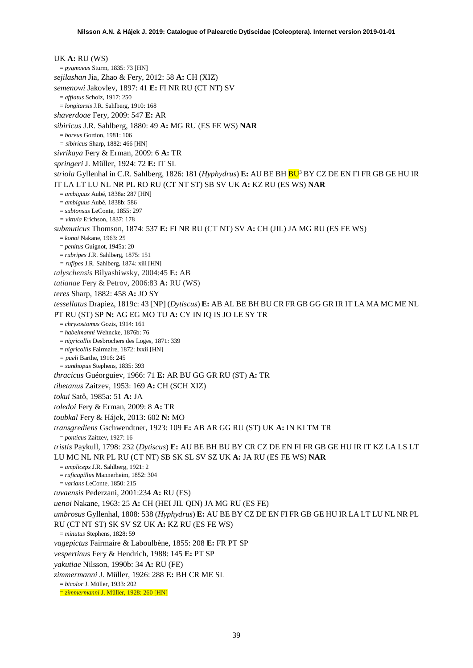UK **A:** RU (WS) = *pygmaeus* Sturm, 1835: 73 [HN] *sejilashan* Jia, Zhao & Fery, 2012: 58 **A:** CH (XIZ) *semenowi* Jakovlev, 1897: 41 **E:** FI NR RU (CT NT) SV = *afflatus* Scholz, 1917: 250 = *longitarsis* J.R. Sahlberg, 1910: 168 *shaverdoae* Fery, 2009: 547 **E:** AR *sibiricus* J.R. Sahlberg, 1880: 49 **A:** MG RU (ES FE WS) **NAR** = *boreus* Gordon, 1981: 106 *= sibiricus* Sharp, 1882: 466 [HN] *sivrikaya* Fery & Erman, 2009: 6 **A:** TR *springeri* J. Müller, 1924: 72 **E:** IT SL *striola* Gyllenhal in C.R. Sahlberg, 1826: 181 (*Hyphydrus*) **E:** AU BE BH B[U3](#page-9-0) BY CZ DE EN FI FR GB GE HU IR IT LA LT LU NL NR PL RO RU (CT NT ST) SB SV UK **A:** KZ RU (ES WS) **NAR** = *ambiguus* Aubé, 1838a: 287 [HN] = *ambiguus* Aubé, 1838b: 586 = *subtonsus* LeConte, 1855: 297 *= vittula* Erichson, 1837: 178 *submuticus* Thomson, 1874: 537 **E:** FI NR RU (CT NT) SV **A:** CH (JIL) JA MG RU (ES FE WS) = *konoi* Nakane, 1963: 25 = *penitus* Guignot, 1945a: 20 = *rubripes* J.R. Sahlberg, 1875: 151 *= rufipes* J.R. Sahlberg, 1874: xiii [HN] *talyschensis* Bilyashiwsky, 2004:45 **E:** AB *tatianae* Fery & Petrov, 2006:83 **A:** RU (WS) *teres* Sharp, 1882: 458 **A:** JO SY *tessellatus* Drapiez, 1819c: 43 [NP] (*Dytiscus*) **E:** AB AL BE BH BU CR FR GB GG GR IR IT LA MA MC ME NL PT RU (ST) SP **N:** AG EG MO TU **A:** CY IN IQ IS JO LE SY TR = *chrysostomus* Gozis, 1914: 161 = *habelmanni* Wehncke, 1876b: 76 = *nigricollis* Desbrochers des Loges, 1871: 339 = *nigricollis* Fairmaire, 1872: lxxii [HN] *= pueli* Barthe, 1916: 245 = *xanthopus* Stephens, 1835: 393 *thracicus* Guéorguiev, 1966: 71 **E:** AR BU GG GR RU (ST) **A:** TR *tibetanus* Zaitzev, 1953: 169 **A:** CH (SCH XIZ) *tokui* Satô, 1985a: 51 **A:** JA *toledoi* Fery & Erman, 2009: 8 **A:** TR *toubkal* Fery & Hájek, 2013: 602 **N:** MO *transgrediens* Gschwendtner, 1923: 109 **E:** AB AR GG RU (ST) UK **A:** IN KI TM TR = *ponticus* Zaitzev, 1927: 16 *tristis* Paykull, 1798: 232 (*Dytiscus*) **E:** AU BE BH BU BY CR CZ DE EN FI FR GB GE HU IR IT KZ LA LS LT LU MC NL NR PL RU (CT NT) SB SK SL SV SZ UK **A:** JA RU (ES FE WS) **NAR** = *ampliceps* J.R. Sahlberg, 1921: 2 = *ruficapillus* Mannerheim, 1852: 304 = *varians* LeConte, 1850: 215 *tuvaensis* Pederzani, 2001:234 **A:** RU (ES) *uenoi* Nakane, 1963: 25 **A:** CH (HEI JIL QIN) JA MG RU (ES FE) *umbrosus* Gyllenhal, 1808: 538 (*Hyphydrus*) **E:** AU BE BY CZ DE EN FI FR GB GE HU IR LA LT LU NL NR PL RU (CT NT ST) SK SV SZ UK **A:** KZ RU (ES FE WS) = *minutus* Stephens, 1828: 59 *vagepictus* Fairmaire & Laboulbène, 1855: 208 **E:** FR PT SP *vespertinus* Fery & Hendrich, 1988: 145 **E:** PT SP *yakutiae* Nilsson, 1990b: 34 **A:** RU (FE) *zimmermanni* J. Müller, 1926: 288 **E:** BH CR ME SL = *bicolor* J. Müller, 1933: 202

= *zimmermanni* J. Müller, 1928: 260 [HN]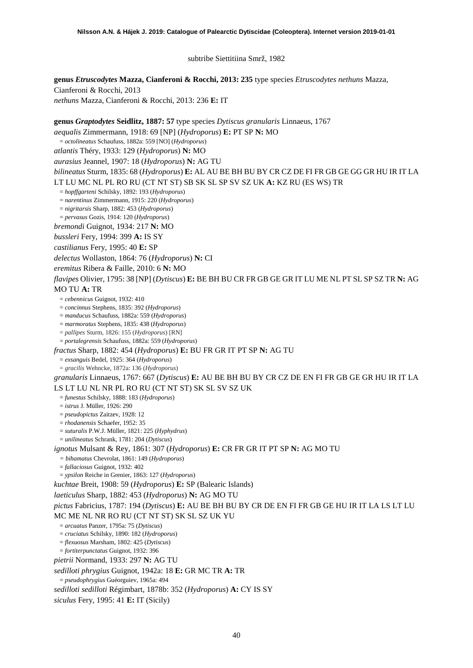subtribe Siettitiina Smrž, 1982

**genus** *Etruscodytes* **Mazza, Cianferoni & Rocchi, 2013: 235** type species *Etruscodytes nethuns* Mazza, Cianferoni & Rocchi, 2013

*nethuns* Mazza, Cianferoni & Rocchi, 2013: 236 **E:** IT

**genus** *Graptodytes* **Seidlitz, 1887: 57** type species *Dytiscus granularis* Linnaeus, 1767 *aequalis* Zimmermann, 1918: 69 [NP] (*Hydroporus*) **E:** PT SP **N:** MO = *octolineatus* Schaufuss, 1882a: 559 [NO] (*Hydroporus*) *atlantis* Théry, 1933: 129 (*Hydroporus*) **N:** MO *aurasius* Jeannel, 1907: 18 (*Hydroporus*) **N:** AG TU *bilineatus* Sturm, 1835: 68 (*Hydroporus*) **E:** AL AU BE BH BU BY CR CZ DE FI FR GB GE GG GR HU IR IT LA LT LU MC NL PL RO RU (CT NT ST) SB SK SL SP SV SZ UK **A:** KZ RU (ES WS) TR = *hopffgarteni* Schilsky, 1892: 193 (*Hydroporus*) = *narentinus* Zimmermann, 1915: 220 (*Hydroporus*) = *nigritarsis* Sharp, 1882: 453 (*Hydroporus*) = *pervasus* Gozis, 1914: 120 (*Hydroporus*) *bremondi* Guignot, 1934: 217 **N:** MO *bussleri* Fery, 1994: 399 **A:** IS SY *castilianus* Fery, 1995: 40 **E:** SP *delectus* Wollaston, 1864: 76 (*Hydroporus*) **N:** CI *eremitus* Ribera & Faille, 2010: 6 **N:** MO *flavipes* Olivier, 1795: 38 [NP] (*Dytiscus*) **E:** BE BH BU CR FR GB GE GR IT LU ME NL PT SL SP SZ TR **N:** AG MO TU **A:** TR = *cebennicus* Guignot, 1932: 410 = *concinnus* Stephens, 1835: 392 (*Hydroporus*) = *manducus* Schaufuss, 1882a: 559 (*Hydroporus*) = *marmoratus* Stephens, 1835: 438 (*Hydroporus*) = *pallipes* Sturm, 1826: 155 (*Hydroporus*) [RN] = *portalegrensis* Schaufuss, 1882a: 559 (*Hydroporus*) *fractus* Sharp, 1882: 454 (*Hydroporus*) **E:** BU FR GR IT PT SP **N:** AG TU = *exsanguis* Bedel, 1925: 364 (*Hydroporus*) = *gracilis* Wehncke, 1872a: 136 (*Hydroporus*) *granularis* Linnaeus, 1767: 667 (*Dytiscus*) **E:** AU BE BH BU BY CR CZ DE EN FI FR GB GE GR HU IR IT LA LS LT LU NL NR PL RO RU (CT NT ST) SK SL SV SZ UK = *funestus* Schilsky, 1888: 183 (*Hydroporus*) = *istrus* J. Müller, 1926: 290 = *pseudopictus* Zaitzev, 1928: 12 = *rhodanensis* Schaefer, 1952: 35 = *suturalis* P.W.J. Müller, 1821: 225 (*Hyphydrus*) = *unilineatus* Schrank, 1781: 204 (*Dytiscus*) *ignotus* Mulsant & Rey, 1861: 307 (*Hydroporus*) **E:** CR FR GR IT PT SP **N:** AG MO TU *= bihamatus* Chevrolat, 1861: 149 (*Hydroporus*) = *fallaciosus* Guignot, 1932: 402 = *ypsilon* Reiche in Grenier, 1863: 127 (*Hydroporus*) *kuchtae* Breit, 1908: 59 (*Hydroporus*) **E:** SP (Balearic Islands) *laeticulus* Sharp, 1882: 453 (*Hydroporus*) **N:** AG MO TU *pictus* Fabricius, 1787: 194 (*Dytiscus*) **E:** AU BE BH BU BY CR DE EN FI FR GB GE HU IR IT LA LS LT LU MC ME NL NR RO RU (CT NT ST) SK SL SZ UK YU = *arcuatus* Panzer, 1795a: 75 (*Dytiscus*) = *cruciatus* Schilsky, 1890: 182 (*Hydroporus*) = *flexuosus* Marsham, 1802: 425 (*Dytiscus*) = *fortiterpunctatus* Guignot, 1932: 396 *pietrii* Normand, 1933: 297 **N:** AG TU *sedilloti phrygius* Guignot, 1942a: 18 **E:** GR MC TR **A:** TR = *pseudophrygius* Guéorguiev, 1965a: 494 *sedilloti sedilloti* Régimbart, 1878b: 352 (*Hydroporus*) **A:** CY IS SY *siculus* Fery, 1995: 41 **E:** IT (Sicily)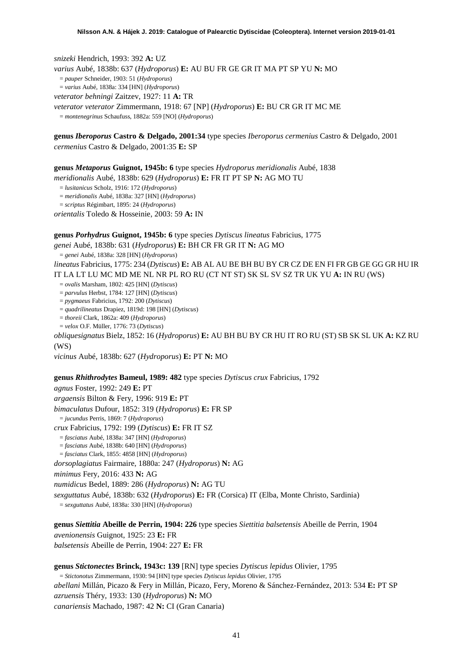*snizeki* Hendrich, 1993: 392 **A:** UZ *varius* Aubé, 1838b: 637 (*Hydroporus*) **E:** AU BU FR GE GR IT MA PT SP YU **N:** MO = *pauper* Schneider, 1903: 51 (*Hydroporus*) = *varius* Aubé, 1838a: 334 [HN] (*Hydroporus*) *veterator behningi* Zaitzev, 1927: 11 **A:** TR *veterator veterator* Zimmermann, 1918: 67 [NP] (*Hydroporus*) **E:** BU CR GR IT MC ME

= *montenegrinus* Schaufuss, 1882a: 559 [NO] (*Hydroporus*)

**genus** *Iberoporus* **Castro & Delgado, 2001:34** type species *Iberoporus cermenius* Castro & Delgado, 2001 *cermenius* Castro & Delgado, 2001:35 **E:** SP

**genus** *Metaporus* **Guignot, 1945b: 6** type species *Hydroporus meridionalis* Aubé, 1838

*meridionalis* Aubé, 1838b: 629 (*Hydroporus*) **E:** FR IT PT SP **N:** AG MO TU

= *lusitanicus* Scholz, 1916: 172 (*Hydroporus*)

= *meridionalis* Aubé, 1838a: 327 [HN] (*Hydroporus*)

= *scriptus* Régimbart, 1895: 24 (*Hydroporus*)

*orientalis* Toledo & Hosseinie, 2003: 59 **A:** IN

**genus** *Porhydrus* **Guignot, 1945b: 6** type species *Dytiscus lineatus* Fabricius, 1775

*genei* Aubé, 1838b: 631 (*Hydroporus*) **E:** BH CR FR GR IT **N:** AG MO

= *genei* Aubé, 1838a: 328 [HN] (*Hydroporus*)

*lineatus* Fabricius, 1775: 234 (*Dytiscus*) **E:** AB AL AU BE BH BU BY CR CZ DE EN FI FR GB GE GG GR HU IR IT LA LT LU MC MD ME NL NR PL RO RU (CT NT ST) SK SL SV SZ TR UK YU **A:** IN RU (WS)

= *ovalis* Marsham, 1802: 425 [HN] (*Dytiscus*)

= *parvulus* Herbst, 1784: 127 [HN] (*Dytiscus*)

= *pygmaeus* Fabricius, 1792: 200 (*Dytiscus*)

= *quadrilineatus* Drapiez, 1819d: 198 [HN] (*Dytiscus*)

= *thoreii* Clark, 1862a: 409 (*Hydroporus*)

= *velox* O.F. Müller, 1776: 73 (*Dytiscus*)

*obliquesignatus* Bielz, 1852: 16 (*Hydroporus*) **E:** AU BH BU BY CR HU IT RO RU (ST) SB SK SL UK **A:** KZ RU (WS)

*vicinus* Aubé, 1838b: 627 (*Hydroporus*) **E:** PT **N:** MO

#### **genus** *Rhithrodytes* **Bameul, 1989: 482** type species *Dytiscus crux* Fabricius, 1792

*agnus* Foster, 1992: 249 **E:** PT *argaensis* Bilton & Fery, 1996: 919 **E:** PT *bimaculatus* Dufour, 1852: 319 (*Hydroporus*) **E:** FR SP = *jucundus* Perris, 1869: 7 (*Hydroporus*) *crux* Fabricius, 1792: 199 (*Dytiscus*) **E:** FR IT SZ = *fasciatus* Aubé, 1838a: 347 [HN] (*Hydroporus*) = *fasciatus* Aubé, 1838b: 640 [HN] (*Hydroporus*) = *fasciatus* Clark, 1855: 4858 [HN] (*Hydroporus*) *dorsoplagiatus* Fairmaire, 1880a: 247 (*Hydroporus*) **N:** AG *minimus* Fery, 2016: 433 **N:** AG *numidicus* Bedel, 1889: 286 (*Hydroporus*) **N:** AG TU *sexguttatus* Aubé, 1838b: 632 (*Hydroporus*) **E:** FR (Corsica) IT (Elba, Monte Christo, Sardinia) = *sexguttatus* Aubé, 1838a: 330 [HN] (*Hydroporus*)

**genus** *Siettitia* **Abeille de Perrin, 1904: 226** type species *Siettitia balsetensis* Abeille de Perrin, 1904 *avenionensis* Guignot, 1925: 23 **E:** FR *balsetensis* Abeille de Perrin, 1904: 227 **E:** FR

**genus** *Stictonectes* **Brinck, 1943c: 139** [RN] type species *Dytiscus lepidus* Olivier, 1795 = *Stictonotus* Zimmermann, 1930: 94 [HN] type species *Dytiscus lepidus* Olivier, 1795 *abellani* Millán, Picazo & Fery in Millán, Picazo, Fery, Moreno & Sánchez-Fernández, 2013: 534 **E:** PT SP *azruensis* Théry, 1933: 130 (*Hydroporus*) **N:** MO *canariensis* Machado, 1987: 42 **N:** CI (Gran Canaria)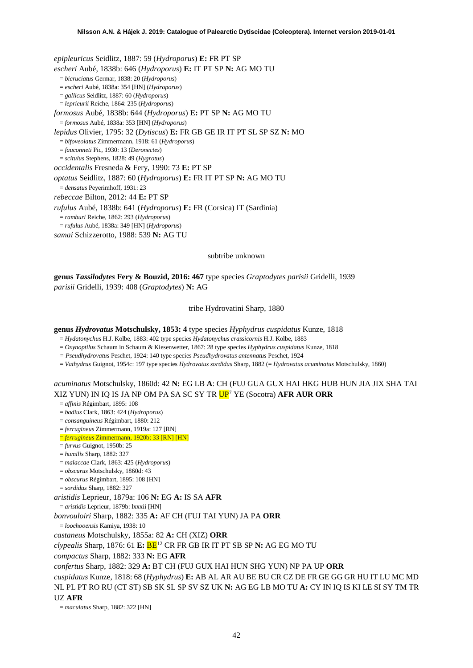*epipleuricus* Seidlitz, 1887: 59 (*Hydroporus*) **E:** FR PT SP *escheri* Aubé, 1838b: 646 (*Hydroporus*) **E:** IT PT SP **N:** AG MO TU = *bicruciatus* Germar, 1838: 20 (*Hydroporus*) = *escheri* Aubé, 1838a: 354 [HN] (*Hydroporus*) = *gallicus* Seidlitz, 1887: 60 (*Hydroporus*) = *leprieurii* Reiche, 1864: 235 (*Hydroporus*) *formosus* Aubé, 1838b: 644 (*Hydroporus*) **E:** PT SP **N:** AG MO TU = *formosus* Aubé, 1838a: 353 [HN] (*Hydroporus*) *lepidus* Olivier, 1795: 32 (*Dytiscus*) **E:** FR GB GE IR IT PT SL SP SZ **N:** MO = *bifoveolatus* Zimmermann, 1918: 61 (*Hydroporus*) = *fauconneti* Pic, 1930: 13 (*Deronectes*) = *scitulus* Stephens, 1828: 49 (*Hygrotus*) *occidentalis* Fresneda & Fery, 1990: 73 **E:** PT SP *optatus* Seidlitz, 1887: 60 (*Hydroporus*) **E:** FR IT PT SP **N:** AG MO TU = *densatus* Peyerimhoff, 1931: 23 *rebeccae* Bilton, 2012: 44 **E:** PT SP *rufulus* Aubé, 1838b: 641 (*Hydroporus*) **E:** FR (Corsica) IT (Sardinia) = *ramburi* Reiche, 1862: 293 (*Hydroporus*) = *rufulus* Aubé, 1838a: 349 [HN] (*Hydroporus*) *samai* Schizzerotto, 1988: 539 **N:** AG TU

subtribe unknown

**genus** *Tassilodytes* **Fery & Bouzid, 2016: 467** type species *Graptodytes parisii* Gridelli, 1939 *parisii* Gridelli, 1939: 408 (*Graptodytes*) **N:** AG

tribe Hydrovatini Sharp, 1880

#### **genus** *Hydrovatus* **Motschulsky, 1853: 4** type species *Hyphydrus cuspidatus* Kunze, 1818

= *Hydatonychus* H.J. Kolbe, 1883: 402 type species *Hydatonychus crassicornis* H.J. Kolbe, 1883

= *Oxynoptilus* Schaum in Schaum & Kiesenwetter, 1867: 28 type species *Hyphydrus cuspidatus* Kunze, 1818

*= Pseudhydrovatus* Peschet, 1924: 140 type species *Pseudhydrovatus antennatus* Peschet, 1924

= *Vathydrus* Guignot, 1954c: 197 type species *Hydrovatus sordidus* Sharp, 1882 (= *Hydrovatus acuminatus* Motschulsky, 1860)

*acuminatus* Motschulsky, 1860d: 42 **N:** EG LB **A**: CH (FUJ GUA GUX HAI HKG HUB HUN JIA JIX SHA TAI XIZ YUN) IN IQ IS JA NP OM PA SA SC SY TR U[P7](#page-19-0) YE (Socotra) **AFR AUR ORR**

= *affinis* Régimbart, 1895: 108

= *badius* Clark, 1863: 424 (*Hydroporus*)

= *consanguineus* Régimbart, 1880: 212

= *ferrugineus* Zimmermann, 1919a: 127 [RN]

= *ferrugineus* Zimmermann, 1920b: 33 [RN] [HN]

= *furvus* Guignot, 1950b: 25

= *humilis* Sharp, 1882: 327

= *malaccae* Clark, 1863: 425 (*Hydroporus*)

= *obscurus* Motschulsky, 1860d: 43

= *obscurus* Régimbart, 1895: 108 [HN]

= *sordidus* Sharp, 1882: 327

*aristidis* Leprieur, 1879a: 106 **N:** EG **A:** IS SA **AFR**

= *aristidis* Leprieur, 1879b: lxxxii [HN]

*bonvouloiri* Sharp, 1882: 335 **A:** AF CH (FUJ TAI YUN) JA PA **ORR**

= *loochooensis* Kamiya, 1938: 10

*castaneus* Motschulsky, 1855a: 82 **A:** CH (XIZ) **ORR**

*clypealis* Sharp, 1876: 61 **E:** BE[12](#page-52-11) CR FR GB IR IT PT SB SP **N:** AG EG MO TU

*compactus* Sharp, 1882: 333 **N:** EG **AFR**

*confertus* Sharp, 1882: 329 **A:** BT CH (FUJ GUX HAI HUN SHG YUN) NP PA UP **ORR**

*cuspidatus* Kunze, 1818: 68 (*Hyphydrus*) **E:** AB AL AR AU BE BU CR CZ DE FR GE GG GR HU IT LU MC MD NL PL PT RO RU (CT ST) SB SK SL SP SV SZ UK **N:** AG EG LB MO TU **A:** CY IN IQ IS KI LE SI SY TM TR

#### UZ **AFR**

= *maculatus* Sharp, 1882: 322 [HN]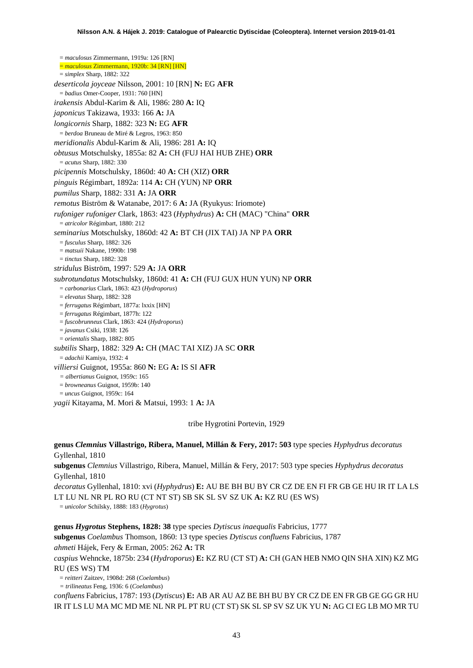= *maculosus* Zimmermann, 1919a: 126 [RN] = *maculosus* Zimmermann, 1920b: 34 [RN] [HN] = *simplex* Sharp, 1882: 322 *deserticola joyceae* Nilsson, 2001: 10 [RN] **N:** EG **AFR** = *badius* Omer-Cooper, 1931: 760 [HN] *irakensis* Abdul-Karim & Ali, 1986: 280 **A:** IQ *japonicus* Takizawa, 1933: 166 **A:** JA *longicornis* Sharp, 1882: 323 **N:** EG **AFR** = *berdoa* Bruneau de Miré & Legros, 1963: 850 *meridionalis* Abdul-Karim & Ali, 1986: 281 **A:** IQ *obtusus* Motschulsky, 1855a: 82 **A:** CH (FUJ HAI HUB ZHE) **ORR** = *acutus* Sharp, 1882: 330 *picipennis* Motschulsky, 1860d: 40 **A:** CH (XIZ) **ORR** *pinguis* Régimbart, 1892a: 114 **A:** CH (YUN) NP **ORR** *pumilus* Sharp, 1882: 331 **A:** JA **ORR** *remotus* Biström & Watanabe, 2017: 6 **A:** JA (Ryukyus: Iriomote) *rufoniger rufoniger* Clark, 1863: 423 (*Hyphydrus*) **A:** CH (MAC) "China" **ORR** = *atricolor* Régimbart, 1880: 212 *seminarius* Motschulsky, 1860d: 42 **A:** BT CH (JIX TAI) JA NP PA **ORR** = *fusculus* Sharp, 1882: 326 = *matsuii* Nakane, 1990b: 198 = *tinctus* Sharp, 1882: 328 *stridulus* Biström, 1997: 529 **A:** JA **ORR** *subrotundatus* Motschulsky, 1860d: 41 **A:** CH (FUJ GUX HUN YUN) NP **ORR** = *carbonarius* Clark, 1863: 423 (*Hydroporus*) = *elevatus* Sharp, 1882: 328 = *ferrugatus* Régimbart, 1877a: lxxix [HN] = *ferrugatus* Régimbart, 1877h: 122 = *fuscobrunneus* Clark, 1863: 424 (*Hydroporus*) = *javanus* Csiki, 1938: 126 = *orientalis* Sharp, 1882: 805 *subtilis* Sharp, 1882: 329 **A:** CH (MAC TAI XIZ) JA SC **ORR** = *adachii* Kamiya, 1932: 4 *villiersi* Guignot, 1955a: 860 **N:** EG **A:** IS SI **AFR** *= albertianus* Guignot, 1959c: 165 = *browneanus* Guignot, 1959b: 140 = *uncus* Guignot, 1959c: 164

*yagii* Kitayama, M. Mori & Matsui, 1993: 1 **A:** JA

tribe Hygrotini Portevin, 1929

**genus** *Clemnius* **Villastrigo, Ribera, Manuel, Millán & Fery, 2017: 503** type species *Hyphydrus decoratus* Gyllenhal, 1810

**subgenus** *Clemnius* Villastrigo, Ribera, Manuel, Millán & Fery, 2017: 503 type species *Hyphydrus decoratus* Gyllenhal, 1810

*decoratus* Gyllenhal, 1810: xvi (*Hyphydrus*) **E:** AU BE BH BU BY CR CZ DE EN FI FR GB GE HU IR IT LA LS LT LU NL NR PL RO RU (CT NT ST) SB SK SL SV SZ UK **A:** KZ RU (ES WS)

= *unicolor* Schilsky, 1888: 183 (*Hygrotus*)

**genus** *Hygrotus* **Stephens, 1828: 38** type species *Dytiscus inaequalis* Fabricius, 1777 **subgenus** *Coelambus* Thomson, 1860: 13 type species *Dytiscus confluens* Fabricius, 1787 *ahmeti* Hájek, Fery & Erman, 2005: 262 **A:** TR *caspius* Wehncke, 1875b: 234 (*Hydroporus*) **E:** KZ RU (CT ST) **A:** CH (GAN HEB NMO QIN SHA XIN) KZ MG RU (ES WS) TM = *reitteri* Zaitzev, 1908d: 268 (*Coelambus*)

*= trilineatus* Feng, 1936: 6 (*Coelambus*)

*confluens* Fabricius, 1787: 193 (*Dytiscus*) **E:** AB AR AU AZ BE BH BU BY CR CZ DE EN FR GB GE GG GR HU IR IT LS LU MA MC MD ME NL NR PL PT RU (CT ST) SK SL SP SV SZ UK YU **N:** AG CI EG LB MO MR TU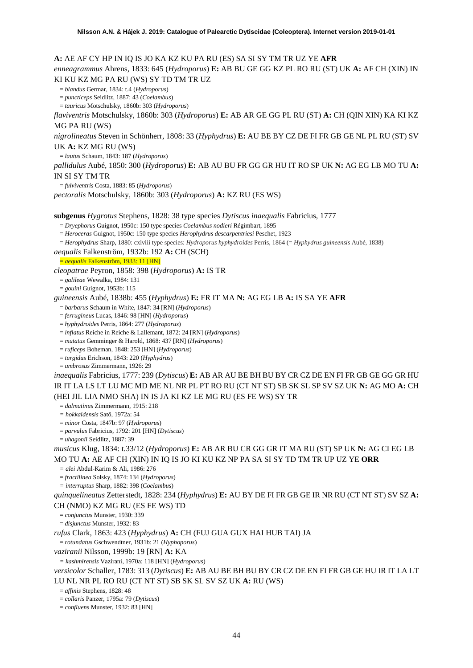**A:** AE AF CY HP IN IQ IS JO KA KZ KU PA RU (ES) SA SI SY TM TR UZ YE **AFR**

*enneagrammus* Ahrens, 1833: 645 (*Hydroporus*) **E:** AB BU GE GG KZ PL RO RU (ST) UK **A:** AF CH (XIN) IN KI KU KZ MG PA RU (WS) SY TD TM TR UZ

= *blandus* Germar, 1834: t.4 (*Hydroporus*)

= *puncticeps* Seidlitz, 1887: 43 (*Coelambus*)

= *tauricus* Motschulsky, 1860b: 303 (*Hydroporus*)

*flaviventris* Motschulsky, 1860b: 303 (*Hydroporus*) **E:** AB AR GE GG PL RU (ST) **A:** CH (QIN XIN) KA KI KZ MG PA RU (WS)

*nigrolineatus* Steven in Schönherr, 1808: 33 (*Hyphydrus*) **E:** AU BE BY CZ DE FI FR GB GE NL PL RU (ST) SV UK **A:** KZ MG RU (WS)

= *lautus* Schaum, 1843: 187 (*Hydroporus*)

*pallidulus* Aubé, 1850: 300 (*Hydroporus*) **E:** AB AU BU FR GG GR HU IT RO SP UK **N:** AG EG LB MO TU **A:**  IN SI SY TM TR

= *fulviventris* Costa, 1883: 85 (*Hydroporus*)

*pectoralis* Motschulsky, 1860b: 303 (*Hydroporus*) **A:** KZ RU (ES WS)

**subgenus** *Hygrotus* Stephens, 1828: 38 type species *Dytiscus inaequalis* Fabricius, 1777

= *Dryephorus* Guignot, 1950c: 150 type species *Coelambus nodieri* Régimbart, 1895

= *Heroceras* Guignot, 1950c: 150 type species *Herophydrus descarpentriesi* Peschet, 1923

= *Herophydrus* Sharp, 1880: cxlviii type species: *Hydroporus hyphydroides* Perris, 1864 (= *Hyphydrus guineensis* Aubé, 1838)

*aequalis* Falkenström, 1932b: 192 **A:** CH (SCH)

= *aequalis* Falkenström, 1933: 11 [HN]

*cleopatrae* Peyron, 1858: 398 (*Hydroporus*) **A:** IS TR

= *galileae* Wewalka, 1984: 131

= *gouini* Guignot, 1953b: 115

*guineensis* Aubé, 1838b: 455 (*Hyphydrus*) **E:** FR IT MA **N:** AG EG LB **A:** IS SA YE **AFR**

= *barbarus* Schaum in White, 1847: 34 [RN] (*Hydroporus*)

= *ferrugineus* Lucas, 1846: 98 [HN] (*Hydroporus*)

= *hyphydroides* Perris, 1864: 277 (*Hydroporus*)

= *inflatus* Reiche in Reiche & Lallemant, 1872: 24 [RN] (*Hydroporus*)

= *mutatus* Gemminger & Harold, 1868: 437 [RN] (*Hydroporus*)

= *ruficeps* Boheman, 1848: 253 [HN] (*Hydroporus*)

= *turgidus* Erichson, 1843: 220 (*Hyphydrus*)

= *umbrosus* Zimmermann, 1926: 29

*inaequalis* Fabricius, 1777: 239 (*Dytiscus*) **E:** AB AR AU BE BH BU BY CR CZ DE EN FI FR GB GE GG GR HU IR IT LA LS LT LU MC MD ME NL NR PL PT RO RU (CT NT ST) SB SK SL SP SV SZ UK **N:** AG MO **A:** CH (HEI JIL LIA NMO SHA) IN IS JA KI KZ LE MG RU (ES FE WS) SY TR

= *dalmatinus* Zimmermann, 1915: 218

*= hokkaidensis* Satô, 1972a: 54

= *minor* Costa, 1847b: 97 (*Hydroporus*)

= *parvulus* Fabricius, 1792: 201 [HN] (*Dytiscus*)

= *uhagonii* Seidlitz, 1887: 39

*musicus* Klug, 1834: t.33/12 (*Hydroporus*) **E:** AB AR BU CR GG GR IT MA RU (ST) SP UK **N:** AG CI EG LB MO TU **A:** AE AF CH (XIN) IN IQ IS JO KI KU KZ NP PA SA SI SY TD TM TR UP UZ YE **ORR**

*= alei* Abdul-Karim & Ali, 1986: 276

= *fractilinea* Solsky, 1874: 134 (*Hydroporus*)

*= interruptus* Sharp, 1882: 398 (*Coelambus*)

*quinquelineatus* Zetterstedt, 1828: 234 (*Hyphydrus*) **E:** AU BY DE FI FR GB GE IR NR RU (CT NT ST) SV SZ **A:**  CH (NMO) KZ MG RU (ES FE WS) TD

= *conjunctus* Munster, 1930: 339

= *disjunctus* Munster, 1932: 83

*rufus* Clark, 1863: 423 (*Hyphydrus*) **A:** CH (FUJ GUA GUX HAI HUB TAI) JA

= *rotundatus* Gschwendtner, 1931b: 21 (*Hyphoporus*)

*vaziranii* Nilsson, 1999b: 19 [RN] **A:** KA

*= kashmirensis* Vazirani, 1970a: 118 [HN] (*Hydroporus*)

*versicolor* Schaller, 1783: 313 (*Dytiscus*) **E:** AB AU BE BH BU BY CR CZ DE EN FI FR GB GE HU IR IT LA LT LU NL NR PL RO RU (CT NT ST) SB SK SL SV SZ UK **A:** RU (WS)

= *affinis* Stephens, 1828: 48

= *collaris* Panzer, 1795a: 79 (*Dytiscus*)

= *confluens* Munster, 1932: 83 [HN]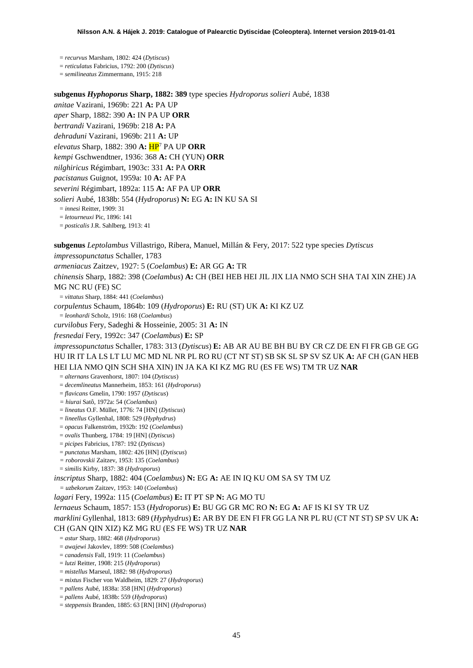= *recurvus* Marsham, 1802: 424 (*Dytiscus*)

= *reticulatus* Fabricius, 1792: 200 (*Dytiscus*)

= *semilineatus* Zimmermann, 1915: 218

**subgenus** *Hyphoporus* **Sharp, 1882: 389** type species *Hydroporus solieri* Aubé, 1838 *anitae* Vazirani, 1969b: 221 **A:** PA UP *aper* Sharp, 1882: 390 **A:** IN PA UP **ORR** *bertrandi* Vazirani, 1969b: 218 **A:** PA *dehraduni* Vazirani, 1969b: 211 **A:** UP *elevatus* Sharp, 1882: 390 **A:** H[P7](#page-19-0) PA UP **ORR** *kempi* Gschwendtner, 1936: 368 **A:** CH (YUN) **ORR** *nilghiricus* Régimbart, 1903c: 331 **A:** PA **ORR** *pacistanus* Guignot, 1959a: 10 **A:** AF PA *severini* Régimbart, 1892a: 115 **A:** AF PA UP **ORR** *solieri* Aubé, 1838b: 554 (*Hydroporus*) **N:** EG **A:** IN KU SA SI = *innesi* Reitter, 1909: 31 = *letourneuxi* Pic, 1896: 141 = *posticalis* J.R. Sahlberg, 1913: 41

**subgenus** *Leptolambus* Villastrigo, Ribera, Manuel, Millán & Fery, 2017: 522 type species *Dytiscus impressopunctatus* Schaller, 1783

*armeniacus* Zaitzev, 1927: 5 (*Coelambus*) **E:** AR GG **A:** TR

*chinensis* Sharp, 1882: 398 (*Coelambus*) **A:** CH (BEI HEB HEI JIL JIX LIA NMO SCH SHA TAI XIN ZHE) JA MG NC RU (FE) SC

= *vittatus* Sharp, 1884: 441 (*Coelambus*)

*corpulentus* Schaum, 1864b: 109 (*Hydroporus*) **E:** RU (ST) UK **A:** KI KZ UZ

= *leonhardi* Scholz, 1916: 168 (*Coelambus*)

*curvilobus* Fery, Sadeghi & Hosseinie, 2005: 31 **A:** IN

*fresnedai* Fery, 1992c: 347 (*Coelambus*) **E:** SP

*impressopunctatus* Schaller, 1783: 313 (*Dytiscus*) **E:** AB AR AU BE BH BU BY CR CZ DE EN FI FR GB GE GG HU IR IT LA LS LT LU MC MD NL NR PL RO RU (CT NT ST) SB SK SL SP SV SZ UK **A:** AF CH (GAN HEB HEI LIA NMO QIN SCH SHA XIN) IN JA KA KI KZ MG RU (ES FE WS) TM TR UZ **NAR**

= *alternans* Gravenhorst, 1807: 104 (*Dytiscus*)

= *decemlineatus* Mannerheim, 1853: 161 (*Hydroporus*)

= *flavicans* Gmelin, 1790: 1957 (*Dytiscus*)

*= hiurai* Satô, 1972a: 54 (*Coelambus*)

= *lineatus* O.F. Müller, 1776: 74 [HN] (*Dytiscus*)

= *lineellus* Gyllenhal, 1808: 529 (*Hyphydrus*)

= *opacus* Falkenström, 1932b: 192 (*Coelambus*)

= *ovalis* Thunberg, 1784: 19 [HN] (*Dytiscus*)

= *picipes* Fabricius, 1787: 192 (*Dytiscus*)

= *punctatus* Marsham, 1802: 426 [HN] (*Dytiscus*)

*= roborovskii* Zaitzev, 1953: 135 (*Coelambus*)

= *similis* Kirby, 1837: 38 (*Hydroporus*)

*inscriptus* Sharp, 1882: 404 (*Coelambus*) **N:** EG **A:** AE IN IQ KU OM SA SY TM UZ

*= uzbekorum* Zaitzev, 1953: 140 (*Coelambus*)

*lagari* Fery, 1992a: 115 (*Coelambus*) **E:** IT PT SP **N:** AG MO TU

*lernaeus* Schaum, 1857: 153 (*Hydroporus*) **E:** BU GG GR MC RO **N:** EG **A:** AF IS KI SY TR UZ

*marklini* Gyllenhal, 1813: 689 (*Hyphydrus*) **E:** AR BY DE EN FI FR GG LA NR PL RU (CT NT ST) SP SV UK **A:**  CH (GAN QIN XIZ) KZ MG RU (ES FE WS) TR UZ **NAR**

= *astur* Sharp, 1882: 468 (*Hydroporus*)

= *awajewi* Jakovlev, 1899: 508 (*Coelambus*)

= *canadensis* Fall, 1919: 11 (*Coelambus*)

= *lutzi* Reitter, 1908: 215 (*Hydroporus*)

= *mistellus* Marseul, 1882: 98 (*Hydroporus*)

= *mixtus* Fischer von Waldheim, 1829: 27 (*Hydroporus*)

= *pallens* Aubé, 1838a: 358 [HN] (*Hydroporus*)

= *pallens* Aubé, 1838b: 559 (*Hydroporus*)

= *steppensis* Branden, 1885: 63 [RN] [HN] (*Hydroporus*)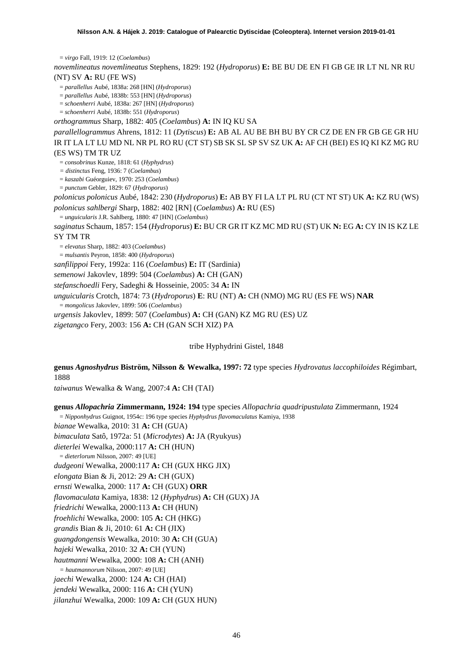= *virgo* Fall, 1919: 12 (*Coelambus*)

*novemlineatus novemlineatus* Stephens, 1829: 192 (*Hydroporus*) **E:** BE BU DE EN FI GB GE IR LT NL NR RU (NT) SV **A:** RU (FE WS)

= *parallellus* Aubé, 1838a: 268 [HN] (*Hydroporus*)

= *parallellus* Aubé, 1838b: 553 [HN] (*Hydroporus*)

= *schoenherri* Aubé, 1838a: 267 [HN] (*Hydroporus*)

= *schoenherri* Aubé, 1838b: 551 (*Hydroporus*)

*orthogrammus* Sharp, 1882: 405 (*Coelambus*) **A:** IN IQ KU SA

*parallellogrammus* Ahrens, 1812: 11 (*Dytiscus*) **E:** AB AL AU BE BH BU BY CR CZ DE EN FR GB GE GR HU IR IT LA LT LU MD NL NR PL RO RU (CT ST) SB SK SL SP SV SZ UK **A:** AF CH (BEI) ES IQ KI KZ MG RU (ES WS) TM TR UZ

= *consobrinus* Kunze, 1818: 61 (*Hyphydrus*)

*= distinctus* Feng, 1936: 7 (*Coelambus*)

= *kaszabi* Guéorguiev, 1970: 253 (*Coelambus*)

= *punctum* Gebler, 1829: 67 (*Hydroporus*)

*polonicus polonicus* Aubé, 1842: 230 (*Hydroporus*) **E:** AB BY FI LA LT PL RU (CT NT ST) UK **A:** KZ RU (WS) *polonicus sahlbergi* Sharp, 1882: 402 [RN] (*Coelambus*) **A:** RU (ES)

= *unguicularis* J.R. Sahlberg, 1880: 47 [HN] (*Coelambus*)

*saginatus* Schaum, 1857: 154 (*Hydroporus*) **E:** BU CR GR IT KZ MC MD RU (ST) UK **N:** EG **A:** CY IN IS KZ LE SY TM TR

= *elevatus* Sharp, 1882: 403 (*Coelambus*)

= *mulsantis* Peyron, 1858: 400 (*Hydroporus*)

*sanfilippoi* Fery, 1992a: 116 (*Coelambus*) **E:** IT (Sardinia)

*semenowi* Jakovlev, 1899: 504 (*Coelambus*) **A:** CH (GAN)

*stefanschoedli* Fery, Sadeghi & Hosseinie, 2005: 34 **A:** IN

*unguicularis* Crotch, 1874: 73 (*Hydroporus*) **E**: RU (NT) **A:** CH (NMO) MG RU (ES FE WS) **NAR**

= *mongolicus* Jakovlev, 1899: 506 (*Coelambus*)

*urgensis* Jakovlev, 1899: 507 (*Coelambus*) **A:** CH (GAN) KZ MG RU (ES) UZ

*zigetangco* Fery, 2003: 156 **A:** CH (GAN SCH XIZ) PA

tribe Hyphydrini Gistel, 1848

**genus** *Agnoshydrus* **Biström, Nilsson & Wewalka, 1997: 72** type species *Hydrovatus laccophiloides* Régimbart, 1888

*taiwanus* Wewalka & Wang, 2007:4 **A:** CH (TAI)

**genus** *Allopachria* **Zimmermann, 1924: 194** type species *Allopachria quadripustulata* Zimmermann, 1924

= *Nipponhydrus* Guignot, 1954c: 196 type species *Hyphydrus flavomaculatus* Kamiya, 1938

*bianae* Wewalka, 2010: 31 **A:** CH (GUA)

*bimaculata* Satô, 1972a: 51 (*Microdytes*) **A:** JA (Ryukyus)

*dieterlei* Wewalka, 2000:117 **A:** CH (HUN)

= *dieterlorum* Nilsson, 2007: 49 [UE]

*dudgeoni* Wewalka, 2000:117 **A:** CH (GUX HKG JIX)

*elongata* Bian & Ji, 2012: 29 **A:** CH (GUX)

*ernsti* Wewalka, 2000: 117 **A:** CH (GUX) **ORR**

*flavomaculata* Kamiya, 1838: 12 (*Hyphydrus*) **A:** CH (GUX) JA

*friedrichi* Wewalka, 2000:113 **A:** CH (HUN)

*froehlichi* Wewalka, 2000: 105 **A:** CH (HKG)

*grandis* Bian & Ji, 2010: 61 **A:** CH (JIX)

*guangdongensis* Wewalka, 2010: 30 **A:** CH (GUA)

*hajeki* Wewalka, 2010: 32 **A:** CH (YUN)

*hautmanni* Wewalka, 2000: 108 **A:** CH (ANH)

*= hautmannorum* Nilsson, 2007: 49 [UE]

*jaechi* Wewalka, 2000: 124 **A:** CH (HAI)

*jendeki* Wewalka, 2000: 116 **A:** CH (YUN)

*jilanzhui* Wewalka, 2000: 109 **A:** CH (GUX HUN)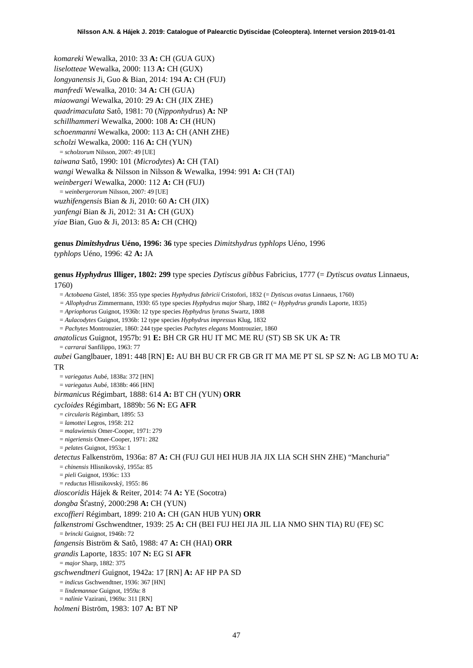*komareki* Wewalka, 2010: 33 **A:** CH (GUA GUX) *liselotteae* Wewalka, 2000: 113 **A:** CH (GUX) *longyanensis* Ji, Guo & Bian, 2014: 194 **A:** CH (FUJ) *manfredi* Wewalka, 2010: 34 **A:** CH (GUA) *miaowangi* Wewalka, 2010: 29 **A:** CH (JIX ZHE) *quadrimaculata* Satô, 1981: 70 (*Nipponhydrus*) **A:** NP *schillhammeri* Wewalka, 2000: 108 **A:** CH (HUN) *schoenmanni* Wewalka, 2000: 113 **A:** CH (ANH ZHE) *scholzi* Wewalka, 2000: 116 **A:** CH (YUN) = *scholzorum* Nilsson, 2007: 49 [UE] *taiwana* Satô, 1990: 101 (*Microdytes*) **A:** CH (TAI) *wangi* Wewalka & Nilsson in Nilsson & Wewalka, 1994: 991 **A:** CH (TAI) *weinbergeri* Wewalka, 2000: 112 **A:** CH (FUJ) = *weinbergerorum* Nilsson, 2007: 49 [UE] *wuzhifengensis* Bian & Ji, 2010: 60 **A:** CH (JIX) *yanfengi* Bian & Ji, 2012: 31 **A:** CH (GUX) *yiae* Bian, Guo & Ji, 2013: 85 **A:** CH (CHQ)

**genus** *Dimitshydrus* **Uéno, 1996: 36** type species *Dimitshydrus typhlops* Uéno, 1996 *typhlops* Uéno, 1996: 42 **A:** JA

**genus** *Hyphydrus* **Illiger, 1802: 299** type species *Dytiscus gibbus* Fabricius, 1777 (= *Dytiscus ovatus* Linnaeus, 1760)

= *Actobaena* Gistel, 1856: 355 type species *Hyphydrus fabricii* Cristofori, 1832 (= *Dytiscus ovatus* Linnaeus, 1760)

*= Allophydrus* Zimmermann, 1930: 65 type species *Hyphydrus major* Sharp, 1882 (= *Hyphydrus grandis* Laporte, 1835)

= *Apriophorus* Guignot, 1936b: 12 type species *Hyphydrus lyratus* Swartz, 1808

= *Aulacodytes* Guignot, 1936b: 12 type species *Hyphydrus impressus* Klug, 1832

= *Pachytes* Montrouzier, 1860: 244 type species *Pachytes elegans* Montrouzier, 1860

*anatolicus* Guignot, 1957b: 91 **E:** BH CR GR HU IT MC ME RU (ST) SB SK UK **A:** TR = *carrarai* Sanfilippo, 1963: 77

*aubei* Ganglbauer, 1891: 448 [RN] **E:** AU BH BU CR FR GB GR IT MA ME PT SL SP SZ **N:** AG LB MO TU **A:** TR

= *variegatus* Aubé, 1838a: 372 [HN]

= *variegatus* Aubé, 1838b: 466 [HN]

*birmanicus* Régimbart, 1888: 614 **A:** BT CH (YUN) **ORR**

*cycloides* Régimbart, 1889b: 56 **N:** EG **AFR**

= *circularis* Régimbart, 1895: 53

= *lamottei* Legros, 1958: 212

= *malawiensis* Omer-Cooper, 1971: 279

= *nigeriensis* Omer-Cooper, 1971: 282

= *pelates* Guignot, 1953a: 1

*detectus* Falkenström, 1936a: 87 **A:** CH (FUJ GUI HEI HUB JIA JIX LIA SCH SHN ZHE) "Manchuria" = *chinensis* Hlisnikovský, 1955a: 85

= *pieli* Guignot, 1936c: 133

= *reductus* Hlisnikovský, 1955: 86

*dioscoridis* Hájek & Reiter, 2014: 74 **A:** YE (Socotra)

*dongba* Šťastný, 2000:298 **A:** CH (YUN)

*excoffieri* Régimbart, 1899: 210 **A:** CH (GAN HUB YUN) **ORR**

*falkenstromi* Gschwendtner, 1939: 25 **A:** CH (BEI FUJ HEI JIA JIL LIA NMO SHN TIA) RU (FE) SC

= *brincki* Guignot, 1946b: 72

*fangensis* Biström & Satô, 1988: 47 **A:** CH (HAI) **ORR**

*grandis* Laporte, 1835: 107 **N:** EG SI **AFR**

= *major* Sharp, 1882: 375

*gschwendtneri* Guignot, 1942a: 17 [RN] **A:** AF HP PA SD

= *indicus* Gschwendtner, 1936: 367 [HN]

= *lindemannae* Guignot, 1959a: 8 = *nalinie* Vazirani, 1969a: 311 [RN]

*holmeni* Biström, 1983: 107 **A:** BT NP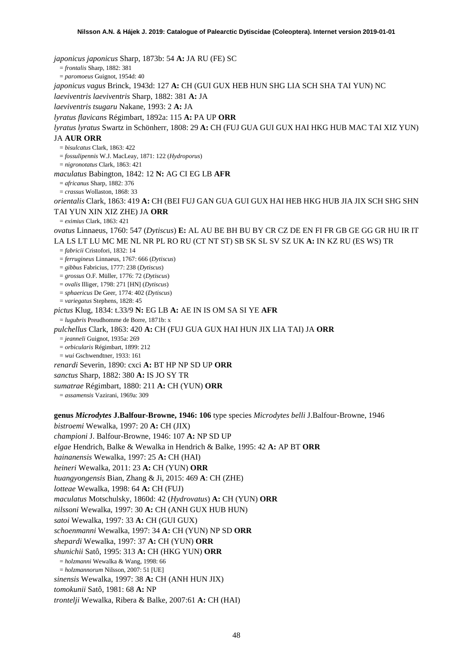*japonicus japonicus* Sharp, 1873b: 54 **A:** JA RU (FE) SC = *frontalis* Sharp, 1882: 381 = *paromoeus* Guignot, 1954d: 40 *japonicus vagus* Brinck, 1943d: 127 **A:** CH (GUI GUX HEB HUN SHG LIA SCH SHA TAI YUN) NC *laeviventris laeviventris* Sharp, 1882: 381 **A:** JA *laeviventris tsugaru* Nakane, 1993: 2 **A:** JA *lyratus flavicans* Régimbart, 1892a: 115 **A:** PA UP **ORR** *lyratus lyratus* Swartz in Schönherr, 1808: 29 **A:** CH (FUJ GUA GUI GUX HAI HKG HUB MAC TAI XIZ YUN) JA **AUR ORR** = *bisulcatus* Clark, 1863: 422 = *fossulipennis* W.J. MacLeay, 1871: 122 (*Hydroporus*) = *nigronotatus* Clark, 1863: 421 *maculatus* Babington, 1842: 12 **N:** AG CI EG LB **AFR** = *africanus* Sharp, 1882: 376 = *crassus* Wollaston, 1868: 33 *orientalis* Clark, 1863: 419 **A:** CH (BEI FUJ GAN GUA GUI GUX HAI HEB HKG HUB JIA JIX SCH SHG SHN TAI YUN XIN XIZ ZHE) JA **ORR** = *eximius* Clark, 1863: 421 *ovatus* Linnaeus, 1760: 547 (*Dytiscus*) **E:** AL AU BE BH BU BY CR CZ DE EN FI FR GB GE GG GR HU IR IT LA LS LT LU MC ME NL NR PL RO RU (CT NT ST) SB SK SL SV SZ UK **A:** IN KZ RU (ES WS) TR = *fabricii* Cristofori, 1832: 14 = *ferrugineus* Linnaeus, 1767: 666 (*Dytiscus*) = *gibbus* Fabricius, 1777: 238 (*Dytiscus*) = *grossus* O.F. Müller, 1776: 72 (*Dytiscus*) = *ovalis* Illiger, 1798: 271 [HN] (*Dytiscus*) = *sphaericus* De Geer, 1774: 402 (*Dytiscus*) = *variegatus* Stephens, 1828: 45 *pictus* Klug, 1834: t.33/9 **N:** EG LB **A:** AE IN IS OM SA SI YE **AFR** = *lugubris* Preudhomme de Borre, 1871b: x *pulchellus* Clark, 1863: 420 **A:** CH (FUJ GUA GUX HAI HUN JIX LIA TAI) JA **ORR** = *jeanneli* Guignot, 1935a: 269 = *orbicularis* Régimbart, 1899: 212 = *wui* Gschwendtner, 1933: 161 *renardi* Severin, 1890: cxci **A:** BT HP NP SD UP **ORR** *sanctus* Sharp, 1882: 380 **A:** IS JO SY TR *sumatrae* Régimbart, 1880: 211 **A:** CH (YUN) **ORR** = *assamensis* Vazirani, 1969a: 309 **genus** *Microdytes* **J.Balfour-Browne, 1946: 106** type species *Microdytes belli* J.Balfour-Browne, 1946 *bistroemi* Wewalka, 1997: 20 **A:** CH (JIX) *championi* J. Balfour-Browne, 1946: 107 **A:** NP SD UP *elgae* Hendrich, Balke & Wewalka in Hendrich & Balke, 1995: 42 **A:** AP BT **ORR** *hainanensis* Wewalka, 1997: 25 **A:** CH (HAI) *heineri* Wewalka, 2011: 23 **A:** CH (YUN) **ORR**

*huangyongensis* Bian, Zhang & Ji, 2015: 469 **A**: CH (ZHE)

*lotteae* Wewalka, 1998: 64 **A:** CH (FUJ)

*maculatus* Motschulsky, 1860d: 42 (*Hydrovatus*) **A:** CH (YUN) **ORR**

*nilssoni* Wewalka, 1997: 30 **A:** CH (ANH GUX HUB HUN)

*satoi* Wewalka, 1997: 33 **A:** CH (GUI GUX)

*schoenmanni* Wewalka, 1997: 34 **A:** CH (YUN) NP SD **ORR**

*shepardi* Wewalka, 1997: 37 **A:** CH (YUN) **ORR**

*shunichii* Satô, 1995: 313 **A:** CH (HKG YUN) **ORR**

= *holzmanni* Wewalka & Wang, 1998: 66

= *holzmannorum* Nilsson, 2007: 51 [UE]

*sinensis* Wewalka, 1997: 38 **A:** CH (ANH HUN JIX)

*tomokunii* Satô, 1981: 68 **A:** NP

*trontelji* Wewalka, Ribera & Balke, 2007:61 **A:** CH (HAI)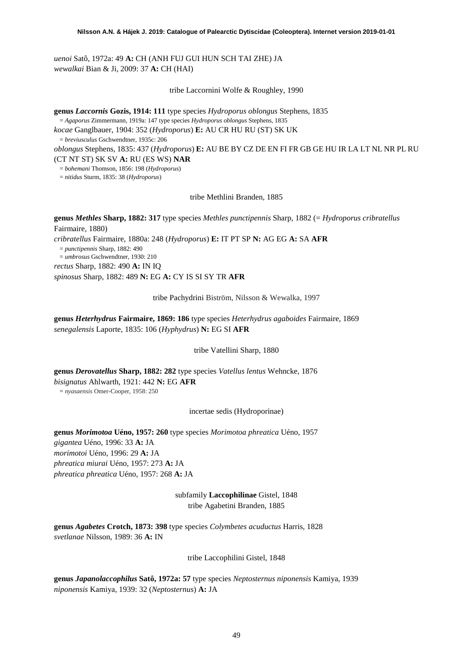*uenoi* Satô, 1972a: 49 **A:** CH (ANH FUJ GUI HUN SCH TAI ZHE) JA *wewalkai* Bian & Ji, 2009: 37 **A:** CH (HAI)

tribe Laccornini Wolfe & Roughley, 1990

**genus** *Laccornis* **Gozis, 1914: 111** type species *Hydroporus oblongus* Stephens, 1835 = *Agaporus* Zimmermann, 1919a: 147 type species *Hydroporus oblongus* Stephens, 1835

*kocae* Ganglbauer, 1904: 352 (*Hydroporus*) **E:** AU CR HU RU (ST) SK UK

= *breviusculus* Gschwendtner, 1935c: 206

*oblongus* Stephens, 1835: 437 (*Hydroporus*) **E:** AU BE BY CZ DE EN FI FR GB GE HU IR LA LT NL NR PL RU (CT NT ST) SK SV **A:** RU (ES WS) **NAR**

= *bohemani* Thomson, 1856: 198 (*Hydroporus*)

= *nitidus* Sturm, 1835: 38 (*Hydroporus*)

tribe Methlini Branden, 1885

**genus** *Methles* **Sharp, 1882: 317** type species *Methles punctipennis* Sharp, 1882 (= *Hydroporus cribratellus* Fairmaire, 1880) *cribratellus* Fairmaire, 1880a: 248 (*Hydroporus*) **E:** IT PT SP **N:** AG EG **A:** SA **AFR** = *punctipennis* Sharp, 1882: 490 = *umbrosus* Gschwendtner, 1930: 210 *rectus* Sharp, 1882: 490 **A:** IN IQ *spinosus* Sharp, 1882: 489 **N:** EG **A:** CY IS SI SY TR **AFR**

tribe Pachydrini Biström, Nilsson & Wewalka, 1997

**genus** *Heterhydrus* **Fairmaire, 1869: 186** type species *Heterhydrus agaboides* Fairmaire, 1869 *senegalensis* Laporte, 1835: 106 (*Hyphydrus*) **N:** EG SI **AFR**

tribe Vatellini Sharp, 1880

**genus** *Derovatellus* **Sharp, 1882: 282** type species *Vatellus lentus* Wehncke, 1876 *bisignatus* Ahlwarth, 1921: 442 **N:** EG **AFR** = *nyasaensis* Omer-Cooper, 1958: 250

incertae sedis (Hydroporinae)

**genus** *Morimotoa* **Uéno, 1957: 260** type species *Morimotoa phreatica* Uéno, 1957 *gigantea* Uéno, 1996: 33 **A:** JA *morimotoi* Uéno, 1996: 29 **A:** JA *phreatica miurai* Uéno, 1957: 273 **A:** JA *phreatica phreatica* Uéno, 1957: 268 **A:** JA

> subfamily **Laccophilinae** Gistel, 1848 tribe Agabetini Branden, 1885

**genus** *Agabetes* **Crotch, 1873: 398** type species *Colymbetes acuductus* Harris, 1828 *svetlanae* Nilsson, 1989: 36 **A:** IN

tribe Laccophilini Gistel, 1848

**genus** *Japanolaccophilus* **Satô, 1972a: 57** type species *Neptosternus niponensis* Kamiya, 1939 *niponensis* Kamiya, 1939: 32 (*Neptosternus*) **A:** JA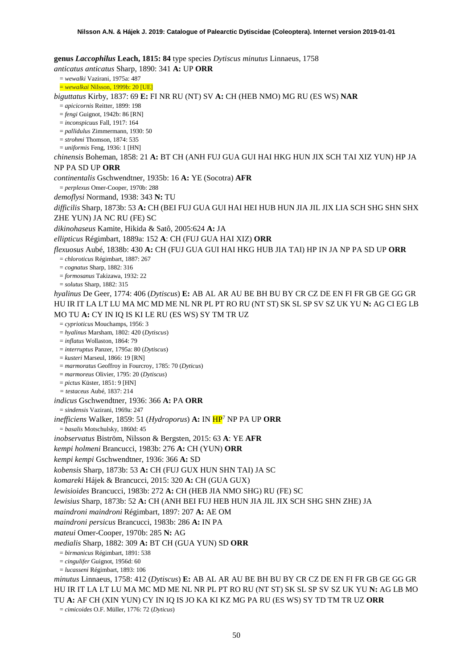**genus** *Laccophilus* **Leach, 1815: 84** type species *Dytiscus minutus* Linnaeus, 1758 *anticatus anticatus* Sharp, 1890: 341 **A:** UP **ORR** = *wewalki* Vazirani, 1975a: 487 = *wewalkai* Nilsson, 1999b: 20 [UE] *biguttatus* Kirby, 1837: 69 **E:** FI NR RU (NT) SV **A:** CH (HEB NMO) MG RU (ES WS) **NAR** = *apicicornis* Reitter, 1899: 198 = *fengi* Guignot, 1942b: 86 [RN] = *inconspicuus* Fall, 1917: 164 = *pallidulus* Zimmermann, 1930: 50 = *strohmi* Thomson, 1874: 535 = *uniformis* Feng, 1936: 1 [HN] *chinensis* Boheman, 1858: 21 **A:** BT CH (ANH FUJ GUA GUI HAI HKG HUN JIX SCH TAI XIZ YUN) HP JA NP PA SD UP **ORR** *continentalis* Gschwendtner, 1935b: 16 **A:** YE (Socotra) **AFR** = *perplexus* Omer-Cooper, 1970b: 288 *demoflysi* Normand, 1938: 343 **N:** TU *difficilis* Sharp, 1873b: 53 **A:** CH (BEI FUJ GUA GUI HAI HEI HUB HUN JIA JIL JIX LIA SCH SHG SHN SHX ZHE YUN) JA NC RU (FE) SC *dikinohaseus* Kamite, Hikida & Satô, 2005:624 **A:** JA *ellipticus* Régimbart, 1889a: 152 **A**: CH (FUJ GUA HAI XIZ) **ORR** *flexuosus* Aubé, 1838b: 430 **A:** CH (FUJ GUA GUI HAI HKG HUB JIA TAI) HP IN JA NP PA SD UP **ORR** = *chloroticus* Régimbart, 1887: 267 = *cognatus* Sharp, 1882: 316 = *formosanus* Takizawa, 1932: 22 = *solutus* Sharp, 1882: 315 *hyalinus* De Geer, 1774: 406 (*Dytiscus*) **E:** AB AL AR AU BE BH BU BY CR CZ DE EN FI FR GB GE GG GR HU IR IT LA LT LU MA MC MD ME NL NR PL PT RO RU (NT ST) SK SL SP SV SZ UK YU **N:** AG CI EG LB MO TU **A:** CY IN IQ IS KI LE RU (ES WS) SY TM TR UZ = *cyprioticus* Mouchamps, 1956: 3 = *hyalinus* Marsham, 1802: 420 (*Dytiscus*) = *inflatus* Wollaston, 1864: 79 = *interruptus* Panzer, 1795a: 80 (*Dytiscus*) = *kusteri* Marseul, 1866: 19 [RN] = *marmoratus* Geoffroy in Fourcroy, 1785: 70 (*Dyticus*) = *marmoreus* Olivier, 1795: 20 (*Dytiscus*) = *pictus* Küster, 1851: 9 [HN] *= testaceus* Aubé, 1837: 214 *indicus* Gschwendtner, 1936: 366 **A:** PA **ORR** = *sindensis* Vazirani, 1969a: 247 *inefficiens* Walker, 1859: 51 (*Hydroporus*) **A:** IN H[P7](#page-19-0) NP PA UP **ORR** = *basalis* Motschulsky, 1860d: 45 *inobservatus* Biström, Nilsson & Bergsten, 2015: 63 **A**: YE **AFR** *kempi holmeni* Brancucci, 1983b: 276 **A:** CH (YUN) **ORR** *kempi kempi* Gschwendtner, 1936: 366 **A:** SD *kobensis* Sharp, 1873b: 53 **A:** CH (FUJ GUX HUN SHN TAI) JA SC *komareki* Hájek & Brancucci, 2015: 320 **A:** CH (GUA GUX) *lewisioides* Brancucci, 1983b: 272 **A:** CH (HEB JIA NMO SHG) RU (FE) SC *lewisius* Sharp, 1873b: 52 **A:** CH (ANH BEI FUJ HEB HUN JIA JIL JIX SCH SHG SHN ZHE) JA *maindroni maindroni* Régimbart, 1897: 207 **A:** AE OM *maindroni persicus* Brancucci, 1983b: 286 **A:** IN PA *mateui* Omer-Cooper, 1970b: 285 **N:** AG *medialis* Sharp, 1882: 309 **A:** BT CH (GUA YUN) SD **ORR** = *birmanicus* Régimbart, 1891: 538 = *cingulifer* Guignot, 1956d: 60 = *lucasseni* Régimbart, 1893: 106 *minutus* Linnaeus, 1758: 412 (*Dytiscus*) **E:** AB AL AR AU BE BH BU BY CR CZ DE EN FI FR GB GE GG GR HU IR IT LA LT LU MA MC MD ME NL NR PL PT RO RU (NT ST) SK SL SP SV SZ UK YU **N:** AG LB MO TU **A:** AF CH (XIN YUN) CY IN IQ IS JO KA KI KZ MG PA RU (ES WS) SY TD TM TR UZ **ORR** = *cimicoides* O.F. Müller, 1776: 72 (*Dyticus*)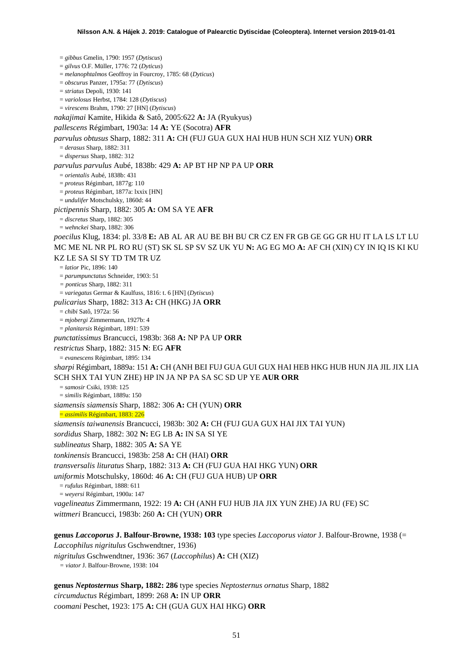= *gibbus* Gmelin, 1790: 1957 (*Dytiscus*) = *gilvus* O.F. Müller, 1776: 72 (*Dyticus*) = *melanophtalmos* Geoffroy in Fourcroy, 1785: 68 (*Dyticus*) = *obscurus* Panzer, 1795a: 77 (*Dytiscus*) = *striatus* Depoli, 1930: 141 = *variolosus* Herbst, 1784: 128 (*Dytiscus*) = *virescens* Brahm, 1790: 27 [HN] (*Dytiscus*) *nakajimai* Kamite, Hikida & Satô, 2005:622 **A:** JA (Ryukyus) *pallescens* Régimbart, 1903a: 14 **A:** YE (Socotra) **AFR** *parvulus obtusus* Sharp, 1882: 311 **A:** CH (FUJ GUA GUX HAI HUB HUN SCH XIZ YUN) **ORR** = *derasus* Sharp, 1882: 311 = *dispersus* Sharp, 1882: 312 *parvulus parvulus* Aubé, 1838b: 429 **A:** AP BT HP NP PA UP **ORR** = *orientalis* Aubé, 1838b: 431 = *proteus* Régimbart, 1877g: 110 = *proteus* Régimbart, 1877a: lxxix [HN] = *undulifer* Motschulsky, 1860d: 44 *pictipennis* Sharp, 1882: 305 **A:** OM SA YE **AFR** = *discretus* Sharp, 1882: 305 = *wehnckei* Sharp, 1882: 306 *poecilus* Klug, 1834: pl. 33/8 **E:** AB AL AR AU BE BH BU CR CZ EN FR GB GE GG GR HU IT LA LS LT LU MC ME NL NR PL RO RU (ST) SK SL SP SV SZ UK YU **N:** AG EG MO **A:** AF CH (XIN) CY IN IQ IS KI KU KZ LE SA SI SY TD TM TR UZ = *latior* Pic, 1896: 140 = *parumpunctatus* Schneider, 1903: 51 *= ponticus* Sharp, 1882: 311 = *variegatus* Germar & Kaulfuss, 1816: t. 6 [HN] (*Dytiscus*) *pulicarius* Sharp, 1882: 313 **A:** CH (HKG) JA **ORR** = *chibi* Satô, 1972a: 56 = *mjobergi* Zimmermann, 1927b: 4 = *planitarsis* Régimbart, 1891: 539 *punctatissimus* Brancucci, 1983b: 368 **A:** NP PA UP **ORR** *restrictus* Sharp, 1882: 315 **N**: EG **AFR** = *evanescens* Régimbart, 1895: 134 *sharpi* Régimbart, 1889a: 151 **A:** CH (ANH BEI FUJ GUA GUI GUX HAI HEB HKG HUB HUN JIA JIL JIX LIA SCH SHX TAI YUN ZHE) HP IN JA NP PA SA SC SD UP YE **AUR ORR** = *samosir* Csiki, 1938: 125 = *similis* Régimbart, 1889a: 150 *siamensis siamensis* Sharp, 1882: 306 **A:** CH (YUN) **ORR** = *assimilis* Régimbart, 1883: 226 *siamensis taiwanensis* Brancucci, 1983b: 302 **A:** CH (FUJ GUA GUX HAI JIX TAI YUN) *sordidus* Sharp, 1882: 302 **N:** EG LB **A:** IN SA SI YE *sublineatus* Sharp, 1882: 305 **A:** SA YE *tonkinensis* Brancucci, 1983b: 258 **A:** CH (HAI) **ORR** *transversalis lituratus* Sharp, 1882: 313 **A:** CH (FUJ GUA HAI HKG YUN) **ORR** *uniformis* Motschulsky, 1860d: 46 **A:** CH (FUJ GUA HUB) UP **ORR** = *rufulus* Régimbart, 1888: 611 = *weyersi* Régimbart, 1900a: 147 *vagelineatus* Zimmermann, 1922: 19 **A:** CH (ANH FUJ HUB JIA JIX YUN ZHE) JA RU (FE) SC *wittmeri* Brancucci, 1983b: 260 **A:** CH (YUN) **ORR genus** *Laccoporus* **J. Balfour-Browne, 1938: 103** type species *Laccoporus viator* J. Balfour-Browne, 1938 (=

*Laccophilus nigritulus* Gschwendtner, 1936)

*nigritulus* Gschwendtner, 1936: 367 (*Laccophilus*) **A:** CH (XIZ)

*= viator* J. Balfour-Browne, 1938: 104

**genus** *Neptosternus* **Sharp, 1882: 286** type species *Neptosternus ornatus* Sharp, 1882 *circumductus* Régimbart, 1899: 268 **A:** IN UP **ORR** *coomani* Peschet, 1923: 175 **A:** CH (GUA GUX HAI HKG) **ORR**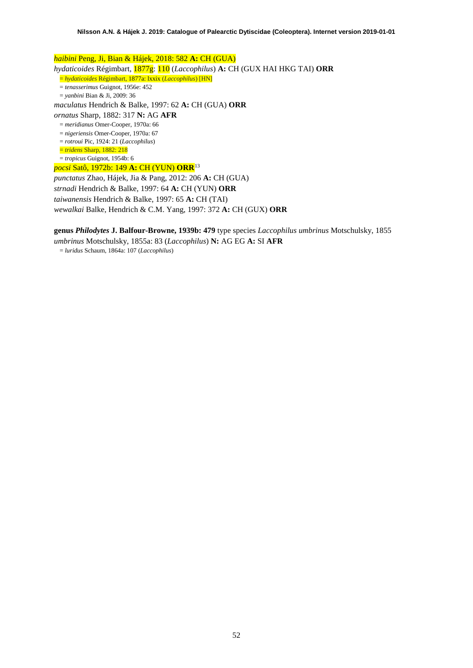*haibini* Peng, Ji, Bian & Hájek, 2018: 582 **A:** CH (GUA) *hydaticoides* Régimbart, 1877g: 110 (*Laccophilus*) **A:** CH (GUX HAI HKG TAI) **ORR** = *hydaticoides* Régimbart, 1877a: lxxix (*Laccophilus*) [HN] = *tenasserimus* Guignot, 1956e: 452 = *yanbini* Bian & Ji, 2009: 36 *maculatus* Hendrich & Balke, 1997: 62 **A:** CH (GUA) **ORR** *ornatus* Sharp, 1882: 317 **N:** AG **AFR** = *meridianus* Omer-Cooper, 1970a: 66 = *nigeriensis* Omer-Cooper, 1970a: 67 = *rotroui* Pic, 1924: 21 (*Laccophilus*) = *tridens* Sharp, 1882: 218 = *tropicus* Guignot, 1954b: 6 *pocsi* Satô, 1972b: 149 **A:** CH (YUN) **ORR**[13](#page-52-12) *punctatus* Zhao, Hájek, Jia & Pang, 2012: 206 **A:** CH (GUA) *strnadi* Hendrich & Balke, 1997: 64 **A:** CH (YUN) **ORR**

*taiwanensis* Hendrich & Balke, 1997: 65 **A:** CH (TAI) *wewalkai* Balke, Hendrich & C.M. Yang, 1997: 372 **A:** CH (GUX) **ORR**

**genus** *Philodytes* **J. Balfour-Browne, 1939b: 479** type species *Laccophilus umbrinus* Motschulsky, 1855

*umbrinus* Motschulsky, 1855a: 83 (*Laccophilus*) **N:** AG EG **A:** SI **AFR**

= *luridus* Schaum, 1864a: 107 (*Laccophilus*)